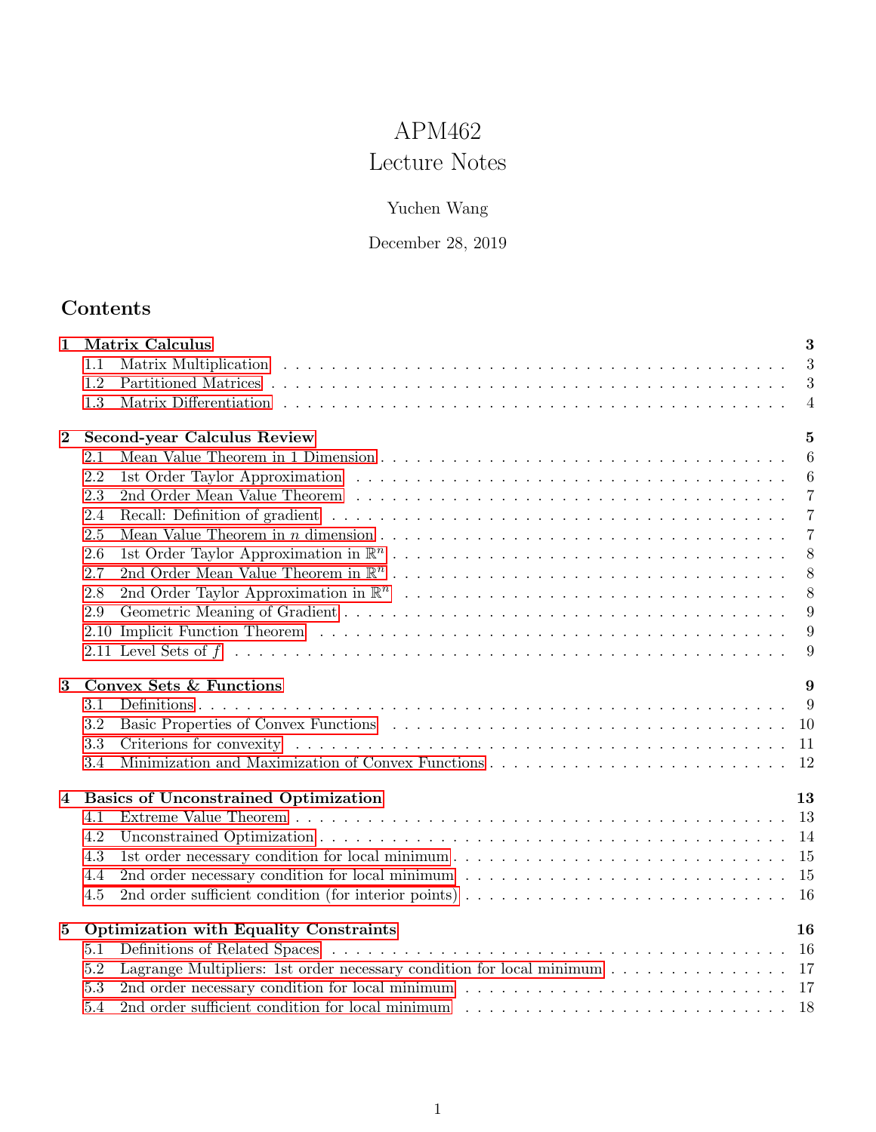# APM462 Lecture Notes

# Yuchen Wang

# December 28, 2019

# Contents

| 1        |      | <b>Matrix Calculus</b>                                                                                                              |                |  |  |
|----------|------|-------------------------------------------------------------------------------------------------------------------------------------|----------------|--|--|
|          | 1.1  |                                                                                                                                     | 3              |  |  |
|          | 1.2  |                                                                                                                                     | 3              |  |  |
|          | 1.3  |                                                                                                                                     | $\overline{4}$ |  |  |
| $\bf{2}$ |      | Second-year Calculus Review                                                                                                         |                |  |  |
|          | 2.1  |                                                                                                                                     | 6              |  |  |
|          | 2.2  |                                                                                                                                     | 6              |  |  |
|          | 2.3  | 2nd Order Mean Value Theorem (a) and a series and a series of the Theorem (a) and a series and a series of the Theorem (a) $\alpha$ | $\overline{7}$ |  |  |
|          | 2.4  |                                                                                                                                     | $\overline{7}$ |  |  |
|          | 2.5  |                                                                                                                                     | $\overline{7}$ |  |  |
|          | 2.6  |                                                                                                                                     | 8              |  |  |
|          | 2.7  |                                                                                                                                     | 8 <sup>8</sup> |  |  |
|          | 2.8  |                                                                                                                                     | 8              |  |  |
|          | 2.9  |                                                                                                                                     | 9              |  |  |
|          | 2.10 |                                                                                                                                     | 9              |  |  |
|          |      |                                                                                                                                     | 9              |  |  |
| 3        |      | Convex Sets & Functions                                                                                                             | 9              |  |  |
|          | 3.1  |                                                                                                                                     | 9              |  |  |
|          | 3.2  |                                                                                                                                     |                |  |  |
|          | 3.3  |                                                                                                                                     |                |  |  |
|          | 3.4  |                                                                                                                                     |                |  |  |
| 4        |      | <b>Basics of Unconstrained Optimization</b>                                                                                         | 13             |  |  |
|          | 4.1  |                                                                                                                                     |                |  |  |
|          | 4.2  |                                                                                                                                     |                |  |  |
|          | 4.3  |                                                                                                                                     |                |  |  |
|          | 4.4  |                                                                                                                                     |                |  |  |
|          | 4.5  | 2nd order sufficient condition (for interior points) $\ldots \ldots \ldots \ldots \ldots \ldots \ldots \ldots \ldots \ldots 16$     |                |  |  |
| $\bf{5}$ |      | <b>Optimization with Equality Constraints</b>                                                                                       | 16             |  |  |
|          | 5.1  |                                                                                                                                     |                |  |  |
|          | 5.2  | Lagrange Multipliers: 1st order necessary condition for local minimum $\ldots \ldots \ldots \ldots \ldots$ 17                       |                |  |  |
|          | 5.3  |                                                                                                                                     |                |  |  |
|          | 5.4  |                                                                                                                                     |                |  |  |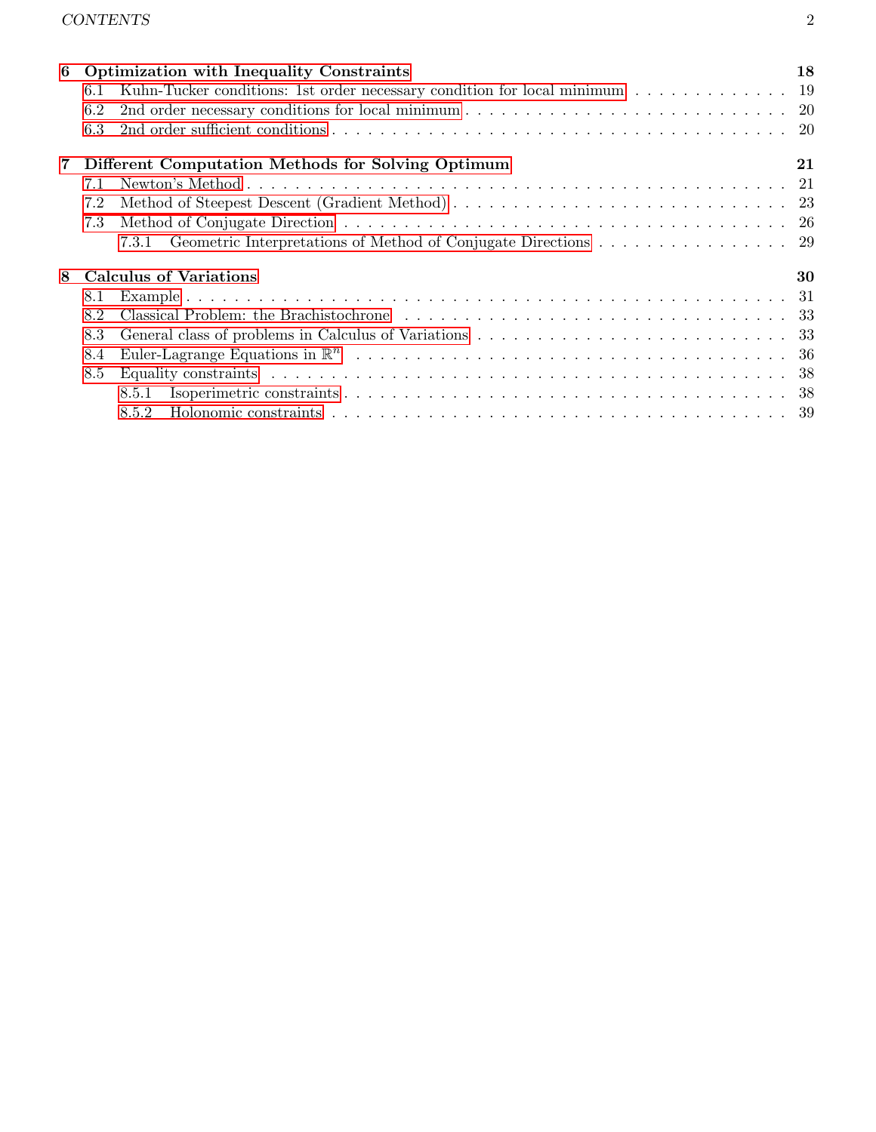| 6              |                                                   | <b>Optimization with Inequality Constraints</b>                            | 18 |  |
|----------------|---------------------------------------------------|----------------------------------------------------------------------------|----|--|
|                | 6.1                                               | Kuhn-Tucker conditions: 1st order necessary condition for local minimum 19 |    |  |
|                | 6.2                                               |                                                                            |    |  |
|                | 6.3                                               |                                                                            |    |  |
| $\overline{7}$ | Different Computation Methods for Solving Optimum |                                                                            |    |  |
|                | 7.1                                               |                                                                            |    |  |
|                | 7.2                                               |                                                                            |    |  |
|                | 7.3                                               |                                                                            |    |  |
|                |                                                   | 7.3.1 Geometric Interpretations of Method of Conjugate Directions 29       |    |  |
| 8              | <b>Calculus of Variations</b>                     | 30                                                                         |    |  |
|                | 8.1                                               |                                                                            |    |  |
| 8.2            |                                                   |                                                                            |    |  |
|                | 8.3                                               |                                                                            |    |  |
|                | 8.4                                               |                                                                            |    |  |
|                | 8.5                                               |                                                                            |    |  |
|                |                                                   | 8.5.1                                                                      |    |  |
|                |                                                   | 8.5.2                                                                      |    |  |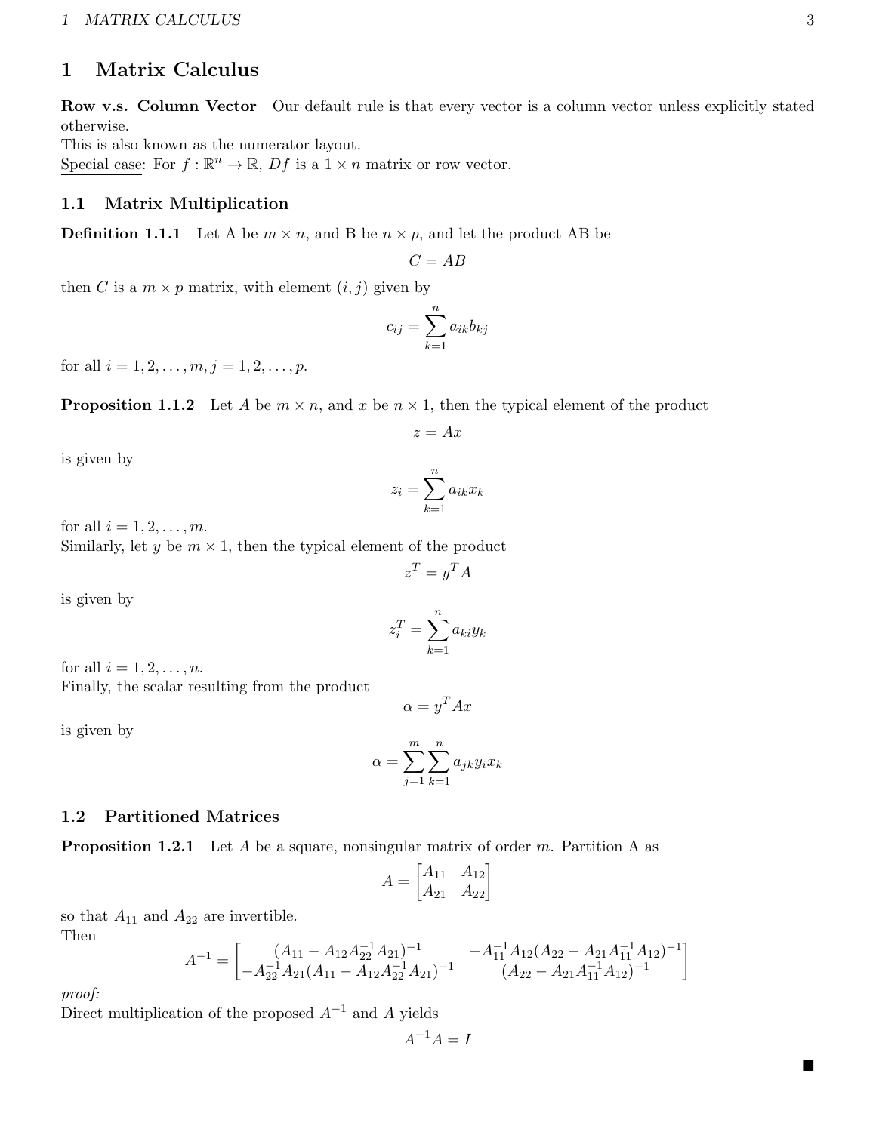# <span id="page-2-0"></span>1 Matrix Calculus

Row v.s. Column Vector Our default rule is that every vector is a column vector unless explicitly stated otherwise.

This is also known as the numerator layout. Special case: For  $f : \mathbb{R}^n \to \overline{\mathbb{R}, Df}$  is a  $1 \times n$  matrix or row vector.

### <span id="page-2-1"></span>1.1 Matrix Multiplication

**Definition 1.1.1** Let A be  $m \times n$ , and B be  $n \times p$ , and let the product AB be

 $C = AB$ 

then C is a  $m \times p$  matrix, with element  $(i, j)$  given by

$$
c_{ij} = \sum_{k=1}^{n} a_{ik} b_{kj}
$$

for all  $i = 1, 2, \ldots, m, j = 1, 2, \ldots, p$ .

**Proposition 1.1.2** Let A be  $m \times n$ , and x be  $n \times 1$ , then the typical element of the product

$$
z = Ax
$$

is given by

$$
z_i = \sum_{k=1}^n a_{ik} x_k
$$

for all  $i = 1, 2, \ldots, m$ .

Similarly, let y be  $m \times 1$ , then the typical element of the product

$$
z^T = y^T A
$$

is given by

$$
z_i^T = \sum_{k=1}^n a_{ki} y_k
$$

for all  $i = 1, 2, \ldots, n$ . Finally, the scalar resulting from the product

$$
\alpha = y^T A x
$$

is given by

$$
\alpha = \sum_{j=1}^m \sum_{k=1}^n a_{jk} y_i x_k
$$

### <span id="page-2-2"></span>1.2 Partitioned Matrices

**Proposition 1.2.1** Let A be a square, nonsingular matrix of order m. Partition A as

$$
A = \begin{bmatrix} A_{11} & A_{12} \\ A_{21} & A_{22} \end{bmatrix}
$$

so that  $A_{11}$  and  $A_{22}$  are invertible.

Then

$$
A^{-1} = \begin{bmatrix} (A_{11} - A_{12}A_{22}^{-1}A_{21})^{-1} & -A_{11}^{-1}A_{12}(A_{22} - A_{21}A_{11}^{-1}A_{12})^{-1} \\ -A_{22}^{-1}A_{21}(A_{11} - A_{12}A_{22}^{-1}A_{21})^{-1} & (A_{22} - A_{21}A_{11}^{-1}A_{12})^{-1} \end{bmatrix}
$$

proof:

Direct multiplication of the proposed  $A^{-1}$  and A yields

$$
A^{-1}A = I
$$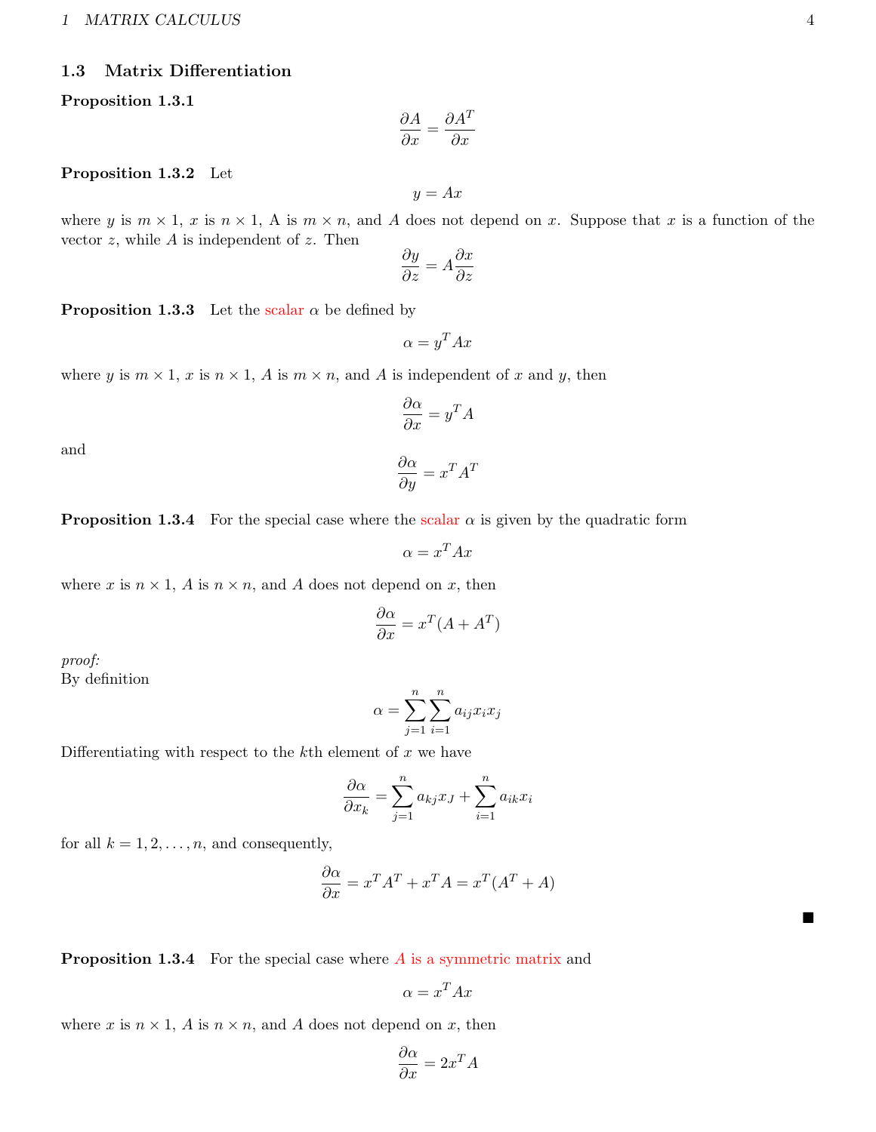#### 1 MATRIX CALCULUS 4

### <span id="page-3-0"></span>1.3 Matrix Differentiation

#### Proposition 1.3.1

$$
\frac{\partial A}{\partial x} = \frac{\partial A^T}{\partial x}
$$

#### Proposition 1.3.2 Let

 $y = Ax$ 

where y is  $m \times 1$ , x is  $n \times 1$ , A is  $m \times n$ , and A does not depend on x. Suppose that x is a function of the vector  $z$ , while  $A$  is independent of  $z$ . Then

$$
\frac{\partial y}{\partial z} = A \frac{\partial x}{\partial z}
$$

**Proposition 1.3.3** Let the scalar  $\alpha$  be defined by

$$
\alpha = y^T A x
$$

where y is  $m \times 1$ , x is  $n \times 1$ , A is  $m \times n$ , and A is independent of x and y, then

$$
\frac{\partial \alpha}{\partial x} = y^T A
$$

 $\frac{\partial \alpha}{\partial y} = x^T A^T$ 

and

**Proposition 1.3.4** For the special case where the scalar  $\alpha$  is given by the quadratic form

$$
\alpha = x^T A x
$$

where x is  $n \times 1$ , A is  $n \times n$ , and A does not depend on x, then

$$
\frac{\partial \alpha}{\partial x} = x^T (A + A^T)
$$

proof: By definition

$$
\alpha = \sum_{j=1}^{n} \sum_{i=1}^{n} a_{ij} x_i x_j
$$

Differentiating with respect to the  $k$ <sup>th</sup> element of  $x$  we have

$$
\frac{\partial \alpha}{\partial x_k} = \sum_{j=1}^n a_{kj} x_j + \sum_{i=1}^n a_{ik} x_i
$$

for all  $k = 1, 2, \ldots, n$ , and consequently,

$$
\frac{\partial \alpha}{\partial x} = x^T A^T + x^T A = x^T (A^T + A)
$$

**Proposition 1.3.4** For the special case where  $\vec{A}$  is a symmetric matrix and

$$
\alpha = x^T A x
$$

where x is  $n \times 1$ , A is  $n \times n$ , and A does not depend on x, then

$$
\frac{\partial \alpha}{\partial x} = 2x^T A
$$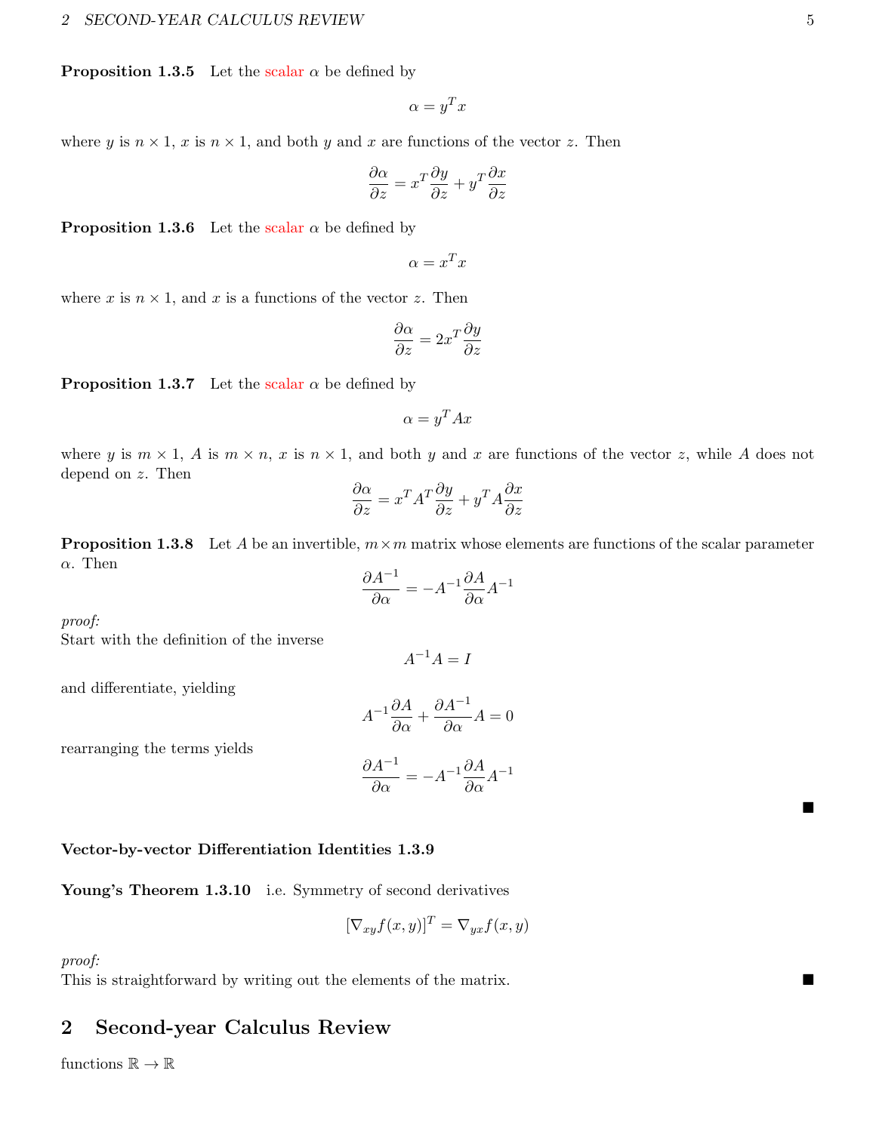**Proposition 1.3.5** Let the scalar  $\alpha$  be defined by

$$
\alpha = y^T x
$$

where y is  $n \times 1$ , x is  $n \times 1$ , and both y and x are functions of the vector z. Then

$$
\frac{\partial \alpha}{\partial z} = x^T \frac{\partial y}{\partial z} + y^T \frac{\partial x}{\partial z}
$$

**Proposition 1.3.6** Let the scalar  $\alpha$  be defined by

 $\alpha = x^T x$ 

where x is  $n \times 1$ , and x is a functions of the vector z. Then

$$
\frac{\partial \alpha}{\partial z} = 2x^T \frac{\partial y}{\partial z}
$$

**Proposition 1.3.7** Let the scalar  $\alpha$  be defined by

$$
\alpha = y^T A x
$$

where y is  $m \times 1$ , A is  $m \times n$ , x is  $n \times 1$ , and both y and x are functions of the vector z, while A does not depend on z. Then

$$
\frac{\partial \alpha}{\partial z} = x^T A^T \frac{\partial y}{\partial z} + y^T A \frac{\partial x}{\partial z}
$$

**Proposition 1.3.8** Let A be an invertible,  $m \times m$  matrix whose elements are functions of the scalar parameter  $\alpha$ . Then

$$
\frac{\partial A^{-1}}{\partial \alpha} = -A^{-1} \frac{\partial A}{\partial \alpha} A^{-1}
$$

proof:

Start with the definition of the inverse

 $A^{-1}A = I$ 

and differentiate, yielding

$$
A^{-1}\frac{\partial A}{\partial \alpha} + \frac{\partial A^{-1}}{\partial \alpha}A = 0
$$

rearranging the terms yields

$$
\frac{\partial A^{-1}}{\partial \alpha} = -A^{-1} \frac{\partial A}{\partial \alpha} A^{-1}
$$

#### Vector-by-vector Differentiation Identities 1.3.9

Young's Theorem 1.3.10 i.e. Symmetry of second derivatives

$$
[\nabla_{xy} f(x, y)]^T = \nabla_{yx} f(x, y)
$$

proof:

This is straightforward by writing out the elements of the matrix.

# <span id="page-4-0"></span>2 Second-year Calculus Review

functions  $\mathbb{R} \to \mathbb{R}$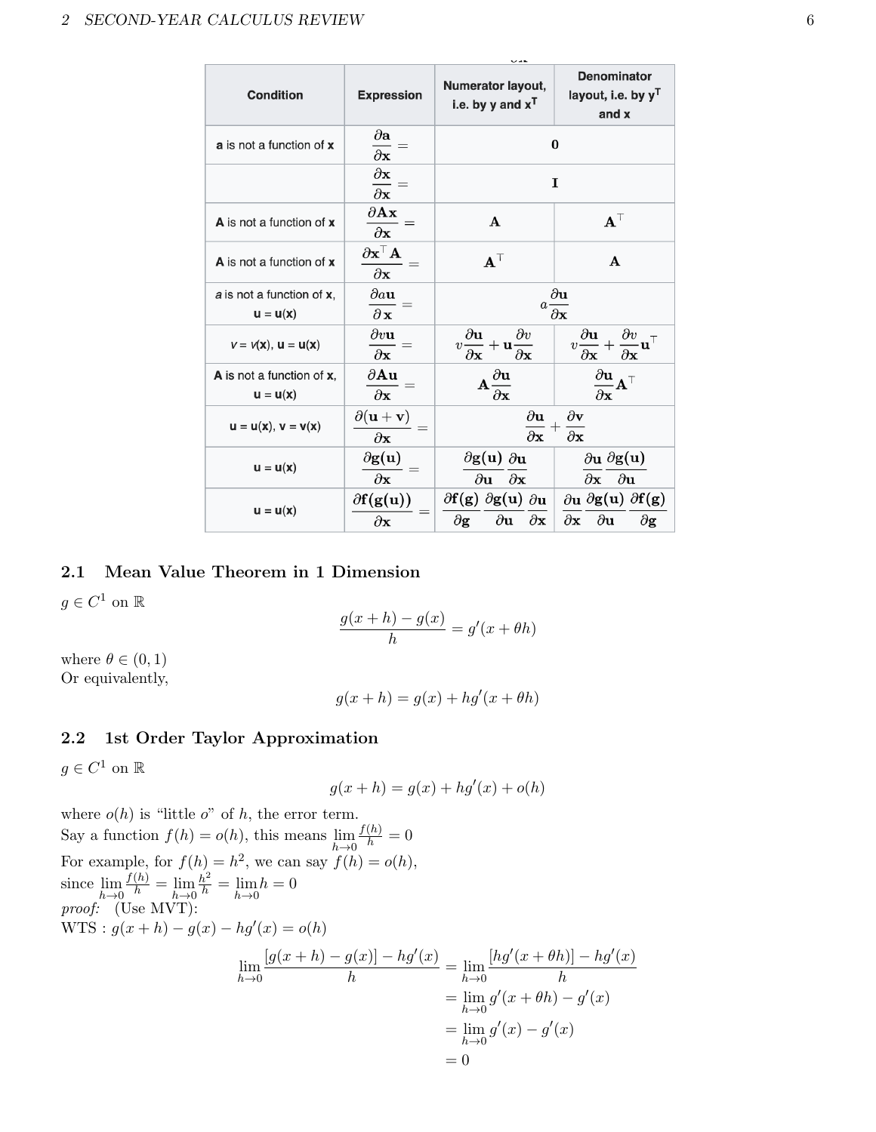| <b>Condition</b>                                         | <b>Expression</b>                                                                  | Numerator layout,<br>i.e. by y and $x^T$                                                                                            | <b>Denominator</b><br>layout, i.e. by y <sup>T</sup><br>and x                                            |
|----------------------------------------------------------|------------------------------------------------------------------------------------|-------------------------------------------------------------------------------------------------------------------------------------|----------------------------------------------------------------------------------------------------------|
| a is not a function of x                                 | $\partial {\bf a}$<br>$\overline{\partial {\bf x}}$                                |                                                                                                                                     | $\bf{0}$                                                                                                 |
|                                                          | $\frac{\partial \mathbf{x}}{\partial \mathbf{x}}$<br>$\overline{\partial {\bf x}}$ |                                                                                                                                     | I                                                                                                        |
| A is not a function of x                                 | $\partial \mathbf{A} \mathbf{x}$<br>$\partial {\bf x}$                             | $\mathbf{A}$                                                                                                                        | $\mathbf{A}^\top$                                                                                        |
| A is not a function of x                                 | $\partial \mathbf x^\top \mathbf A$<br>$\partial {\bf x}$                          | $\mathbf{A}^\top$                                                                                                                   | $\mathbf{A}$                                                                                             |
| a is not a function of x,<br>$u = u(x)$                  | $\partial a$ u<br>$\partial x$                                                     | $a\frac{\partial}{\partial x}$                                                                                                      | $\partial \mathbf{u}$                                                                                    |
| $v = v(\mathbf{x}), \mathbf{u} = \mathbf{u}(\mathbf{x})$ | $\partial v$ u<br>$\partial {\bf x}$                                               | $\partial \mathbf{u}$<br>$\partial v$<br>$+\mathbf{u}$ <sub><math>\overline{\partial}</math></sub><br>$v-$<br>$\partial \mathbf{x}$ | $\partial v$<br>$\partial {\bf u}$<br>$\eta$<br>$\partial \mathbf{x}$<br>$\partial \mathbf{x}$           |
| A is not a function of x,<br>$u = u(x)$                  | $\partial$ Au<br>$\partial x$                                                      | $\mathbf{A}\frac{\partial \mathbf{u}}{\partial \mathbf{x}}$                                                                         | $\partial$ u<br>$\partial$ x                                                                             |
| $u = u(x), v = v(x)$                                     | $\partial(\mathbf{u}+\mathbf{v})$<br>$\partial {\bf x}$                            | $\partial \mathbf{u}$<br>$\partial$ x                                                                                               | $\partial \mathbf{v}$<br>$\partial$ x                                                                    |
| $u = u(x)$                                               | $\partial$ g(u)<br>$\partial {\bf x}$                                              | $\partial$ g(u) $\partial$ u<br>$\partial$ u $\partial$ x                                                                           | $\partial$ u $\partial$ g $(u)$<br>$\partial$ x $\partial$ u                                             |
| $u = u(x)$                                               | $\partial f(g(u))$<br>$\partial \mathbf{x}$                                        | $\partial f(g) \partial g(u) \partial u$<br>$\partial \mathbf{g}$<br>$\partial {\bf u}$<br>$\partial {\bf x}$                       | $\partial$ u $\partial$ g(u) $\partial$ f(g)<br>$\partial {\bf x}$<br>$\partial {\bf u}$<br>$\partial$ g |

# <span id="page-5-0"></span>2.1 Mean Value Theorem in 1 Dimension

 $g \in C^1$  on  $\mathbb{R}$ 

$$
\frac{g(x+h) - g(x)}{h} = g'(x + \theta h)
$$

where  $\theta \in (0,1)$ Or equivalently,

$$
g(x+h) = g(x) + hg'(x + \theta h)
$$

## <span id="page-5-1"></span>2.2 1st Order Taylor Approximation

 $g \in C^1$  on  $\mathbb R$ 

$$
g(x+h) = g(x) + hg'(x) + o(h)
$$

where  $o(h)$  is "little o" of h, the error term. Say a function  $f(h) = o(h)$ , this means  $\lim_{h \to 0}$  $\frac{f(h)}{h} = 0$ For example, for  $f(h) = h^2$ , we can say  $f(h) = o(h)$ , since  $\lim_{h\to 0}$  $\frac{f(h)}{h} = \lim_{h \to 0}$  $\frac{h^2}{h} = \lim_{h \to 0} h = 0$ proof: (Use MVT):  $WTS: g(x+h) - g(x) - hg'(x) = o(h)$  $\lim_{h\to 0}$  $[g(x+h) - g(x)] - hg'(x)$  $\frac{f(x)}{h} = \lim_{h\to 0}$  $[hg'(x + \theta h)] - hg'(x)$ h  $= \lim_{h \to 0} g'(x + \theta h) - g'(x)$  $=\lim_{h\to 0} g'(x) - g'(x)$  $= 0$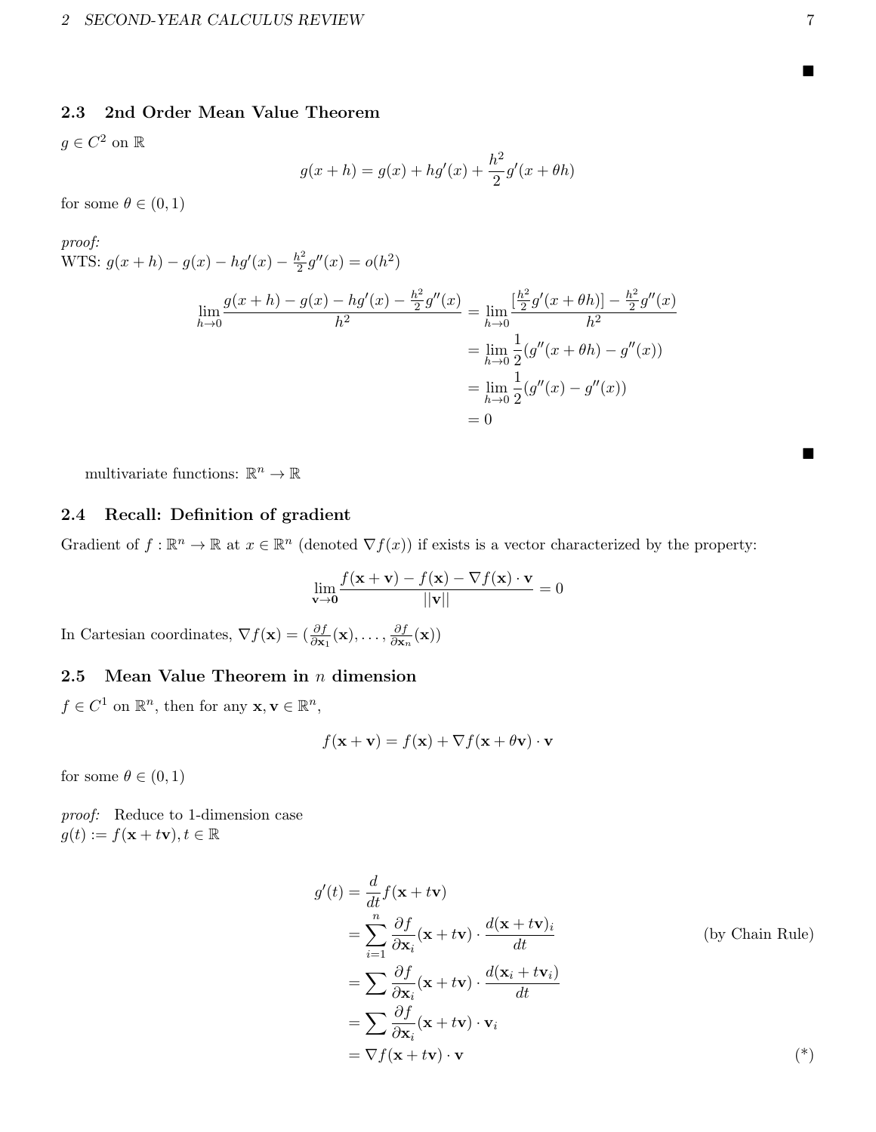## <span id="page-6-0"></span>2.3 2nd Order Mean Value Theorem

 $g \in C^2$  on  $\mathbb{R}$ 

$$
g(x + h) = g(x) + hg'(x) + \frac{h^2}{2}g'(x + \theta h)
$$

for some  $\theta \in (0,1)$ 

proof: WTS:  $g(x+h) - g(x) - hg'(x) - \frac{h^2}{2}$  $\frac{h^2}{2}g''(x) = o(h^2)$ 

$$
\lim_{h \to 0} \frac{g(x+h) - g(x) - hg'(x) - \frac{h^2}{2}g''(x)}{h^2} = \lim_{h \to 0} \frac{\left[\frac{h^2}{2}g'(x+\theta h)\right] - \frac{h^2}{2}g''(x)}{h^2}
$$

$$
= \lim_{h \to 0} \frac{1}{2} (g''(x+\theta h) - g''(x))
$$

$$
= \lim_{h \to 0} \frac{1}{2} (g''(x) - g''(x))
$$

$$
= 0
$$

multivariate functions:  $\mathbb{R}^n \to \mathbb{R}$ 

# <span id="page-6-1"></span>2.4 Recall: Definition of gradient

Gradient of  $f : \mathbb{R}^n \to \mathbb{R}$  at  $x \in \mathbb{R}^n$  (denoted  $\nabla f(x)$ ) if exists is a vector characterized by the property:

$$
\lim_{\mathbf{v}\to\mathbf{0}}\frac{f(\mathbf{x}+\mathbf{v})-f(\mathbf{x})-\nabla f(\mathbf{x})\cdot\mathbf{v}}{||\mathbf{v}||}=0
$$

In Cartesian coordinates,  $\nabla f(\mathbf{x}) = (\frac{\partial f}{\partial \mathbf{x}_1}(\mathbf{x}), \dots, \frac{\partial f}{\partial \mathbf{x}_n})$  $\frac{\partial f}{\partial \mathbf{x}_n}(\mathbf{x}))$ 

### <span id="page-6-2"></span>2.5 Mean Value Theorem in  $n$  dimension

 $f \in C^1$  on  $\mathbb{R}^n$ , then for any  $\mathbf{x}, \mathbf{v} \in \mathbb{R}^n$ ,

$$
f(\mathbf{x} + \mathbf{v}) = f(\mathbf{x}) + \nabla f(\mathbf{x} + \theta \mathbf{v}) \cdot \mathbf{v}
$$

for some  $\theta \in (0,1)$ 

proof: Reduce to 1-dimension case  $g(t) := f(\mathbf{x} + t\mathbf{v}), t \in \mathbb{R}$ 

$$
g'(t) = \frac{d}{dt} f(\mathbf{x} + t\mathbf{v})
$$
  
\n
$$
= \sum_{i=1}^{n} \frac{\partial f}{\partial \mathbf{x}_i} (\mathbf{x} + t\mathbf{v}) \cdot \frac{d(\mathbf{x} + t\mathbf{v})_i}{dt}
$$
 (by Chain Rule)  
\n
$$
= \sum_{i=1}^{n} \frac{\partial f}{\partial \mathbf{x}_i} (\mathbf{x} + t\mathbf{v}) \cdot \frac{d(\mathbf{x}_i + t\mathbf{v}_i)}{dt}
$$
  
\n
$$
= \sum_{i=1}^{n} \frac{\partial f}{\partial \mathbf{x}_i} (\mathbf{x} + t\mathbf{v}) \cdot \mathbf{v}_i
$$
  
\n
$$
= \nabla f(\mathbf{x} + t\mathbf{v}) \cdot \mathbf{v}
$$
 (\*)

 $\blacksquare$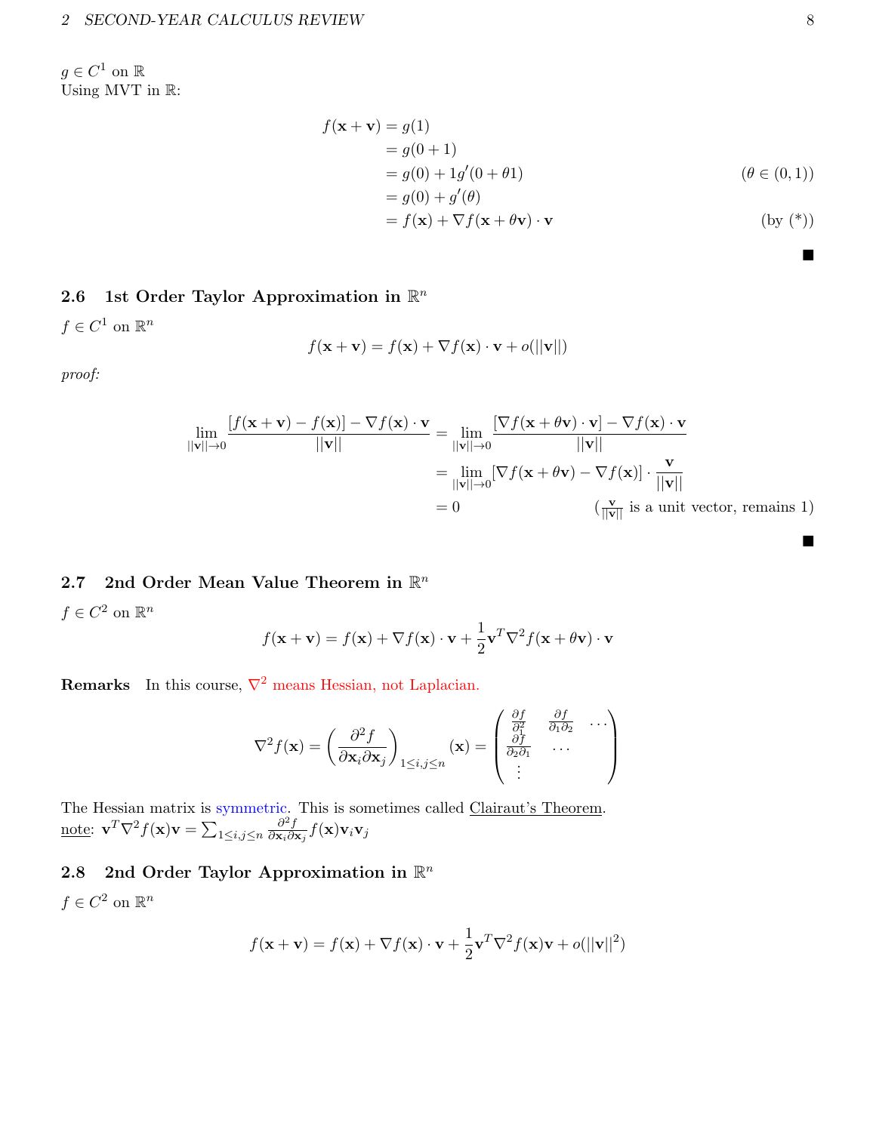$g \in C^1$  on  $\mathbb R$ Using MVT in  $\mathbb{R}$ :

$$
f(\mathbf{x} + \mathbf{v}) = g(1)
$$
  
=  $g(0 + 1)$   
=  $g(0) + 1g'(0 + \theta 1)$  ( $\theta \in (0, 1)$ )  
=  $g(0) + g'(\theta)$   
=  $f(\mathbf{x}) + \nabla f(\mathbf{x} + \theta \mathbf{v}) \cdot \mathbf{v}$  (by (\*))

# <span id="page-7-0"></span>2.6 1st Order Taylor Approximation in  $\mathbb{R}^n$

 $f \in C^1$  on  $\mathbb{R}^n$ 

$$
f(\mathbf{x} + \mathbf{v}) = f(\mathbf{x}) + \nabla f(\mathbf{x}) \cdot \mathbf{v} + o(||\mathbf{v}||)
$$

proof:

$$
\lim_{\|\mathbf{v}\|\to 0} \frac{[f(\mathbf{x}+\mathbf{v})-f(\mathbf{x})]-\nabla f(\mathbf{x})\cdot \mathbf{v}}{\|\mathbf{v}\|} = \lim_{\|\mathbf{v}\|\to 0} \frac{[\nabla f(\mathbf{x}+\theta \mathbf{v})\cdot \mathbf{v}]-\nabla f(\mathbf{x})\cdot \mathbf{v}}{\|\mathbf{v}\|}
$$
\n
$$
= \lim_{\|\mathbf{v}\|\to 0} [\nabla f(\mathbf{x}+\theta \mathbf{v})-\nabla f(\mathbf{x})]\cdot \frac{\mathbf{v}}{\|\mathbf{v}\|}
$$
\n
$$
= 0 \qquad (\frac{\mathbf{v}}{\|\mathbf{v}\|} \text{ is a unit vector, remains 1})
$$

# <span id="page-7-1"></span>2.7 2nd Order Mean Value Theorem in  $\mathbb{R}^n$

 $f \in C^2$  on  $\mathbb{R}^n$ 

$$
f(\mathbf{x} + \mathbf{v}) = f(\mathbf{x}) + \nabla f(\mathbf{x}) \cdot \mathbf{v} + \frac{1}{2} \mathbf{v}^T \nabla^2 f(\mathbf{x} + \theta \mathbf{v}) \cdot \mathbf{v}
$$

**Remarks** In this course,  $\nabla^2$  means Hessian, not Laplacian.

$$
\nabla^2 f(\mathbf{x}) = \left(\frac{\partial^2 f}{\partial \mathbf{x}_i \partial \mathbf{x}_j}\right)_{1 \le i,j \le n} (\mathbf{x}) = \begin{pmatrix} \frac{\partial f}{\partial_1^2} & \frac{\partial f}{\partial_1 \partial_2} & \cdots \\ \frac{\partial f}{\partial_2 \partial_1} & \cdots & \vdots \end{pmatrix}
$$

The Hessian matrix is symmetric. This is sometimes called Clairaut's Theorem. <u>note</u>:  $\mathbf{v}^T \nabla^2 f(\mathbf{x}) \mathbf{v} = \sum_{1 \leq i,j \leq n}$  $\partial^2 f$  $\frac{\partial^2 f}{\partial \mathbf{x}_i \partial \mathbf{x}_j} f(\mathbf{x}) \mathbf{v}_i \mathbf{v}_j$ 

# <span id="page-7-2"></span>2.8 2nd Order Taylor Approximation in  $\mathbb{R}^n$

 $f \in C^2$  on  $\mathbb{R}^n$ 

$$
f(\mathbf{x} + \mathbf{v}) = f(\mathbf{x}) + \nabla f(\mathbf{x}) \cdot \mathbf{v} + \frac{1}{2} \mathbf{v}^T \nabla^2 f(\mathbf{x}) \mathbf{v} + o(||\mathbf{v}||^2)
$$

п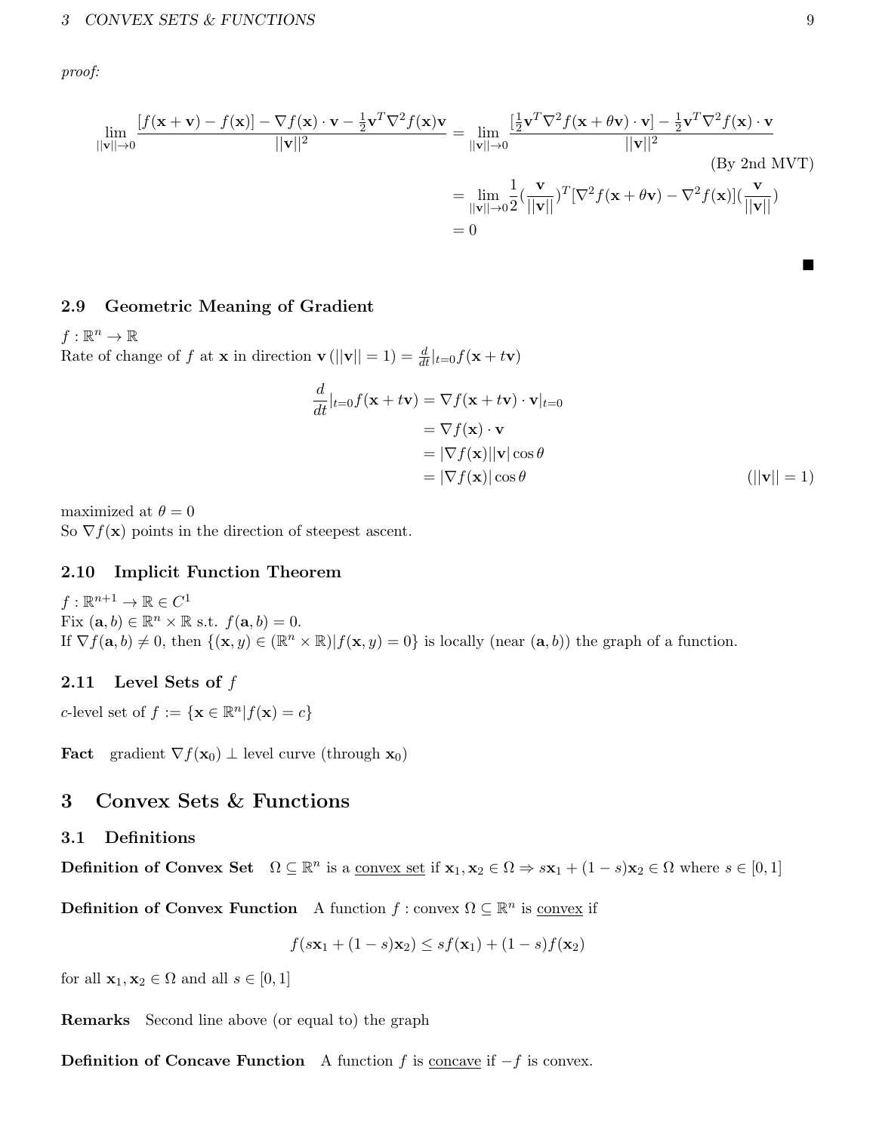proof:

$$
\lim_{\|\mathbf{v}\|\to 0} \frac{[f(\mathbf{x}+\mathbf{v})-f(\mathbf{x})]-\nabla f(\mathbf{x})\cdot \mathbf{v}-\frac{1}{2}\mathbf{v}^T \nabla^2 f(\mathbf{x})\mathbf{v}}{||\mathbf{v}||^2} = \lim_{\|\mathbf{v}\|\to 0} \frac{[\frac{1}{2}\mathbf{v}^T \nabla^2 f(\mathbf{x}+\theta \mathbf{v})\cdot \mathbf{v}]-\frac{1}{2}\mathbf{v}^T \nabla^2 f(\mathbf{x})\cdot \mathbf{v}}{||\mathbf{v}||^2}
$$
\n
$$
= \lim_{\|\mathbf{v}\|\to 0} \frac{1}{2} (\frac{\mathbf{v}}{\|\mathbf{v}\|})^T [\nabla^2 f(\mathbf{x}+\theta \mathbf{v})-\nabla^2 f(\mathbf{x})] (\frac{\mathbf{v}}{\|\mathbf{v}\|})
$$
\n
$$
= 0
$$
\n(By 2nd MVT)

### <span id="page-8-0"></span>2.9 Geometric Meaning of Gradient

 $f:\mathbb{R}^n\to\mathbb{R}$ Rate of change of f at **x** in direction  $\mathbf{v}$  ( $||\mathbf{v}|| = 1$ ) =  $\frac{d}{dt}|_{t=0}f(\mathbf{x} + t\mathbf{v})$ 

$$
\frac{d}{dt}|_{t=0}f(\mathbf{x} + t\mathbf{v}) = \nabla f(\mathbf{x} + t\mathbf{v}) \cdot \mathbf{v}|_{t=0}
$$
\n
$$
= \nabla f(\mathbf{x}) \cdot \mathbf{v}
$$
\n
$$
= |\nabla f(\mathbf{x})| |\mathbf{v}| \cos \theta
$$
\n
$$
= |\nabla f(\mathbf{x})| \cos \theta
$$
\n(||\mathbf{v}|| = 1)

maximized at  $\theta = 0$ So  $\nabla f(\mathbf{x})$  points in the direction of steepest ascent.

#### <span id="page-8-1"></span>2.10 Implicit Function Theorem

 $f:\mathbb{R}^{n+1}\to\mathbb{R}\in C^1$ Fix  $(\mathbf{a},b) \in \mathbb{R}^n \times \mathbb{R}$  s.t.  $f(\mathbf{a},b) = 0$ . If  $\nabla f(\mathbf{a},b) \neq 0$ , then  $\{(\mathbf{x},y) \in (\mathbb{R}^n \times \mathbb{R}) | f(\mathbf{x},y) = 0\}$  is locally (near  $(\mathbf{a},b)$ ) the graph of a function.

### <span id="page-8-2"></span>2.11 Level Sets of  $f$

c-level set of  $f := \{ \mathbf{x} \in \mathbb{R}^n | f(\mathbf{x}) = c \}$ 

**Fact** gradient  $\nabla f(\mathbf{x}_0) \perp$  level curve (through  $\mathbf{x}_0$ )

## <span id="page-8-3"></span>3 Convex Sets & Functions

#### <span id="page-8-4"></span>3.1 Definitions

**Definition of Convex Set**  $\Omega \subseteq \mathbb{R}^n$  is a <u>convex set</u> if  $\mathbf{x}_1, \mathbf{x}_2 \in \Omega \Rightarrow s\mathbf{x}_1 + (1-s)\mathbf{x}_2 \in \Omega$  where  $s \in [0,1]$ 

**Definition of Convex Function** A function  $f : \text{convex } \Omega \subseteq \mathbb{R}^n$  is <u>convex</u> if

$$
f(s\mathbf{x}_1 + (1-s)\mathbf{x}_2) \le sf(\mathbf{x}_1) + (1-s)f(\mathbf{x}_2)
$$

for all  $\mathbf{x}_1, \mathbf{x}_2 \in \Omega$  and all  $s \in [0, 1]$ 

Remarks Second line above (or equal to) the graph

**Definition of Concave Function** A function  $f$  is <u>concave</u> if  $-f$  is convex.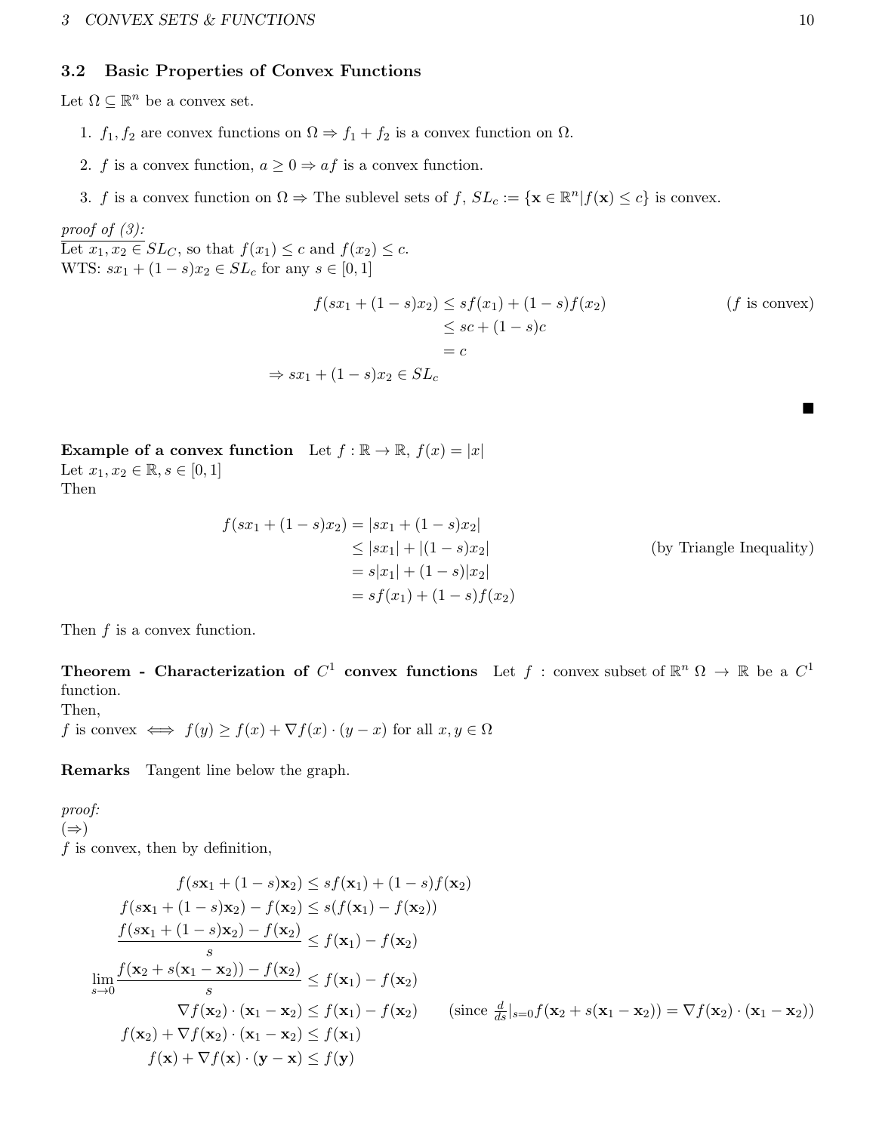### <span id="page-9-0"></span>3.2 Basic Properties of Convex Functions

Let  $\Omega \subseteq \mathbb{R}^n$  be a convex set.

- 1.  $f_1, f_2$  are convex functions on  $\Omega \Rightarrow f_1 + f_2$  is a convex function on  $\Omega$ .
- 2. f is a convex function,  $a \geq 0 \Rightarrow af$  is a convex function.
- 3. f is a convex function on  $\Omega \Rightarrow$  The sublevel sets of f,  $SL_c := \{ \mathbf{x} \in \mathbb{R}^n | f(\mathbf{x}) \leq c \}$  is convex.

proof of  $(3)$ :

Let  $x_1, x_2 \in SL_C$ , so that  $f(x_1) \leq c$  and  $f(x_2) \leq c$ . WTS:  $sx_1 + (1 - s)x_2 \in SL_c$  for any  $s \in [0, 1]$ 

$$
f(sx_1 + (1 - s)x_2) \le sf(x_1) + (1 - s)f(x_2)
$$
  
\n
$$
\le sc + (1 - s)c
$$
  
\n
$$
= c
$$
  
\n
$$
\Rightarrow sx_1 + (1 - s)x_2 \in SL_c
$$
  
\n(f is convex)

Example of a convex function Let  $f : \mathbb{R} \to \mathbb{R}$ ,  $f(x) = |x|$ Let  $x_1, x_2 \in \mathbb{R}, s \in [0, 1]$ 

Then

$$
f(sx_1 + (1 - s)x_2) = |sx_1 + (1 - s)x_2|
$$
  
\n
$$
\leq |sx_1| + |(1 - s)x_2|
$$
 (by Triangle Inequality)  
\n
$$
= s|x_1| + (1 - s)|x_2|
$$
  
\n
$$
= sf(x_1) + (1 - s)f(x_2)
$$

Then  $f$  is a convex function.

**Theorem - Characterization of**  $C^1$  convex functions Let  $f$  : convex subset of  $\mathbb{R}^n$   $\Omega \to \mathbb{R}$  be a  $C^1$ function.

Then,

f is convex  $\iff$   $f(y) \ge f(x) + \nabla f(x) \cdot (y - x)$  for all  $x, y \in \Omega$ 

Remarks Tangent line below the graph.

proof:  $(\Rightarrow)$  $f$  is convex, then by definition,

$$
f(s\mathbf{x}_1 + (1-s)\mathbf{x}_2) \leq sf(\mathbf{x}_1) + (1-s)f(\mathbf{x}_2)
$$
  
\n
$$
f(s\mathbf{x}_1 + (1-s)\mathbf{x}_2) - f(\mathbf{x}_2) \leq s(f(\mathbf{x}_1) - f(\mathbf{x}_2))
$$
  
\n
$$
\frac{f(s\mathbf{x}_1 + (1-s)\mathbf{x}_2) - f(\mathbf{x}_2)}{s} \leq f(\mathbf{x}_1) - f(\mathbf{x}_2)
$$
  
\n
$$
\lim_{s \to 0} \frac{f(\mathbf{x}_2 + s(\mathbf{x}_1 - \mathbf{x}_2)) - f(\mathbf{x}_2)}{s} \leq f(\mathbf{x}_1) - f(\mathbf{x}_2)
$$
  
\n
$$
\nabla f(\mathbf{x}_2) \cdot (\mathbf{x}_1 - \mathbf{x}_2) \leq f(\mathbf{x}_1) - f(\mathbf{x}_2) \quad \text{(since } \frac{d}{ds}|_{s=0} f(\mathbf{x}_2 + s(\mathbf{x}_1 - \mathbf{x}_2)) = \nabla f(\mathbf{x}_2) \cdot (\mathbf{x}_1 - \mathbf{x}_2))
$$
  
\n
$$
f(\mathbf{x}_2) + \nabla f(\mathbf{x}_2) \cdot (\mathbf{x}_1 - \mathbf{x}_2) \leq f(\mathbf{x}_1)
$$
  
\n
$$
f(\mathbf{x}) + \nabla f(\mathbf{x}) \cdot (\mathbf{y} - \mathbf{x}) \leq f(\mathbf{y})
$$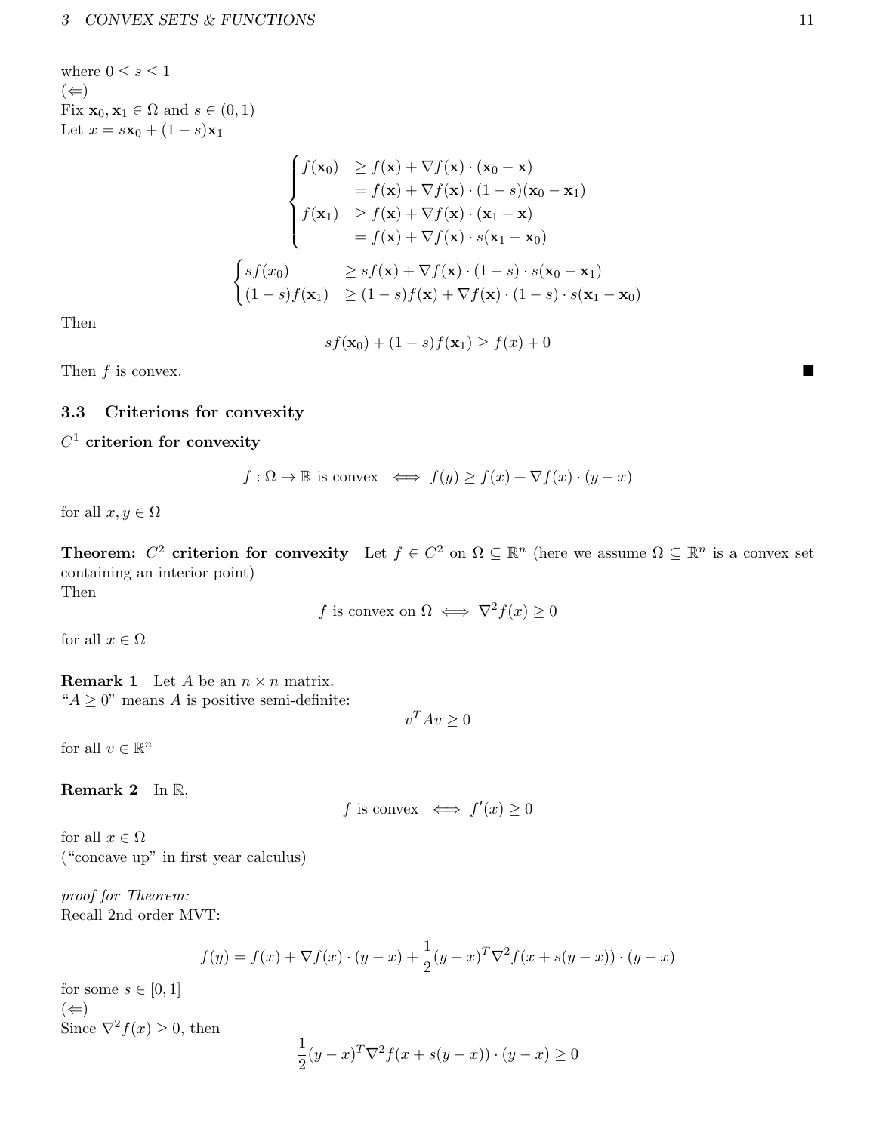where  $0 \leq s \leq 1$  $(\Leftarrow)$ Fix  $\mathbf{x}_0, \mathbf{x}_1 \in \Omega$  and  $s \in (0,1)$ Let  $x = s\mathbf{x}_0 + (1 - s)\mathbf{x}_1$ 

$$
\begin{cases}\nf(\mathbf{x}_0) & \geq f(\mathbf{x}) + \nabla f(\mathbf{x}) \cdot (\mathbf{x}_0 - \mathbf{x}) \\
& = f(\mathbf{x}) + \nabla f(\mathbf{x}) \cdot (1 - s)(\mathbf{x}_0 - \mathbf{x}_1) \\
f(\mathbf{x}_1) & \geq f(\mathbf{x}) + \nabla f(\mathbf{x}) \cdot (\mathbf{x}_1 - \mathbf{x}) \\
& = f(\mathbf{x}) + \nabla f(\mathbf{x}) \cdot s(\mathbf{x}_1 - \mathbf{x}_0) \\
\begin{cases}\nsf(x_0) & \geq sf(\mathbf{x}) + \nabla f(\mathbf{x}) \cdot (1 - s) \cdot s(\mathbf{x}_0 - \mathbf{x}_1) \\
(1 - s)f(\mathbf{x}_1) & \geq (1 - s)f(\mathbf{x}) + \nabla f(\mathbf{x}) \cdot (1 - s) \cdot s(\mathbf{x}_1 - \mathbf{x}_0)\n\end{cases}\n\end{cases}
$$

Then

$$
sf(\mathbf{x}_0) + (1-s)f(\mathbf{x}_1) \ge f(x) + 0
$$

Then  $f$  is convex.

### <span id="page-10-0"></span>3.3 Criterions for convexity

 $C^1$  criterion for convexity

$$
f: \Omega \to \mathbb{R}
$$
 is convex  $\iff f(y) \ge f(x) + \nabla f(x) \cdot (y - x)$ 

for all  $x, y \in \Omega$ 

**Theorem:**  $C^2$  criterion for convexity Let  $f \in C^2$  on  $\Omega \subseteq \mathbb{R}^n$  (here we assume  $\Omega \subseteq \mathbb{R}^n$  is a convex set containing an interior point) Then

f is convex on 
$$
\Omega \iff \nabla^2 f(x) \ge 0
$$

for all  $x \in \Omega$ 

**Remark 1** Let A be an  $n \times n$  matrix. " $A \geq 0$ " means A is positive semi-definite:

$$
v^T A v \ge 0
$$

for all  $v \in \mathbb{R}^n$ 

Remark 2 In R,

f is convex 
$$
\iff
$$
  $f'(x) \ge 0$ 

for all  $x \in \Omega$ ("concave up" in first year calculus)

proof for Theorem: Recall 2nd order MVT:

$$
f(y) = f(x) + \nabla f(x) \cdot (y - x) + \frac{1}{2}(y - x)^{T} \nabla^{2} f(x + s(y - x)) \cdot (y - x)
$$

for some  $s \in [0,1]$  $(\Leftarrow)$ Since  $\nabla^2 f(x) \geq 0$ , then

$$
\frac{1}{2}(y-x)^{T}\nabla^{2} f(x+s(y-x)) \cdot (y-x) \ge 0
$$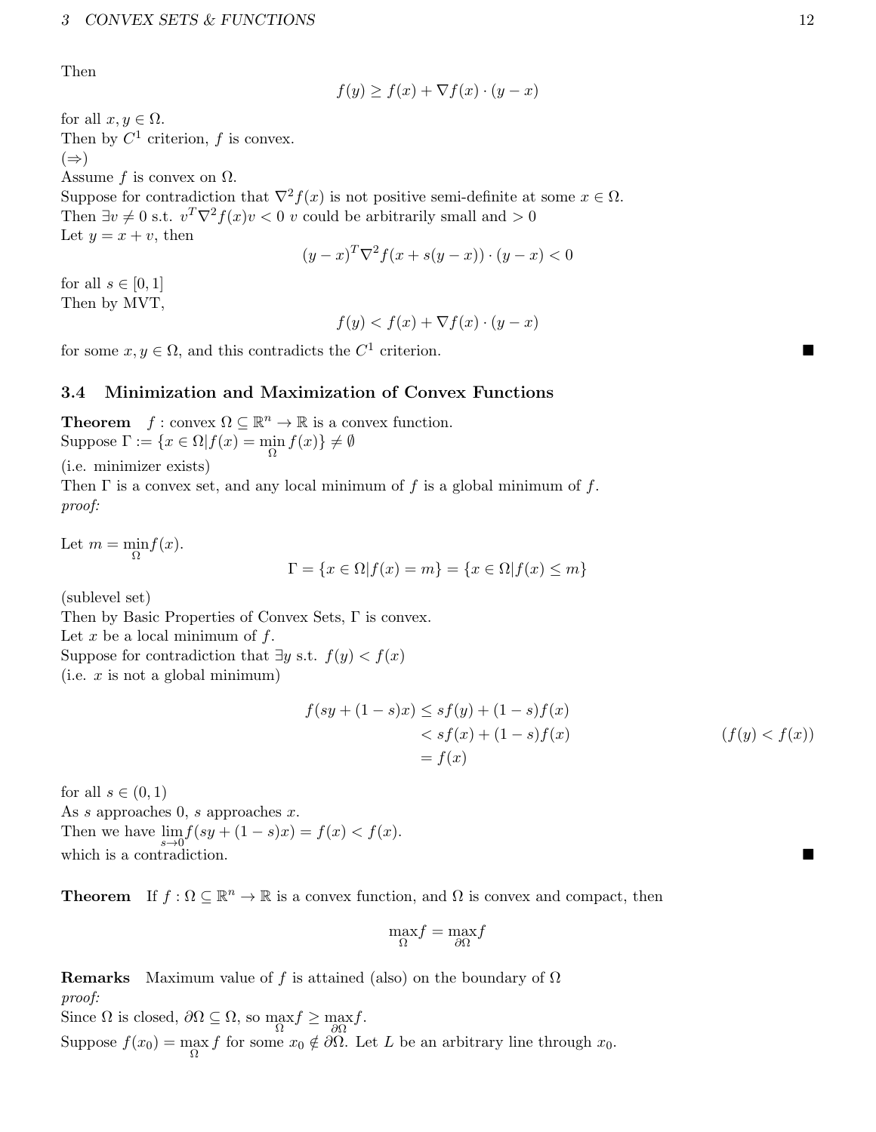Then

$$
f(y) \ge f(x) + \nabla f(x) \cdot (y - x)
$$

for all  $x, y \in \Omega$ . Then by  $C^1$  criterion, f is convex.  $(\Rightarrow)$ Assume f is convex on  $\Omega$ . Suppose for contradiction that  $\nabla^2 f(x)$  is not positive semi-definite at some  $x \in \Omega$ . Then  $\exists v \neq 0$  s.t.  $v^T \nabla^2 f(x)v < 0$  v could be arbitrarily small and  $> 0$ Let  $y = x + v$ , then

$$
(y-x)^T \nabla^2 f(x+s(y-x)) \cdot (y-x) < 0
$$

for all  $s \in [0,1]$ Then by MVT,

 $f(y) < f(x) + \nabla f(x) \cdot (y - x)$ 

for some  $x, y \in \Omega$ , and this contradicts the  $C^1$  criterion.

#### <span id="page-11-0"></span>3.4 Minimization and Maximization of Convex Functions

**Theorem**  $f : \text{convex } \Omega \subseteq \mathbb{R}^n \to \mathbb{R}$  is a convex function. Suppose  $\Gamma := \{x \in \Omega | f(x) = \min_{\Omega} f(x)\} \neq \emptyset$ 

(i.e. minimizer exists)

Then  $\Gamma$  is a convex set, and any local minimum of f is a global minimum of f. proof:

Let  $m = \min_{\Omega} f(x)$ .

$$
\Gamma = \{x \in \Omega | f(x) = m\} = \{x \in \Omega | f(x) \le m\}
$$

(sublevel set)

Then by Basic Properties of Convex Sets, Γ is convex.

Let  $x$  be a local minimum of  $f$ .

Suppose for contradiction that  $\exists y$  s.t.  $f(y) < f(x)$ 

 $(i.e. x is not a global minimum)$ 

$$
f(sy + (1 - s)x) \le sf(y) + (1 - s)f(x)
$$
  

$$
< sf(x) + (1 - s)f(x)
$$
  

$$
= f(x)
$$
  
(f(y) < f(x))

for all  $s \in (0,1)$ As s approaches  $0, s$  approaches  $x$ . Then we have  $\lim_{s \to 0} f(sy + (1 - s)x) = f(x) < f(x)$ . which is a contradiction.

**Theorem** If  $f : \Omega \subseteq \mathbb{R}^n \to \mathbb{R}$  is a convex function, and  $\Omega$  is convex and compact, then

$$
\max_\Omega f = \max_{\partial \Omega} f
$$

**Remarks** Maximum value of f is attained (also) on the boundary of  $\Omega$ proof:

Since  $\Omega$  is closed,  $\partial\Omega \subseteq \Omega$ , so  $\max_{\Omega} f \ge \max_{\partial\Omega} f$ . Suppose  $f(x_0) = \max_{\Omega} f$  for some  $x_0 \notin \partial \Omega$ . Let L be an arbitrary line through  $x_0$ .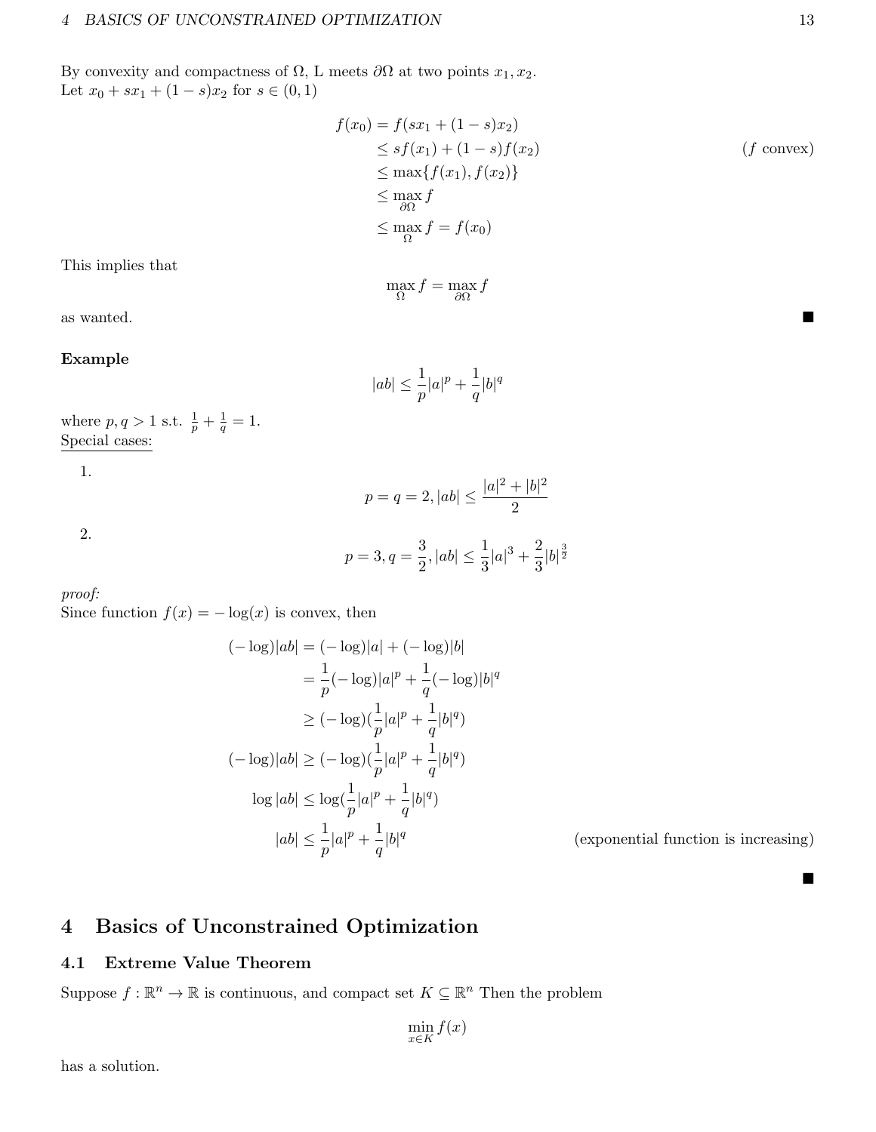By convexity and compactness of  $\Omega$ , L meets  $\partial\Omega$  at two points  $x_1, x_2$ . Let  $x_0 + sx_1 + (1 - s)x_2$  for  $s \in (0, 1)$ 

$$
f(x_0) = f(sx_1 + (1 - s)x_2)
$$
  
\n
$$
\leq sf(x_1) + (1 - s)f(x_2)
$$
  
\n
$$
\leq \max\{f(x_1), f(x_2)\}
$$
  
\n
$$
\leq \max_{\partial\Omega} f
$$
  
\n
$$
\leq \max_{\Omega} f = f(x_0)
$$
 (f convex)

This implies that

 $\max_{\Omega} f = \max_{\partial \Omega} f$ 

as wanted.

#### Example

$$
|ab| \le \frac{1}{p}|a|^p + \frac{1}{q}|b|^q
$$

where  $p, q > 1$  s.t.  $\frac{1}{p} + \frac{1}{q}$  $\frac{1}{q} = 1.$ Special cases:

1.

2.

$$
p=3, q=\frac{3}{2}, |ab|\leq \frac{1}{3}|a|^3+\frac{2}{3}|b|^{\frac{3}{2}}
$$

 $p = q = 2, |ab| \leq \frac{|a|^2 + |b|^2}{2}$ 

2

proof:

Since function  $f(x) = -\log(x)$  is convex, then

$$
(-\log)|ab| = (-\log)|a| + (-\log)|b|
$$
  
\n
$$
= \frac{1}{p}(-\log)|a|^p + \frac{1}{q}(-\log)|b|^q
$$
  
\n
$$
\geq (-\log)(\frac{1}{p}|a|^p + \frac{1}{q}|b|^q)
$$
  
\n
$$
(-\log)|ab| \geq (-\log)(\frac{1}{p}|a|^p + \frac{1}{q}|b|^q)
$$
  
\n
$$
\log|ab| \leq \log(\frac{1}{p}|a|^p + \frac{1}{q}|b|^q)
$$
  
\n
$$
|ab| \leq \frac{1}{p}|a|^p + \frac{1}{q}|b|^q
$$

(exponential function is increasing)

 $\blacksquare$ 

# <span id="page-12-0"></span>4 Basics of Unconstrained Optimization

### <span id="page-12-1"></span>4.1 Extreme Value Theorem

Suppose  $f : \mathbb{R}^n \to \mathbb{R}$  is continuous, and compact set  $K \subseteq \mathbb{R}^n$  Then the problem

 $\min_{x \in K} f(x)$ 

has a solution.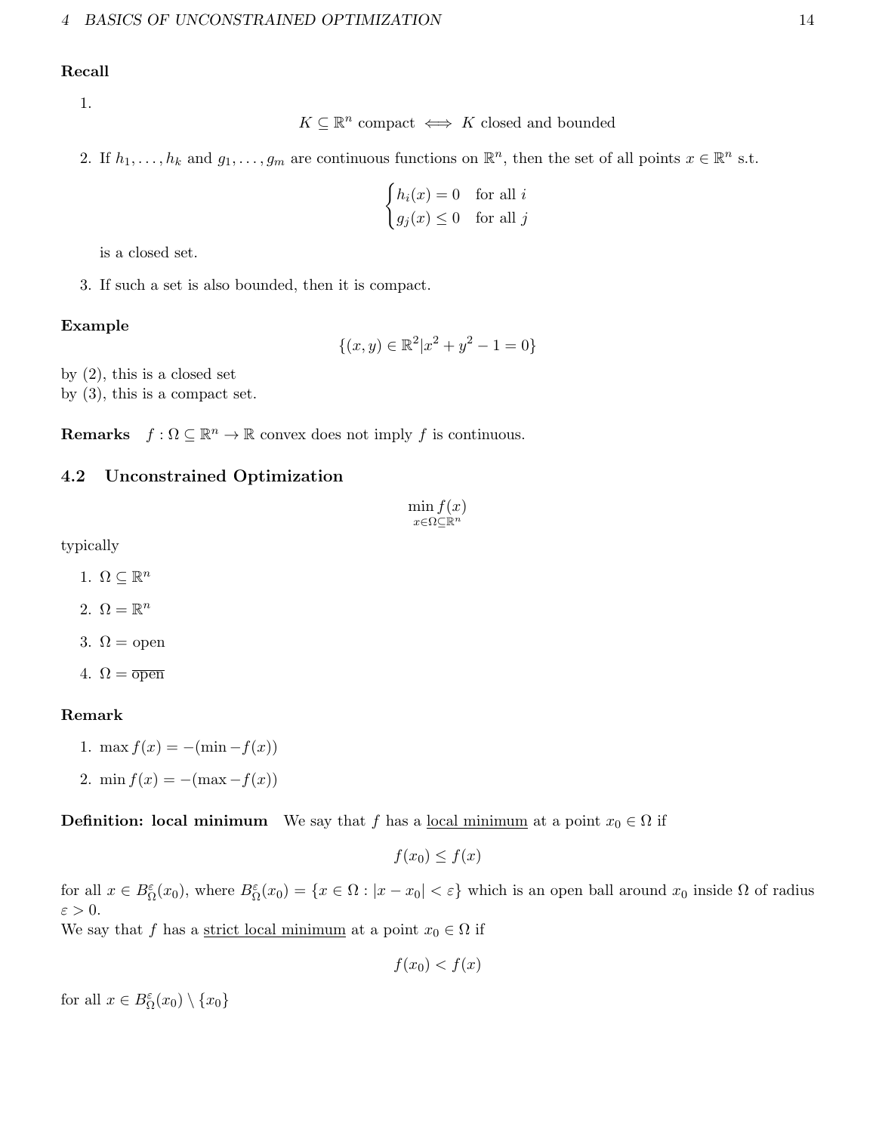#### Recall

1.

$$
K \subseteq \mathbb{R}^n
$$
 compact  $\iff$   $K$  closed and bounded

2. If  $h_1, \ldots, h_k$  and  $g_1, \ldots, g_m$  are continuous functions on  $\mathbb{R}^n$ , then the set of all points  $x \in \mathbb{R}^n$  s.t.

$$
\begin{cases} h_i(x) = 0 & \text{for all } i\\ g_j(x) \le 0 & \text{for all } j \end{cases}
$$

is a closed set.

3. If such a set is also bounded, then it is compact.

#### Example

$$
\{(x,y) \in \mathbb{R}^2 | x^2 + y^2 - 1 = 0\}
$$

by (2), this is a closed set by (3), this is a compact set.

**Remarks**  $f : \Omega \subseteq \mathbb{R}^n \to \mathbb{R}$  convex does not imply f is continuous.

#### <span id="page-13-0"></span>4.2 Unconstrained Optimization

$$
\min_{x \in \Omega \subseteq \mathbb{R}^n} f(x)
$$

typically

1.  $\Omega \subseteq \mathbb{R}^n$ 

2.  $\Omega = \mathbb{R}^n$ 

3.  $\Omega =$  open

4.  $\Omega = \overline{\text{open}}$ 

#### Remark

1. max  $f(x) = -(\min - f(x))$ 2. min  $f(x) = -(\max - f(x))$ 

**Definition:** local minimum We say that f has a <u>local minimum</u> at a point  $x_0 \in \Omega$  if

$$
f(x_0) \le f(x)
$$

for all  $x \in B_{\Omega}^{\varepsilon}(x_0)$ , where  $B_{\Omega}^{\varepsilon}(x_0) = \{x \in \Omega : |x - x_0| < \varepsilon\}$  which is an open ball around  $x_0$  inside  $\Omega$  of radius  $\varepsilon > 0$ .

We say that f has a <u>strict local minimum</u> at a point  $x_0 \in \Omega$  if

$$
f(x_0) < f(x)
$$

for all  $x \in B^{\varepsilon}_{\Omega}(x_0) \setminus \{x_0\}$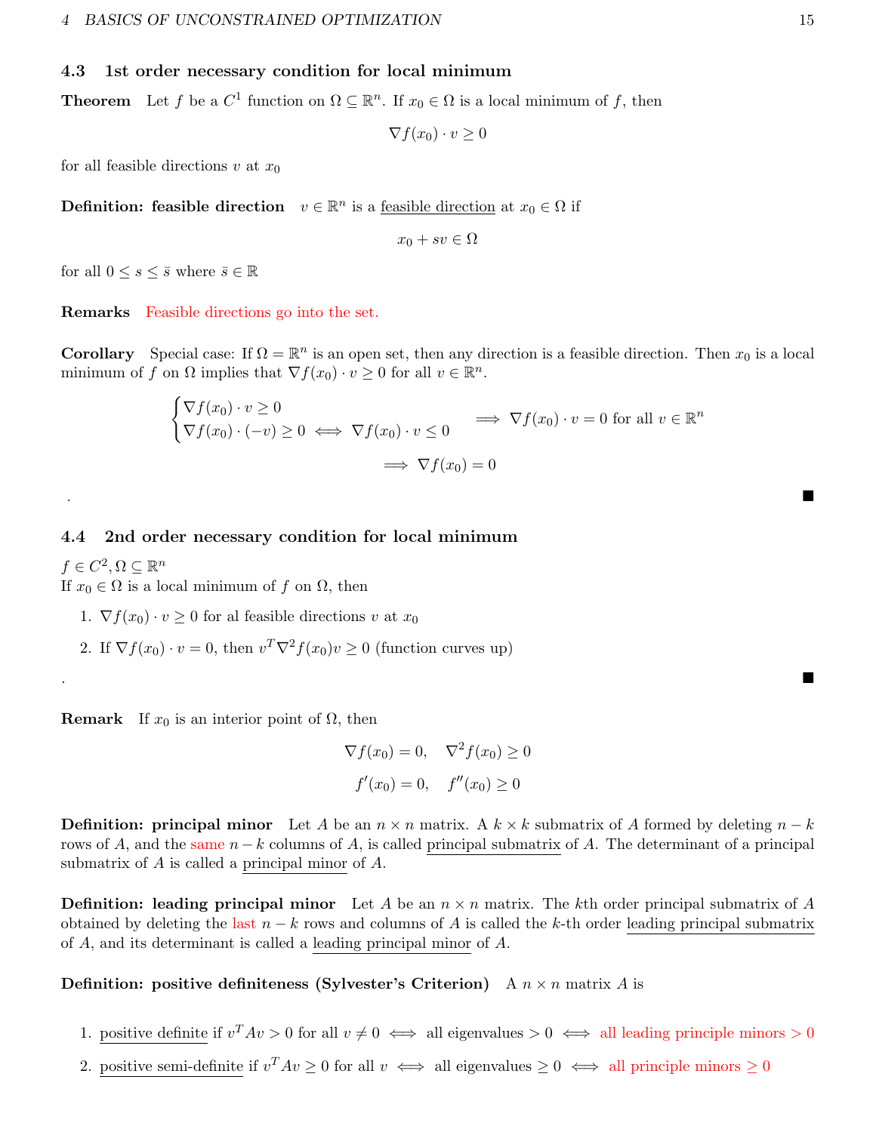#### <span id="page-14-0"></span>4.3 1st order necessary condition for local minimum

**Theorem** Let f be a  $C^1$  function on  $\Omega \subseteq \mathbb{R}^n$ . If  $x_0 \in \Omega$  is a local minimum of f, then

 $\nabla f(x_0)\cdot v\geq 0$ 

for all feasible directions v at  $x_0$ 

**Definition:** feasible direction  $v \in \mathbb{R}^n$  is a <u>feasible direction</u> at  $x_0 \in \Omega$  if

 $x_0 + sv \in \Omega$ 

for all  $0 \leq s \leq \overline{s}$  where  $\overline{s} \in \mathbb{R}$ 

Remarks Feasible directions go into the set.

**Corollary** Special case: If  $\Omega = \mathbb{R}^n$  is an open set, then any direction is a feasible direction. Then  $x_0$  is a local minimum of f on  $\Omega$  implies that  $\nabla f(x_0) \cdot v \geq 0$  for all  $v \in \mathbb{R}^n$ .

$$
\begin{cases} \nabla f(x_0) \cdot v \ge 0 \\ \nabla f(x_0) \cdot (-v) \ge 0 \iff \nabla f(x_0) \cdot v \le 0 \implies \nabla f(x_0) \cdot v = 0 \text{ for all } v \in \mathbb{R}^n \\ \implies \nabla f(x_0) = 0 \end{cases}
$$

.<br>2001 – Andrea Sterling, amerikansk politiker († 1908)

<span id="page-14-1"></span>4.4 2nd order necessary condition for local minimum

 $f \in C^2, \Omega \subseteq \mathbb{R}^n$ If  $x_0 \in \Omega$  is a local minimum of f on  $\Omega$ , then

- 1.  $\nabla f(x_0) \cdot v \geq 0$  for al feasible directions v at  $x_0$
- 2. If  $\nabla f(x_0) \cdot v = 0$ , then  $v^T \nabla^2 f(x_0) v \ge 0$  (function curves up)

**Remark** If  $x_0$  is an interior point of  $\Omega$ , then

$$
\nabla f(x_0) = 0, \quad \nabla^2 f(x_0) \ge 0
$$

$$
f'(x_0) = 0, \quad f''(x_0) \ge 0
$$

.<br>2001 – Andrea Sterling, amerikansk politiker († 1888)

**Definition: principal minor** Let A be an  $n \times n$  matrix. A  $k \times k$  submatrix of A formed by deleting  $n - k$ rows of A, and the same  $n - k$  columns of A, is called principal submatrix of A. The determinant of a principal submatrix of A is called a principal minor of A.

**Definition:** leading principal minor Let A be an  $n \times n$  matrix. The kth order principal submatrix of A obtained by deleting the last  $n - k$  rows and columns of A is called the k-th order leading principal submatrix of A, and its determinant is called a leading principal minor of A.

#### **Definition:** positive definiteness (Sylvester's Criterion) A  $n \times n$  matrix A is

- 1. positive definite if  $v^T A v > 0$  for all  $v \neq 0 \iff$  all eigenvalues  $> 0 \iff$  all leading principle minors  $> 0$
- 2. positive semi-definite if  $v^T A v \geq 0$  for all  $v \iff$  all eigenvalues  $\geq 0 \iff$  all principle minors  $\geq 0$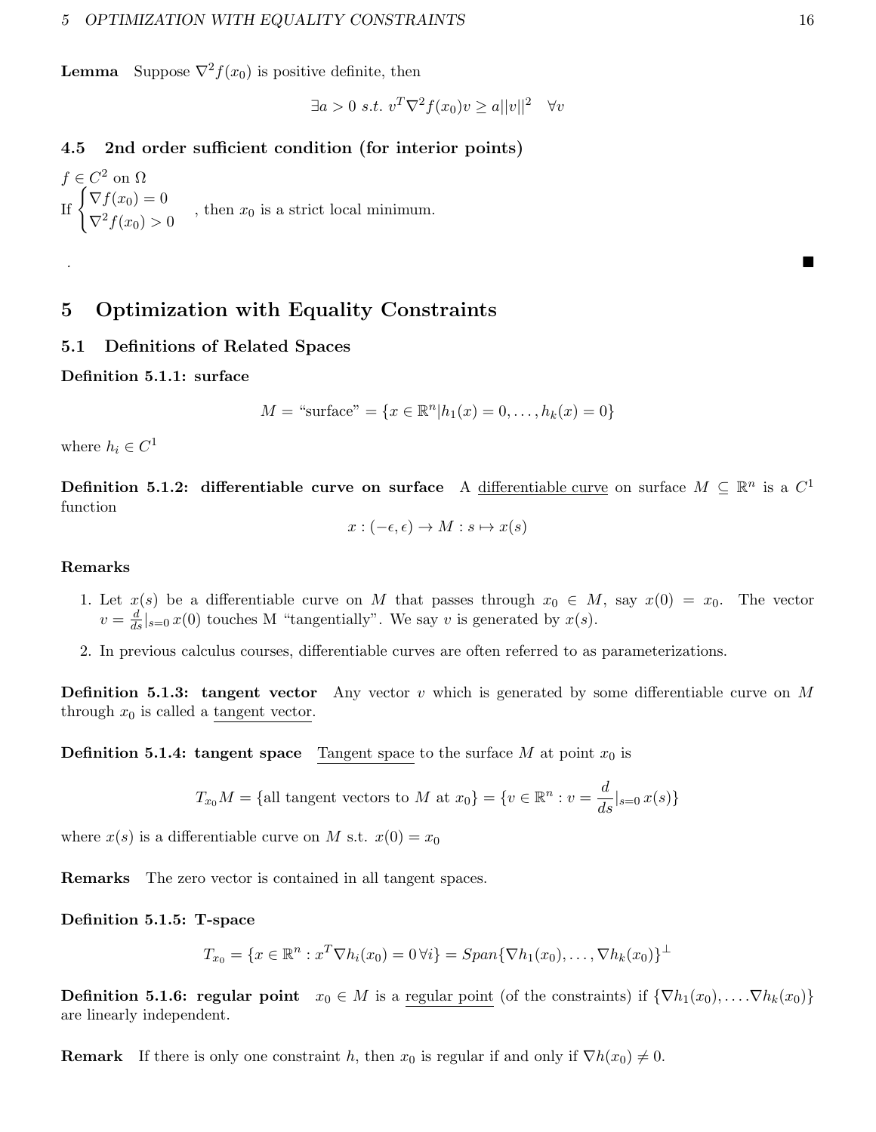**Lemma** Suppose  $\nabla^2 f(x_0)$  is positive definite, then

$$
\exists a > 0 \ s.t. \ v^T \nabla^2 f(x_0) v \ge a ||v||^2 \quad \forall v
$$

#### <span id="page-15-0"></span>4.5 2nd order sufficient condition (for interior points)

 $f \in C^2$  on  $\Omega$ If  $\begin{cases} \nabla f(x_0) = 0 \\ -2 \end{cases}$  $\nabla^2 f(x_0) > 0$ , then  $x_0$  is a strict local minimum.

# <span id="page-15-1"></span>5 Optimization with Equality Constraints

#### <span id="page-15-2"></span>5.1 Definitions of Related Spaces

Definition 5.1.1: surface

$$
M = "surface" = \{x \in \mathbb{R}^n | h_1(x) = 0, \dots, h_k(x) = 0\}
$$

.<br>2001 – Andrea Sterling, amerikansk politiker (\* 1905)

where  $h_i \in C^1$ 

Definition 5.1.2: differentiable curve on surface A differentiable curve on surface  $M \subseteq \mathbb{R}^n$  is a  $C^1$ function

$$
x: (-\epsilon, \epsilon) \to M: s \mapsto x(s)
$$

#### Remarks

- 1. Let  $x(s)$  be a differentiable curve on M that passes through  $x_0 \in M$ , say  $x(0) = x_0$ . The vector  $v = \frac{d}{ds}|_{s=0} x(0)$  touches M "tangentially". We say v is generated by  $x(s)$ .
- 2. In previous calculus courses, differentiable curves are often referred to as parameterizations.

**Definition 5.1.3: tangent vector** Any vector v which is generated by some differentiable curve on M through  $x_0$  is called a tangent vector.

**Definition 5.1.4: tangent space** Tangent space to the surface M at point  $x_0$  is

$$
T_{x_0}M = \{ \text{all tangent vectors to } M \text{ at } x_0 \} = \{ v \in \mathbb{R}^n : v = \frac{d}{ds} |_{s=0} x(s) \}
$$

where  $x(s)$  is a differentiable curve on M s.t.  $x(0) = x_0$ 

Remarks The zero vector is contained in all tangent spaces.

Definition 5.1.5: T-space

$$
T_{x_0} = \{x \in \mathbb{R}^n : x^T \nabla h_i(x_0) = 0 \,\forall i\} = Span\{\nabla h_1(x_0), \dots, \nabla h_k(x_0)\}^{\perp}
$$

**Definition 5.1.6: regular point**  $x_0 \in M$  is a regular point (of the constraints) if  $\{\nabla h_1(x_0), \ldots, \nabla h_k(x_0)\}\$ are linearly independent.

**Remark** If there is only one constraint h, then  $x_0$  is regular if and only if  $\nabla h(x_0) \neq 0$ .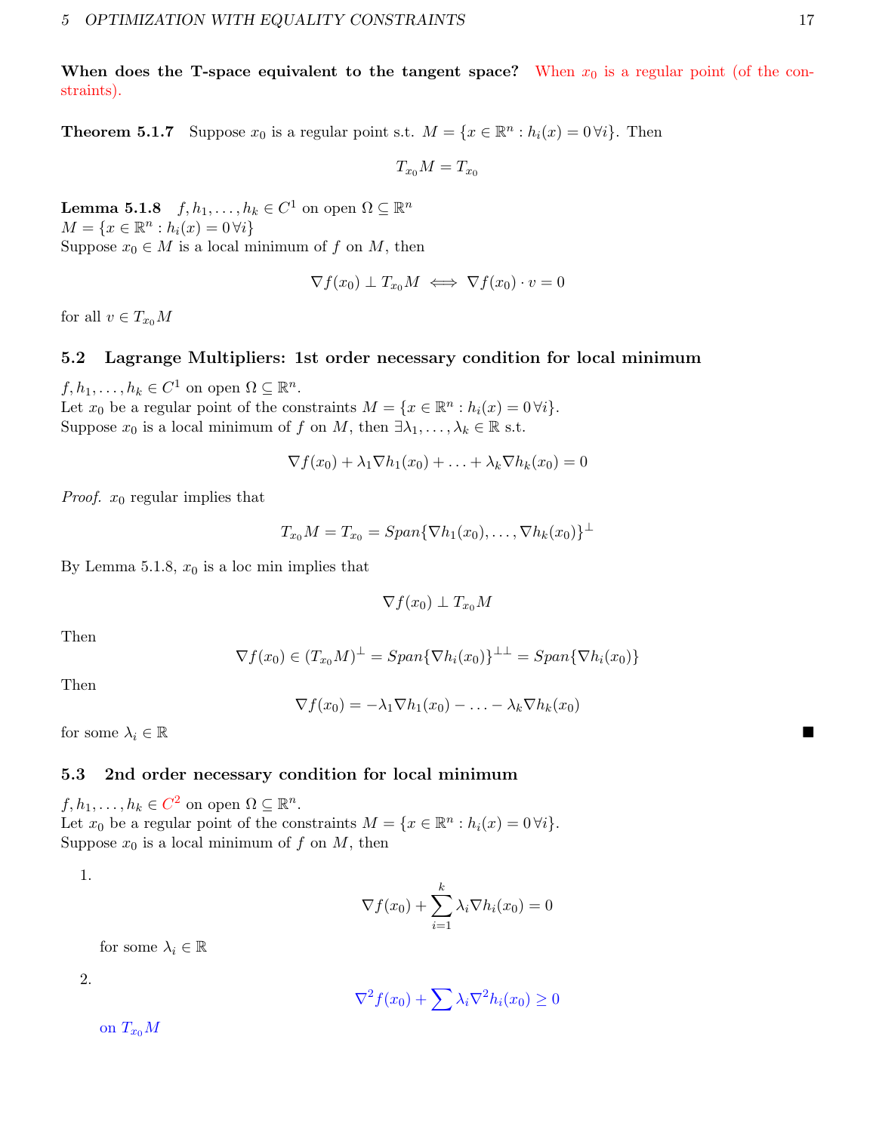When does the T-space equivalent to the tangent space? When  $x_0$  is a regular point (of the constraints).

**Theorem 5.1.7** Suppose  $x_0$  is a regular point s.t.  $M = \{x \in \mathbb{R}^n : h_i(x) = 0 \forall i\}$ . Then

$$
T_{x_0}M=T_{x_0}
$$

**Lemma 5.1.8**  $f, h_1, \ldots, h_k \in C^1$  on open  $\Omega \subseteq \mathbb{R}^n$  $M = \{x \in \mathbb{R}^n : h_i(x) = 0 \,\forall i\}$ Suppose  $x_0 \in M$  is a local minimum of f on M, then

$$
\nabla f(x_0) \perp T_{x_0} M \iff \nabla f(x_0) \cdot v = 0
$$

for all  $v \in T_{x_0}M$ 

#### <span id="page-16-0"></span>5.2 Lagrange Multipliers: 1st order necessary condition for local minimum

 $f, h_1, \ldots, h_k \in C^1$  on open  $\Omega \subseteq \mathbb{R}^n$ . Let  $x_0$  be a regular point of the constraints  $M = \{x \in \mathbb{R}^n : h_i(x) = 0 \forall i\}.$ Suppose  $x_0$  is a local minimum of f on M, then  $\exists \lambda_1, \ldots, \lambda_k \in \mathbb{R}$  s.t.

$$
\nabla f(x_0) + \lambda_1 \nabla h_1(x_0) + \ldots + \lambda_k \nabla h_k(x_0) = 0
$$

*Proof.*  $x_0$  regular implies that

$$
T_{x_0}M = T_{x_0} = Span\{\nabla h_1(x_0), \ldots, \nabla h_k(x_0)\}^{\perp}
$$

By Lemma 5.1.8,  $x_0$  is a loc min implies that

$$
\nabla f(x_0) \perp T_{x_0} M
$$

Then

$$
\nabla f(x_0) \in (T_{x_0}M)^{\perp} = Span\{\nabla h_i(x_0)\}^{\perp \perp} = Span\{\nabla h_i(x_0)\}
$$

Then

$$
\nabla f(x_0) = -\lambda_1 \nabla h_1(x_0) - \ldots - \lambda_k \nabla h_k(x_0)
$$

for some  $\lambda_i \in \mathbb{R}$ 

#### <span id="page-16-1"></span>5.3 2nd order necessary condition for local minimum

 $f, h_1, \ldots, h_k \in C^2$  on open  $\Omega \subseteq \mathbb{R}^n$ . Let  $x_0$  be a regular point of the constraints  $M = \{x \in \mathbb{R}^n : h_i(x) = 0 \forall i\}.$ Suppose  $x_0$  is a local minimum of f on M, then

1.

$$
\nabla f(x_0) + \sum_{i=1}^{k} \lambda_i \nabla h_i(x_0) = 0
$$

for some  $\lambda_i \in \mathbb{R}$ 

2.

$$
\nabla^2 f(x_0) + \sum \lambda_i \nabla^2 h_i(x_0) \ge 0
$$

on  $T_{x_0}M$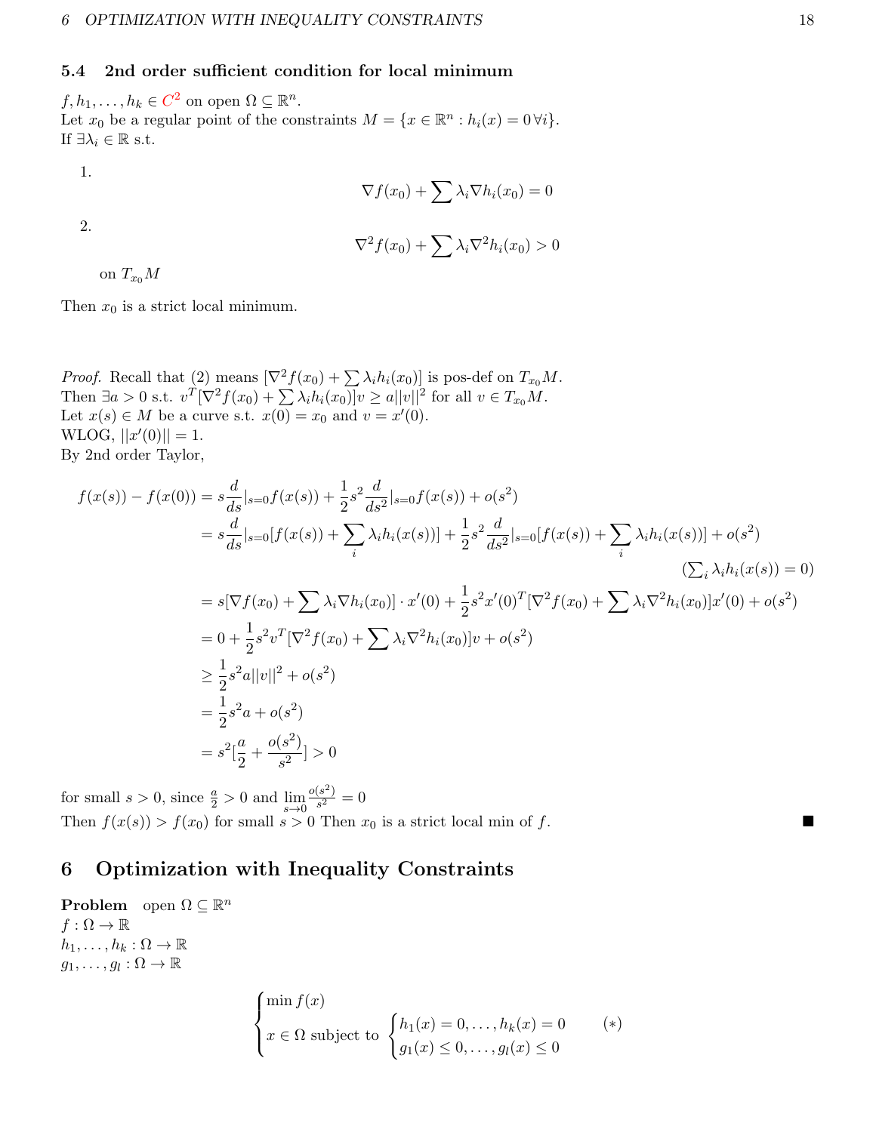### <span id="page-17-0"></span>5.4 2nd order sufficient condition for local minimum

 $f, h_1, \ldots, h_k \in C^2$  on open  $\Omega \subseteq \mathbb{R}^n$ . Let  $x_0$  be a regular point of the constraints  $M = \{x \in \mathbb{R}^n : h_i(x) = 0 \forall i\}.$ If  $\exists \lambda_i \in \mathbb{R}$  s.t.

1.

2.

$$
\nabla f(x_0) + \sum \lambda_i \nabla h_i(x_0) = 0
$$

$$
\nabla^2 f(x_0) + \sum \lambda_i \nabla^2 h_i(x_0) > 0
$$

on  $T_{x_0}M$ 

Then  $x_0$  is a strict local minimum.

*Proof.* Recall that (2) means  $[\nabla^2 f(x_0) + \sum \lambda_i h_i(x_0)]$  is pos-def on  $T_{x_0}M$ . Then  $\exists a > 0$  s.t.  $v^T [\nabla^2 f(x_0) + \sum \lambda_i h_i(x_0)] v \ge a ||v||^2$  for all  $v \in T_{x_0}M$ . Let  $x(s) \in M$  be a curve s.t.  $x(0) = x_0$  and  $v = x'(0)$ .  $WLOG, ||x'(0)|| = 1.$ By 2nd order Taylor,

$$
f(x(s)) - f(x(0)) = s\frac{d}{ds}|_{s=0}f(x(s)) + \frac{1}{2}s^2\frac{d}{ds^2}|_{s=0}f(x(s)) + o(s^2)
$$
  
\n
$$
= s\frac{d}{ds}|_{s=0}[f(x(s)) + \sum_{i}\lambda_i h_i(x(s))] + \frac{1}{2}s^2\frac{d}{ds^2}|_{s=0}[f(x(s)) + \sum_{i}\lambda_i h_i(x(s))] + o(s^2)
$$
  
\n
$$
= s[\nabla f(x_0) + \sum_{i}\lambda_i \nabla h_i(x_0)] \cdot x'(0) + \frac{1}{2}s^2x'(0)^T[\nabla^2 f(x_0) + \sum_{i}\lambda_i \nabla^2 h_i(x_0)]x'(0) + o(s^2)
$$
  
\n
$$
= 0 + \frac{1}{2}s^2v^T[\nabla^2 f(x_0) + \sum_{i}\lambda_i \nabla^2 h_i(x_0)]v + o(s^2)
$$
  
\n
$$
\geq \frac{1}{2}s^2a||v||^2 + o(s^2)
$$
  
\n
$$
= \frac{1}{2}s^2a + o(s^2)
$$
  
\n
$$
= s^2[\frac{a}{2} + \frac{o(s^2)}{s^2}] > 0
$$

for small  $s > 0$ , since  $\frac{a}{2} > 0$  and  $\lim_{s \to 0}$  $o(s^2)$  $\frac{(s^{-})}{s^{2}}=0$ Then  $f(x(s)) > f(x_0)$  for small  $s > 0$  Then  $x_0$  is a strict local min of f.

# <span id="page-17-1"></span>6 Optimization with Inequality Constraints

**Problem** open  $\Omega \subseteq \mathbb{R}^n$  $f : \Omega \to \mathbb{R}$  $h_1, \ldots, h_k : \Omega \to \mathbb{R}$  $g_1, \ldots, g_l : \Omega \to \mathbb{R}$  $\int \min f(x)$ 

$$
\begin{cases}\n\min f(x) \\
x \in \Omega \text{ subject to } \begin{cases}\nh_1(x) = 0, \dots, h_k(x) = 0 \\
g_1(x) \le 0, \dots, g_l(x) \le 0\n\end{cases} \quad (*)\n\end{cases}
$$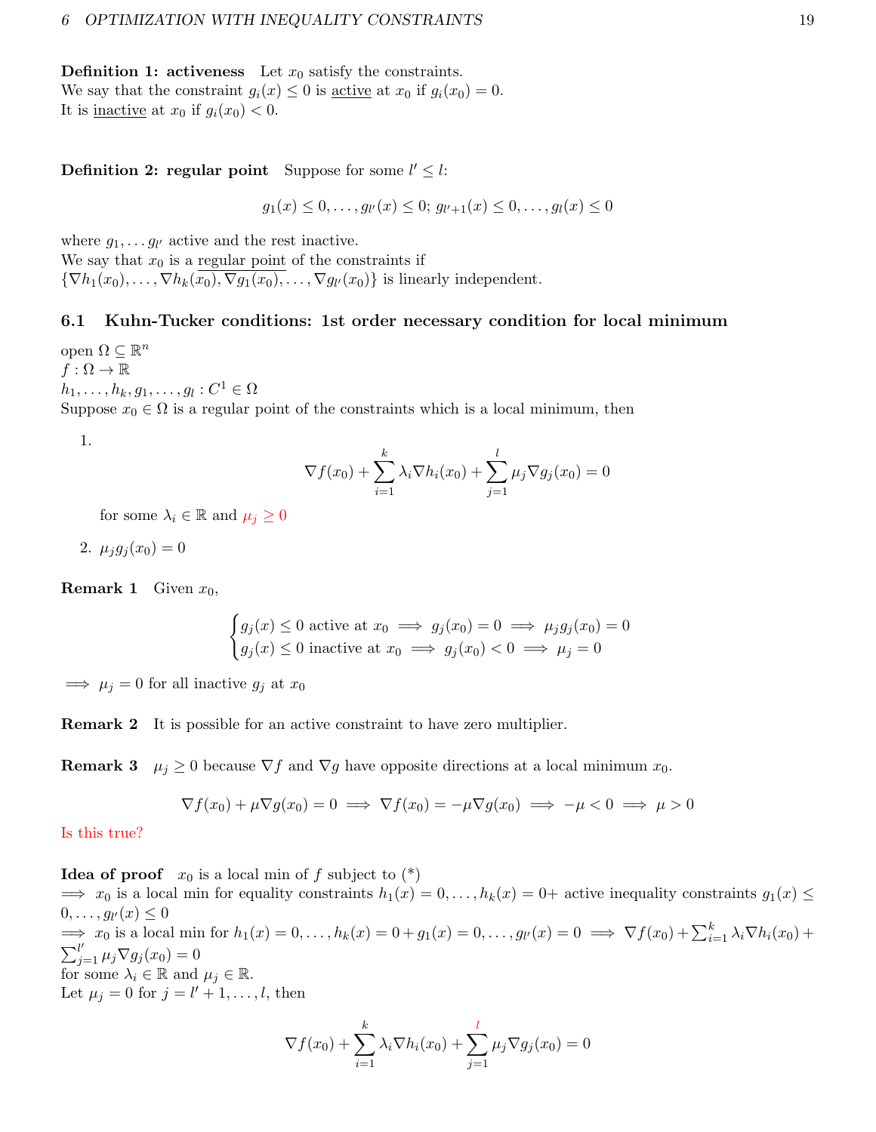**Definition 1: activeness** Let  $x_0$  satisfy the constraints. We say that the constraint  $g_i(x) \leq 0$  is <u>active</u> at  $x_0$  if  $g_i(x_0) = 0$ . It is <u>inactive</u> at  $x_0$  if  $g_i(x_0) < 0$ .

## **Definition 2: regular point** Suppose for some  $l' \leq l$ :

 $g_1(x) \leq 0, \ldots, g_{l'}(x) \leq 0; g_{l'+1}(x) \leq 0, \ldots, g_{l}(x) \leq 0$ 

where  $g_1, \ldots g_{l'}$  active and the rest inactive. We say that  $x_0$  is a regular point of the constraints if  $\{\nabla h_1(x_0), \ldots, \nabla h_k(x_0), \nabla g_1(x_0), \ldots, \nabla g_{l'}(x_0)\}\$ is linearly independent.

#### <span id="page-18-0"></span>6.1 Kuhn-Tucker conditions: 1st order necessary condition for local minimum

open  $\Omega \subseteq \mathbb{R}^n$  $f:\Omega\to\mathbb{R}$  $h_1, \ldots, h_k, g_1, \ldots, g_l : C^1 \in \Omega$ Suppose  $x_0 \in \Omega$  is a regular point of the constraints which is a local minimum, then

1.

$$
\nabla f(x_0) + \sum_{i=1}^k \lambda_i \nabla h_i(x_0) + \sum_{j=1}^l \mu_j \nabla g_j(x_0) = 0
$$

for some  $\lambda_i \in \mathbb{R}$  and  $\mu_i \geq 0$ 

$$
2. \mu_j g_j(x_0) = 0
$$

**Remark 1** Given  $x_0$ ,

$$
\begin{cases} g_j(x) \le 0 \text{ active at } x_0 \implies g_j(x_0) = 0 \implies \mu_j g_j(x_0) = 0\\ g_j(x) \le 0 \text{ inactive at } x_0 \implies g_j(x_0) < 0 \implies \mu_j = 0 \end{cases}
$$

 $\implies \mu_i = 0$  for all inactive  $g_i$  at  $x_0$ 

Remark 2 It is possible for an active constraint to have zero multiplier.

**Remark 3**  $\mu_j \geq 0$  because  $\nabla f$  and  $\nabla g$  have opposite directions at a local minimum  $x_0$ .

$$
\nabla f(x_0) + \mu \nabla g(x_0) = 0 \implies \nabla f(x_0) = -\mu \nabla g(x_0) \implies -\mu < 0 \implies \mu > 0
$$

Is this true?

**Idea of proof**  $x_0$  is a local min of f subject to  $(*)$ 

 $\implies x_0$  is a local min for equality constraints  $h_1(x) = 0, \ldots, h_k(x) = 0$ + active inequality constraints  $g_1(x) \leq$  $0,\ldots,g_{l'}(x)\leq 0$  $\implies x_0$  is a local min for  $h_1(x) = 0, \ldots, h_k(x) = 0 + g_1(x) = 0, \ldots, g_k(x) = 0 \implies \nabla f(x_0) + \sum_{i=1}^k \lambda_i \nabla h_i(x_0) +$  $\sum_{j=1}^{l'} \mu_j \nabla g_j(x_0) = 0$ for some  $\lambda_i \in \mathbb{R}$  and  $\mu_j \in \mathbb{R}$ . Let  $\mu_j = 0$  for  $j = l' + 1, \ldots, l$ , then

$$
\nabla f(x_0) + \sum_{i=1}^k \lambda_i \nabla h_i(x_0) + \sum_{j=1}^l \mu_j \nabla g_j(x_0) = 0
$$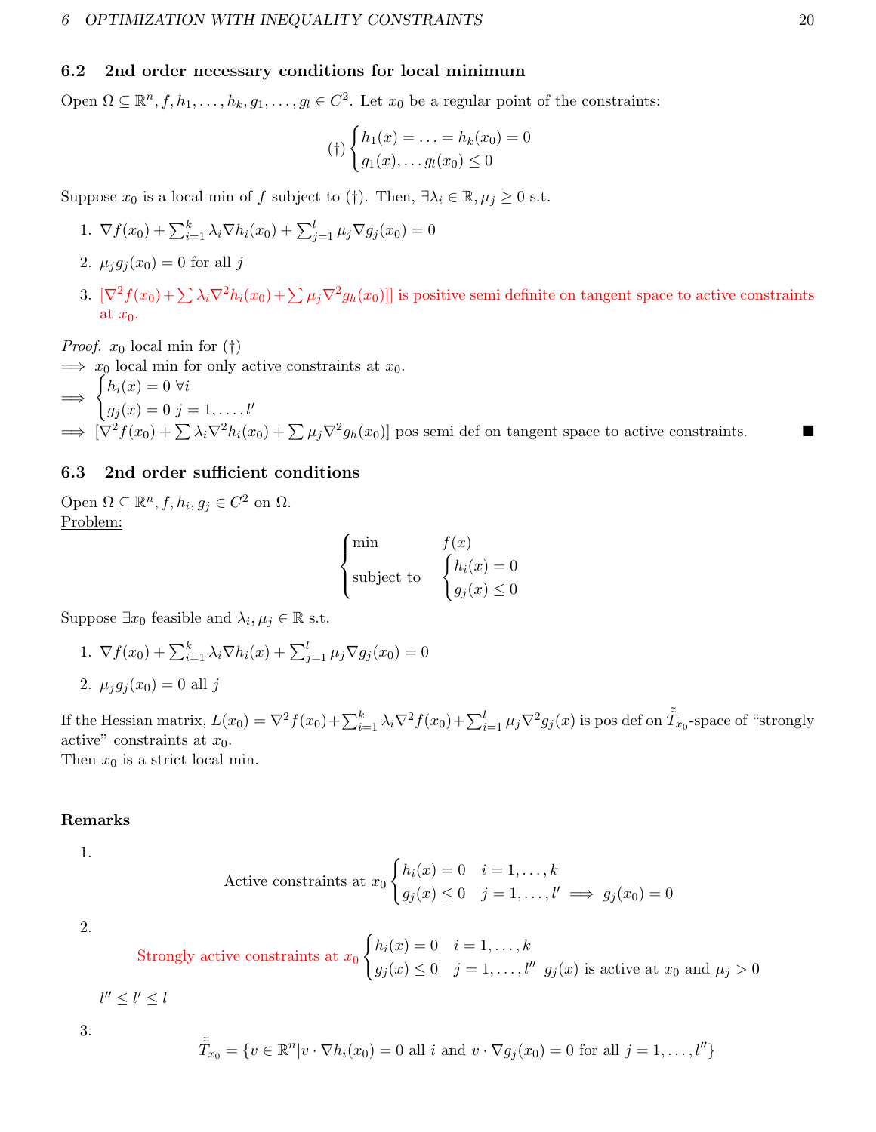#### <span id="page-19-0"></span>6.2 2nd order necessary conditions for local minimum

Open  $\Omega \subseteq \mathbb{R}^n, f, h_1, \ldots, h_k, g_1, \ldots, g_l \in C^2$ . Let  $x_0$  be a regular point of the constraints:

$$
(\dagger) \begin{cases} h_1(x) = \ldots = h_k(x_0) = 0\\ g_1(x), \ldots g_l(x_0) \le 0 \end{cases}
$$

Suppose  $x_0$  is a local min of f subject to (†). Then,  $\exists \lambda_i \in \mathbb{R}, \mu_i \geq 0$  s.t.

- 1.  $\nabla f(x_0) + \sum_{i=1}^{k} \lambda_i \nabla h_i(x_0) + \sum_{j=1}^{l} \mu_j \nabla g_j(x_0) = 0$
- 2.  $\mu_j g_j(x_0) = 0$  for all j
- 3.  $[\nabla^2 f(x_0) + \sum_{i} \lambda_i \nabla^2 h_i(x_0) + \sum_{j} \mu_j \nabla^2 g_h(x_0)]$  is positive semi definite on tangent space to active constraints at  $x_0$ .

*Proof.*  $x_0$  local min for  $(†)$ 

 $\implies x_0$  local min for only active constraints at  $x_0$ .

$$
\Rightarrow \begin{cases} h_i(x) = 0 \ \forall i \\ g_j(x) = 0 \ j = 1, \dots, l' \end{cases}
$$
  
\Rightarrow  $[\nabla^2 f(x_0) + \sum \lambda_i \nabla^2 h_i(x_0) + \sum \mu_j \nabla^2 g_h(x_0)]$  pos semi def on tangent space to active constraints.

# <span id="page-19-1"></span>6.3 2nd order sufficient conditions

Open  $\Omega \subseteq \mathbb{R}^n$ ,  $f, h_i, g_j \in C^2$  on  $\Omega$ . Problem:

$$
\begin{cases}\n\min & f(x) \\
\text{subject to} & \begin{cases} h_i(x) = 0 \\
g_j(x) \le 0 \end{cases}\n\end{cases}
$$

Suppose  $\exists x_0$  feasible and  $\lambda_i, \mu_j \in \mathbb{R}$  s.t.

1. 
$$
\nabla f(x_0) + \sum_{i=1}^{k} \lambda_i \nabla h_i(x) + \sum_{j=1}^{l} \mu_j \nabla g_j(x_0) = 0
$$
  
2.  $\mu_j g_j(x_0) = 0$  all j

If the Hessian matrix,  $L(x_0) = \nabla^2 f(x_0) + \sum_{i=1}^k \lambda_i \nabla^2 f(x_0) + \sum_{i=1}^l \mu_j \nabla^2 g_j(x)$  is pos def on  $\tilde{T}_{x_0}$ -space of "strongly active" constraints at  $x_0$ . Then  $x_0$  is a strict local min.

### Remarks

1.

Active constraints at 
$$
x_0
$$
 
$$
\begin{cases} h_i(x) = 0 & i = 1, ..., k \\ g_j(x) \le 0 & j = 1, ..., l' \implies g_j(x_0) = 0 \end{cases}
$$

2.

Strongly active constraints at 
$$
x_0
$$
 
$$
\begin{cases} h_i(x) = 0 & i = 1, ..., k \\ g_j(x) \le 0 & j = 1, ..., l'' \end{cases}
$$
  $g_j(x)$  is active at  $x_0$  and  $\mu_j > 0$ 

 $l'' \leq l' \leq l$ 

3.

$$
\tilde{\tilde{T}}_{x_0} = \{ v \in \mathbb{R}^n | v \cdot \nabla h_i(x_0) = 0 \text{ all } i \text{ and } v \cdot \nabla g_j(x_0) = 0 \text{ for all } j = 1, \dots, l'' \}
$$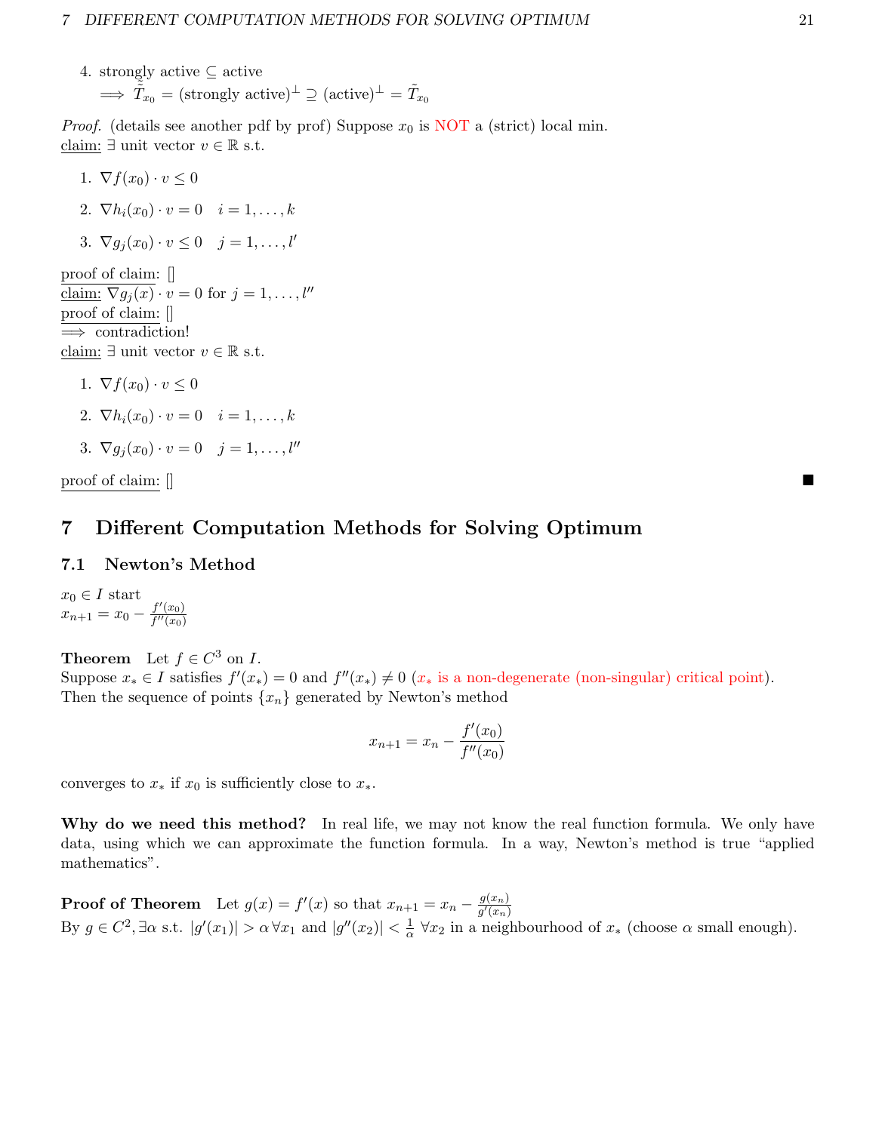4. strongly active  $\subseteq$  active  $\Rightarrow \tilde{\tilde{T}}_{x_0} = (\text{strongly active})^\perp \supseteq (\text{active})^\perp = \tilde{T}_{x_0}$ 

*Proof.* (details see another pdf by prof) Suppose  $x_0$  is NOT a (strict) local min. claim:  $\exists$  unit vector  $v \in \mathbb{R}$  s.t.

1.  $\nabla f(x_0) \cdot v \leq 0$ 2.  $\nabla h_i(x_0) \cdot v = 0 \quad i = 1, \ldots, k$ 3.  $\nabla g_j(x_0) \cdot v \leq 0 \quad j = 1, \ldots, l'$ proof of claim: [] claim:  $\nabla g_j(x) \cdot v = 0$  for  $j = 1, \ldots, l''$ 

proof of claim: [] =⇒ contradiction! claim: ∃ unit vector  $v \in \mathbb{R}$  s.t.

- 1.  $\nabla f(x_0) \cdot v \leq 0$
- 2.  $\nabla h_i(x_0) \cdot v = 0 \quad i = 1, \ldots, k$

$$
3. \ \nabla g_j(x_0) \cdot v = 0 \quad j = 1, \dots, l''
$$

 $\mathbf{p}$  proof of claim:  $\mathbf{p}$ 

# <span id="page-20-0"></span>7 Different Computation Methods for Solving Optimum

# <span id="page-20-1"></span>7.1 Newton's Method

 $x_0 \in I$  start  $x_{n+1} = x_0 - \frac{f'(x_0)}{f''(x_0)}$  $\overline{f''(x_0)}$ 

**Theorem** Let  $f \in C^3$  on *I*.

Suppose  $x_* \in I$  satisfies  $f'(x_*) = 0$  and  $f''(x_*) \neq 0$   $(x_*$  is a non-degenerate (non-singular) critical point). Then the sequence of points  $\{x_n\}$  generated by Newton's method

$$
x_{n+1} = x_n - \frac{f'(x_0)}{f''(x_0)}
$$

converges to  $x_*$  if  $x_0$  is sufficiently close to  $x_*$ .

Why do we need this method? In real life, we may not know the real function formula. We only have data, using which we can approximate the function formula. In a way, Newton's method is true "applied mathematics".

**Proof of Theorem** Let  $g(x) = f'(x)$  so that  $x_{n+1} = x_n - \frac{g(x_n)}{g'(x_n)}$  $\overline{g'(x_n)}$ By  $g \in C^2$ ,  $\exists \alpha$  s.t.  $|g'(x_1)| > \alpha \,\forall x_1$  and  $|g''(x_2)| < \frac{1}{\alpha}$  $\frac{1}{\alpha}$   $\forall x_2$  in a neighbourhood of  $x_*$  (choose  $\alpha$  small enough).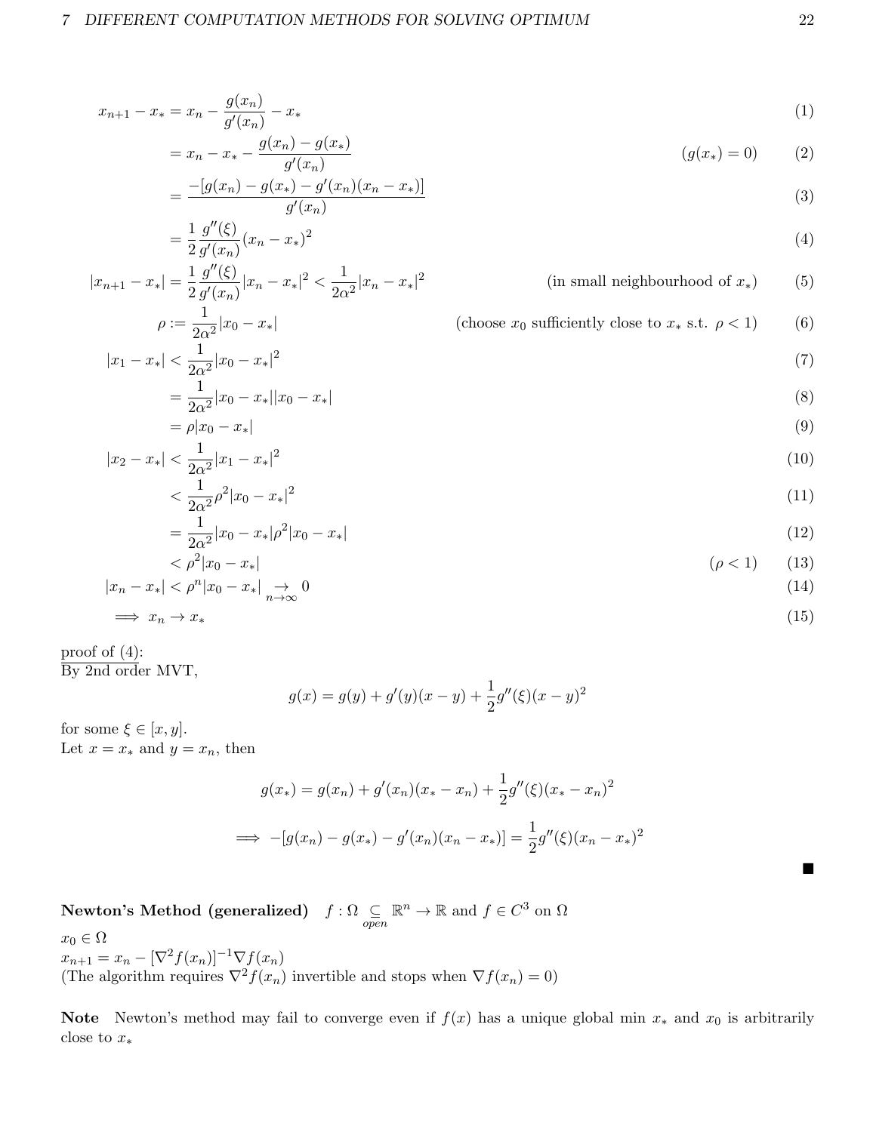$$
x_{n+1} - x_* = x_n - \frac{g(x_n)}{g'(x_n)} - x_* \tag{1}
$$

$$
= x_n - x_* - \frac{g(x_n) - g(x_*)}{g'(x_n)}
$$
 (g(x\*) = 0) (2)

$$
=\frac{-[g(x_n) - g(x_*) - g'(x_n)(x_n - x_*)]}{g'(x_n)}
$$
(3)  
1  $g''(\xi)$ 

$$
(4)
$$

П

$$
|x_{n+1} - x_*| = \frac{1}{2} \frac{g''(\xi)}{g'(x_n)} |x_n - x_*|^2 < \frac{1}{2\alpha^2} |x_n - x_*|^2
$$

 $\frac{g(x)}{g'(x_n)}(x_n-x_*)^2$ 

 $=\frac{1}{2}$ 2

$$
f_{\rm{max}}(x)
$$

(in small neighbourhood of  $x_*($ ) (5)

$$
\rho := \frac{1}{2\alpha^2}|x_0 - x_*|
$$
\n(choose  $x_0$  sufficiently close to  $x_*$  s.t.  $\rho < 1$ )

\n(6)

\n
$$
|1 - x_*| < \frac{1}{2\alpha^2}|x_0 - x_*|^2
$$
\n(7)

$$
=\frac{1}{2\alpha^2}|x_0 - x_*||x_0 - x_*| \tag{8}
$$

$$
= \rho |x_0 - x_*|
$$
  
\n
$$
|x_2 - x_*| < \frac{1}{2\alpha^2} |x_1 - x_*|^2
$$
\n
$$
(10)
$$

$$
\langle \frac{1}{2\alpha^2} \rho^2 |x_0 - x_*|^2 \tag{11}
$$

$$
=\frac{1}{2\alpha^2}|x_0 - x_*|\rho^2|x_0 - x_*| \tag{12}
$$

$$
\langle \rho^2 | x_0 - x_* | \qquad (\rho < 1) \qquad (13)
$$
  

$$
|x_n - x_*| < \rho^n | x_0 - x_* | \xrightarrow[n \to \infty]{} 0 \qquad (14)
$$

$$
\implies x_n \to x_* \tag{15}
$$

proof of  $(4)$ : By 2nd order MVT,

 $|x$ 

$$
g(x) = g(y) + g'(y)(x - y) + \frac{1}{2}g''(\xi)(x - y)^2
$$

for some  $\xi \in [x, y]$ . Let  $x = x_*$  and  $y = x_n$ , then

$$
g(x_*) = g(x_n) + g'(x_n)(x_* - x_n) + \frac{1}{2}g''(\xi)(x_* - x_n)^2
$$
  

$$
\implies -[g(x_n) - g(x_*) - g'(x_n)(x_n - x_*)] = \frac{1}{2}g''(\xi)(x_n - x_*)^2
$$

 $\begin{array}{cc} \textbf{Newton's Method (generalized)} & f:\Omega\subseteq\ \textit{open} \end{array}$  $\mathbb{R}^n \to \mathbb{R}$  and  $f \in C^3$  on  $\Omega$ 

 $x_0 \in \Omega$  $x_{n+1} = x_n - [\nabla^2 f(x_n)]^{-1} \nabla f(x_n)$ (The algorithm requires  $\nabla^2 f(x_n)$  invertible and stops when  $\nabla f(x_n) = 0$ )

Note Newton's method may fail to converge even if  $f(x)$  has a unique global min  $x_*$  and  $x_0$  is arbitrarily close to  $x_*$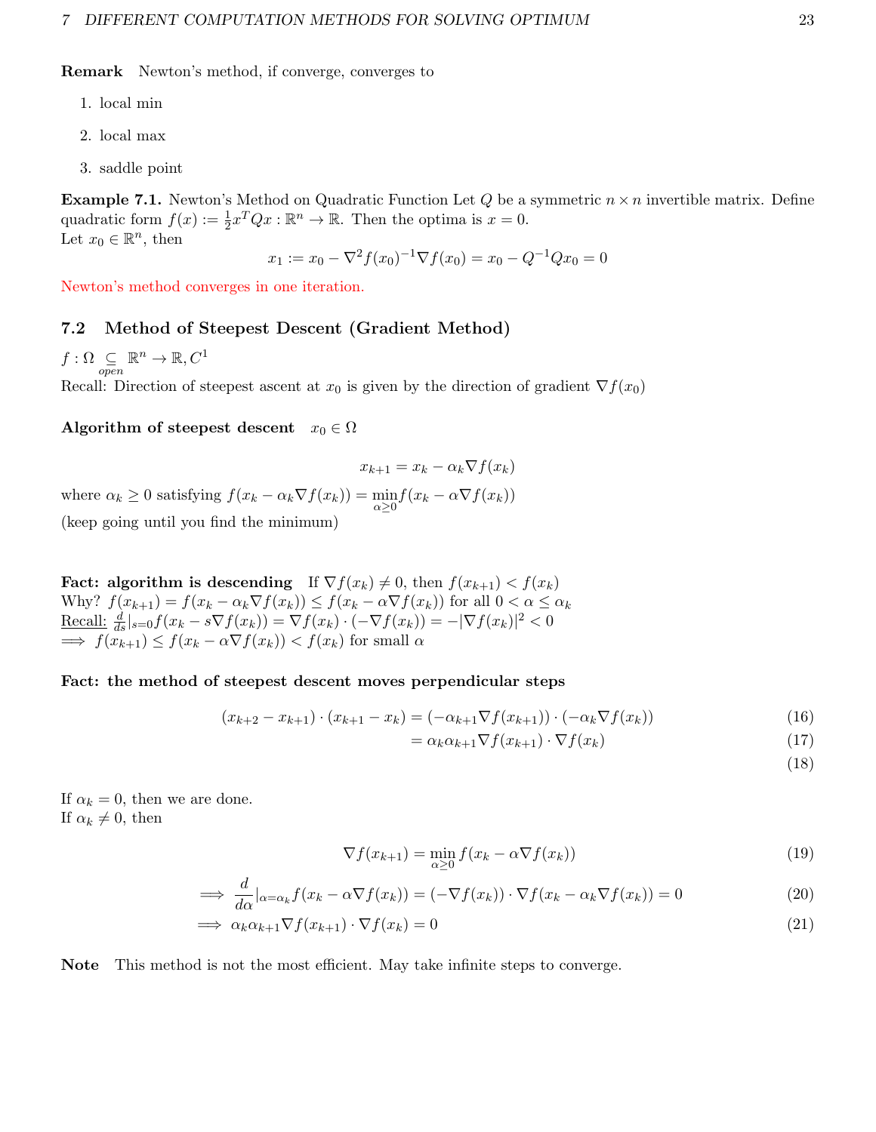Remark Newton's method, if converge, converges to

- 1. local min
- 2. local max
- 3. saddle point

**Example 7.1.** Newton's Method on Quadratic Function Let Q be a symmetric  $n \times n$  invertible matrix. Define quadratic form  $f(x) := \frac{1}{2}x^T Q x : \mathbb{R}^n \to \mathbb{R}$ . Then the optima is  $x = 0$ . Let  $x_0 \in \mathbb{R}^n$ , then

$$
x_1 := x_0 - \nabla^2 f(x_0)^{-1} \nabla f(x_0) = x_0 - Q^{-1} Q x_0 = 0
$$

Newton's method converges in one iteration.

#### <span id="page-22-0"></span>7.2 Method of Steepest Descent (Gradient Method)

 $f : \Omega \subseteq \n_{open}$  $\mathbb{R}^n \to \mathbb{R}, C^1$ 

Recall: Direction of steepest ascent at  $x_0$  is given by the direction of gradient  $\nabla f(x_0)$ 

#### Algorithm of steepest descent  $x_0 \in \Omega$

$$
x_{k+1} = x_k - \alpha_k \nabla f(x_k)
$$

where  $\alpha_k \geq 0$  satisfying  $f(x_k - \alpha_k \nabla f(x_k)) = \min_{\alpha \geq 0} f(x_k - \alpha \nabla f(x_k))$ (keep going until you find the minimum)

Fact: algorithm is descending If  $\nabla f(x_k) \neq 0$ , then  $f(x_{k+1}) < f(x_k)$ Why?  $f(x_{k+1}) = f(x_k - \alpha_k \nabla f(x_k)) \le f(x_k - \alpha \nabla f(x_k))$  for all  $0 < \alpha \le \alpha_k$ <u>Recall:</u>  $\frac{d}{ds}|_{s=0} f(x_k - s \nabla f(x_k)) = \nabla f(x_k) \cdot (-\nabla f(x_k)) = -|\nabla f(x_k)|^2 < 0$  $\implies f(x_{k+1}) \leq f(x_k - \alpha \nabla f(x_k)) < f(x_k)$  for small  $\alpha$ 

#### Fact: the method of steepest descent moves perpendicular steps

$$
(x_{k+2} - x_{k+1}) \cdot (x_{k+1} - x_k) = (-\alpha_{k+1} \nabla f(x_{k+1})) \cdot (-\alpha_k \nabla f(x_k))
$$
\n(16)

$$
= \alpha_k \alpha_{k+1} \nabla f(x_{k+1}) \cdot \nabla f(x_k) \tag{17}
$$

(18)

If  $\alpha_k = 0$ , then we are done. If  $\alpha_k \neq 0$ , then

$$
\nabla f(x_{k+1}) = \min_{\alpha \ge 0} f(x_k - \alpha \nabla f(x_k))
$$
\n(19)

$$
\implies \frac{d}{d\alpha}|_{\alpha=\alpha_k}f(x_k-\alpha \nabla f(x_k)) = (-\nabla f(x_k)) \cdot \nabla f(x_k-\alpha_k \nabla f(x_k)) = 0 \tag{20}
$$

$$
\implies \alpha_k \alpha_{k+1} \nabla f(x_{k+1}) \cdot \nabla f(x_k) = 0 \tag{21}
$$

Note This method is not the most efficient. May take infinite steps to converge.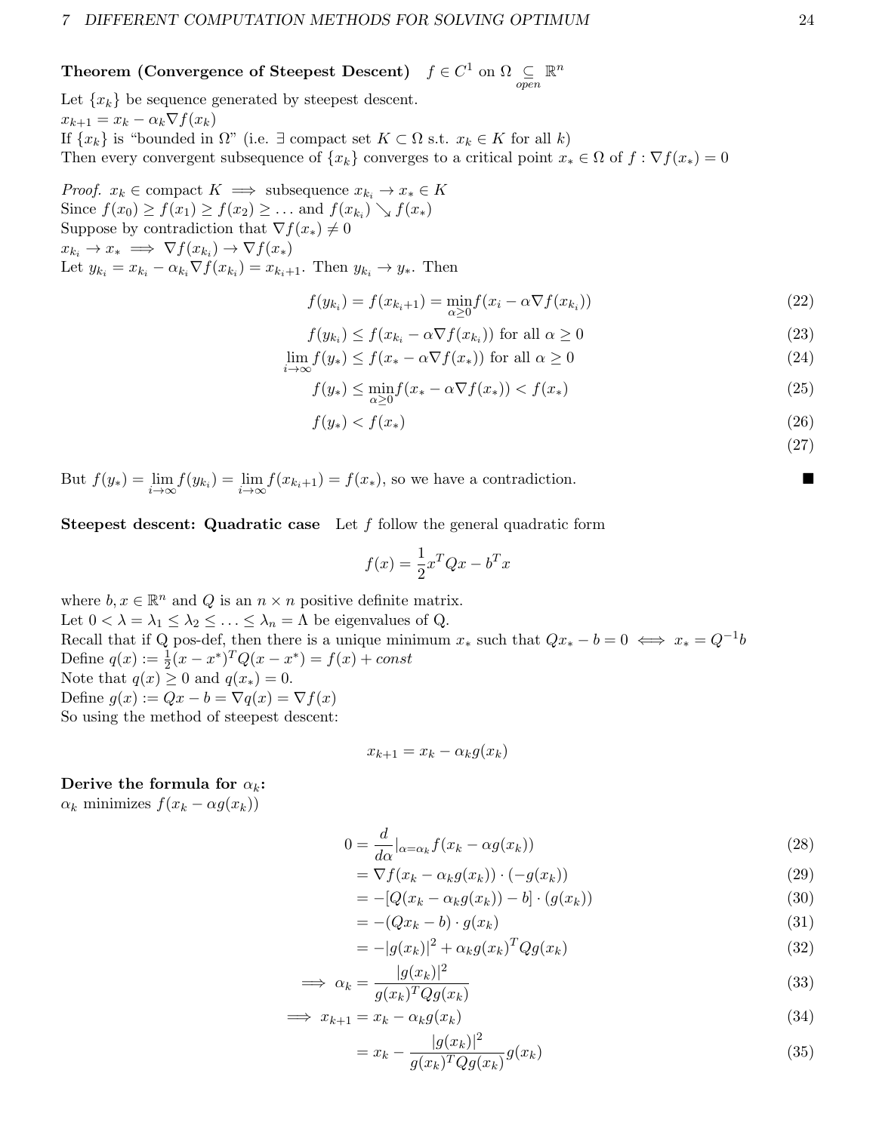#### Theorem (Convergence of Steepest Descent)  $f \in C^1$  on  $\Omega$   $\subseteq \atop open$  $\mathbb{R}^n$

Let  $\{x_k\}$  be sequence generated by steepest descent.  $x_{k+1} = x_k - \alpha_k \nabla f(x_k)$ If  $\{x_k\}$  is "bounded in  $\Omega$ " (i.e.  $\exists$  compact set  $K \subset \Omega$  s.t.  $x_k \in K$  for all k) Then every convergent subsequence of  $\{x_k\}$  converges to a critical point  $x_* \in \Omega$  of  $f : \nabla f(x_*) = 0$ 

*Proof.*  $x_k \in \text{compact } K \implies \text{subsequence } x_{k_i} \to x_* \in K$ Since  $f(x_0) \ge f(x_1) \ge f(x_2) \ge \dots$  and  $f(x_{k_i}) \searrow f(x_*)$ Suppose by contradiction that  $\nabla f(x_*) \neq 0$  $x_{k_i} \to x_* \implies \nabla f(x_{k_i}) \to \nabla f(x_*)$ Let  $y_{k_i} = x_{k_i} - \alpha_{k_i} \nabla f(x_{k_i}) = x_{k_i+1}$ . Then  $y_{k_i} \to y_*$ . Then

$$
f(y_{k_i}) = f(x_{k_i+1}) = \min_{\alpha \ge 0} f(x_i - \alpha \nabla f(x_{k_i}))
$$
\n(22)

$$
f(y_{k_i}) \le f(x_{k_i} - \alpha \nabla f(x_{k_i})) \text{ for all } \alpha \ge 0
$$
\n
$$
(23)
$$

$$
\lim_{i \to \infty} f(y_*) \le f(x_* - \alpha \nabla f(x_*)) \text{ for all } \alpha \ge 0
$$
\n(24)

$$
f(y_*) \le \min_{\alpha \ge 0} f(x_* - \alpha \nabla f(x_*)) < f(x_*) \tag{25}
$$

$$
f(y_*) < f(x_*) \tag{26}
$$

But  $f(y_*) = \lim_{i \to \infty} f(y_{k_i}) = \lim_{i \to \infty} f(x_{k_i+1}) = f(x_*)$ , so we have a contradiction.

**Steepest descent: Quadratic case** Let  $f$  follow the general quadratic form

$$
f(x) = \frac{1}{2}x^T Q x - b^T x
$$

where  $b, x \in \mathbb{R}^n$  and Q is an  $n \times n$  positive definite matrix. Let  $0 < \lambda = \lambda_1 \leq \lambda_2 \leq \ldots \leq \lambda_n = \Lambda$  be eigenvalues of Q. Recall that if Q pos-def, then there is a unique minimum  $x_*$  such that  $Qx_* - b = 0 \iff x_* = Q^{-1}b$ Define  $q(x) := \frac{1}{2}(x - x^*)^T Q (x - x^*) = f(x) + const$ Note that  $q(x) \geq 0$  and  $q(x_*) = 0$ . Define  $g(x) := Qx - b = \nabla q(x) = \nabla f(x)$ So using the method of steepest descent:

$$
x_{k+1} = x_k - \alpha_k g(x_k)
$$

#### Derive the formula for  $\alpha_k$ :

 $\alpha_k$  minimizes  $f(x_k - \alpha g(x_k))$ 

$$
0 = \frac{d}{d\alpha}|_{\alpha = \alpha_k} f(x_k - \alpha g(x_k))
$$
\n(28)

$$
= \nabla f(x_k - \alpha_k g(x_k)) \cdot (-g(x_k)) \tag{29}
$$

$$
= -[Q(x_k - \alpha_k g(x_k)) - b] \cdot (g(x_k)) \tag{30}
$$

$$
=-(Qx_k-b)\cdot g(x_k) \tag{31}
$$

$$
= -|g(x_k)|^2 + \alpha_k g(x_k)^T Q g(x_k)
$$
\n(32)

$$
\implies \alpha_k = \frac{|g(x_k)|^2}{g(x_k)^T Q g(x_k)}\tag{33}
$$

$$
\implies x_{k+1} = x_k - \alpha_k g(x_k) \tag{34}
$$

$$
= x_k - \frac{|g(x_k)|^2}{g(x_k)^T Q g(x_k)} g(x_k)
$$
\n(35)

(27)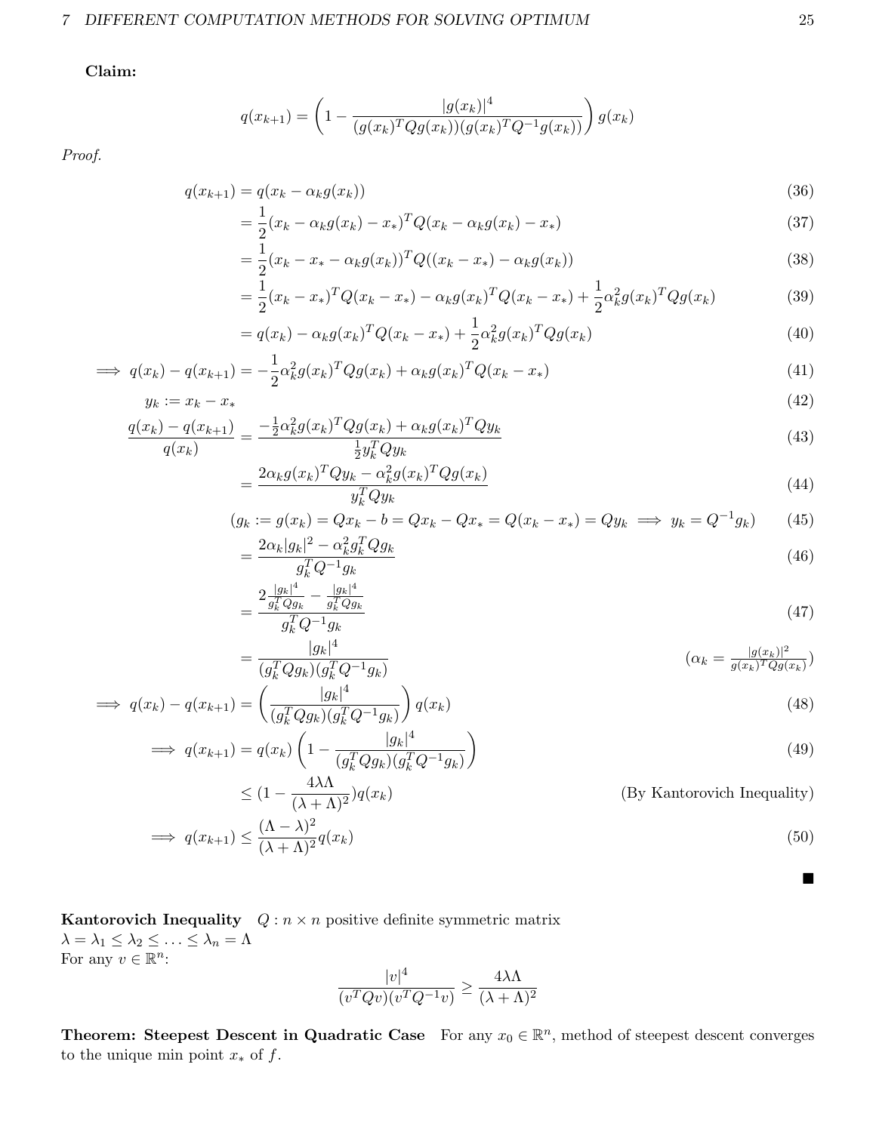### 7 DIFFERENT COMPUTATION METHODS FOR SOLVING OPTIMUM 25

Claim:

$$
q(x_{k+1}) = \left(1 - \frac{|g(x_k)|^4}{(g(x_k)^T Q g(x_k))(g(x_k)^T Q^{-1} g(x_k))}\right) g(x_k)
$$

Proof.

$$
q(x_{k+1}) = q(x_k - \alpha_k g(x_k))
$$
\n<sup>(36)</sup>

$$
= \frac{1}{2}(x_k - \alpha_k g(x_k) - x_*)^T Q(x_k - \alpha_k g(x_k) - x_*)
$$
\n(37)

$$
= \frac{1}{2}(x_k - x_* - \alpha_k g(x_k))^T Q((x_k - x_*) - \alpha_k g(x_k))
$$
\n(38)

$$
= \frac{1}{2}(x_k - x_*)^T Q (x_k - x_*) - \alpha_k g (x_k)^T Q (x_k - x_*) + \frac{1}{2} \alpha_k^2 g (x_k)^T Q g (x_k)
$$
(39)

$$
= q(x_k) - \alpha_k g(x_k)^T Q(x_k - x_*) + \frac{1}{2} \alpha_k^2 g(x_k)^T Q g(x_k)
$$
\n(40)

$$
\implies q(x_k) - q(x_{k+1}) = -\frac{1}{2}\alpha_k^2 g(x_k)^T Q g(x_k) + \alpha_k g(x_k)^T Q(x_k - x_*)
$$
\n(41)

$$
y_k := x_k - x_* \tag{42}
$$

$$
\frac{q(x_k) - q(x_{k+1})}{q(x_k)} = \frac{-\frac{1}{2}\alpha_k^2 g(x_k)^T Q g(x_k) + \alpha_k g(x_k)^T Q y_k}{\frac{1}{2} y_k^T Q y_k}
$$
\n(43)

$$
=\frac{2\alpha_k g(x_k)^T Q y_k - \alpha_k^2 g(x_k)^T Q g(x_k)}{y_k^T Q y_k} \tag{44}
$$

$$
(g_k := g(x_k) = Qx_k - b = Qx_k - Qx_* = Q(x_k - x_*) = Qy_k \implies y_k = Q^{-1}g_k)
$$
(45)

$$
=\frac{2\alpha_k|g_k|^2 - \alpha_k^2 g_k^T Q g_k}{g_k^T Q^{-1} g_k} \tag{46}
$$

$$
=\frac{2\frac{|g_k|^4}{g_k^T Q g_k} - \frac{|g_k|^4}{g_k^T Q g_k}}{g_k^T Q^{-1} g_k} \tag{47}
$$

$$
= \frac{|g_k|^4}{(g_k^T Q g_k)(g_k^T Q^{-1} g_k)}
$$
  
( $\alpha_k = \frac{|g(x_k)|^2}{g(x_k)^T Q g(x_k)}$ )

$$
\implies q(x_k) - q(x_{k+1}) = \left(\frac{|g_k|^4}{(g_k^T Q g_k)(g_k^T Q^{-1} g_k)}\right) q(x_k)
$$
\n(48)

$$
\implies q(x_{k+1}) = q(x_k) \left( 1 - \frac{|g_k|^4}{(g_k^T Q g_k)(g_k^T Q^{-1} g_k)} \right) \tag{49}
$$

$$
\leq (1 - \frac{4\lambda\Lambda}{(\lambda + \Lambda)^2})q(x_k)
$$
 (By Kantorovich Inequality)  

$$
(\Lambda - \lambda)^2
$$

$$
\implies q(x_{k+1}) \le \frac{(\Lambda - \lambda)^2}{(\lambda + \Lambda)^2} q(x_k) \tag{50}
$$

**Kantorovich Inequality**  $Q : n \times n$  positive definite symmetric matrix  $\lambda = \lambda_1 \leq \lambda_2 \leq \ldots \leq \lambda_n = \Lambda$ For any  $v \in \mathbb{R}^n$ :

$$
\frac{|v|^4}{(v^T Q v)(v^T Q^{-1} v)} \ge \frac{4\lambda\Lambda}{(\lambda + \Lambda)^2}
$$

**Theorem:** Steepest Descent in Quadratic Case For any  $x_0 \in \mathbb{R}^n$ , method of steepest descent converges to the unique min point  $x_*$  of  $f$ .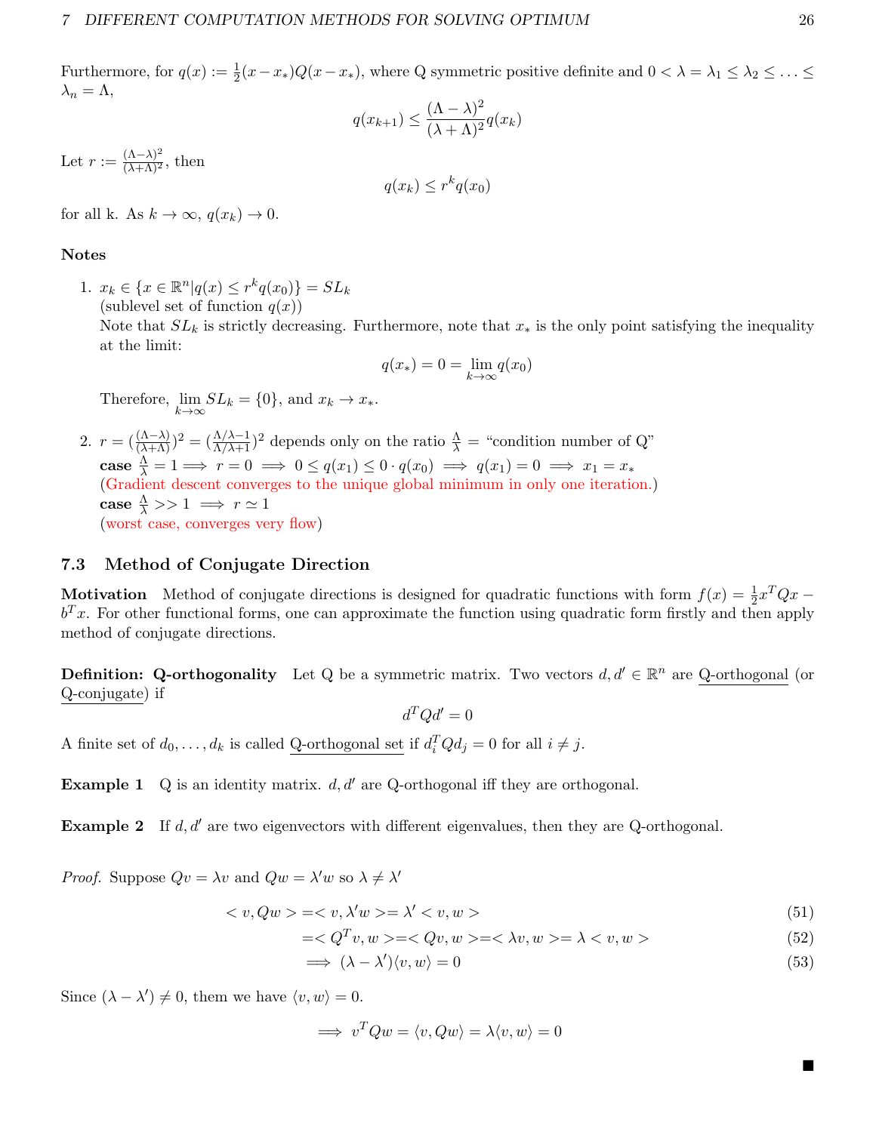Furthermore, for  $q(x) := \frac{1}{2}(x-x_*)Q(x-x_*)$ , where Q symmetric positive definite and  $0 < \lambda = \lambda_1 \leq \lambda_2 \leq \ldots \leq$  $\lambda_n = \Lambda,$ 

$$
q(x_{k+1}) \le \frac{(\Lambda - \lambda)^2}{(\lambda + \Lambda)^2} q(x_k)
$$

Let  $r := \frac{(\Lambda - \lambda)^2}{(\lambda + \Lambda)^2}$ , then

$$
q(x_k) \le r^k q(x_0)
$$

for all k. As  $k \to \infty$ ,  $q(x_k) \to 0$ .

#### Notes

1.  $x_k \in \{x \in \mathbb{R}^n | q(x) \leq r^k q(x_0) \} = SL_k$ (sublevel set of function  $q(x)$ )

Note that  $SL_k$  is strictly decreasing. Furthermore, note that  $x_*$  is the only point satisfying the inequality at the limit:

$$
q(x_*) = 0 = \lim_{k \to \infty} q(x_0)
$$

Therefore,  $\lim_{k \to \infty} SL_k = \{0\}$ , and  $x_k \to x_*$ .

2.  $r = (\frac{(\Lambda - \lambda)}{(\lambda + \Lambda)})^2 = (\frac{\Lambda/\lambda - 1}{\Lambda/\lambda + 1})^2$  depends only on the ratio  $\frac{\Lambda}{\lambda} =$  "condition number of Q" case  $\frac{\Lambda}{\lambda} = 1 \Longrightarrow r = 0 \Longrightarrow 0 \leq q(x_1) \leq 0 \cdot q(x_0) \Longrightarrow q(x_1) = 0 \Longrightarrow x_1 = x_*$ (Gradient descent converges to the unique global minimum in only one iteration.) case  $\frac{\Lambda}{\lambda} >> 1 \implies r \simeq 1$ (worst case, converges very flow)

# <span id="page-25-0"></span>7.3 Method of Conjugate Direction

Motivation Method of conjugate directions is designed for quadratic functions with form  $f(x) = \frac{1}{2}x^TQx$  $b^T x$ . For other functional forms, one can approximate the function using quadratic form firstly and then apply method of conjugate directions.

**Definition:** Q-orthogonality Let Q be a symmetric matrix. Two vectors  $d, d' \in \mathbb{R}^n$  are Q-orthogonal (or Q-conjugate) if

 $d^T Q d' = 0$ 

A finite set of  $d_0, \ldots, d_k$  is called Q-orthogonal set if  $d_i^T Q d_j = 0$  for all  $i \neq j$ .

**Example 1** Q is an identity matrix.  $d, d'$  are Q-orthogonal iff they are orthogonal.

**Example 2** If d, d' are two eigenvectors with different eigenvalues, then they are Q-orthogonal.

*Proof.* Suppose  $Qv = \lambda v$  and  $Qw = \lambda' w$  so  $\lambda \neq \lambda'$ 

$$
\langle v, Qw \rangle = \langle v, \lambda'w \rangle = \lambda' \langle v, w \rangle \tag{51}
$$

$$
===<\lambda v, w>=\lambda
$$
\n
$$
(52)
$$

$$
\implies (\lambda - \lambda')\langle v, w \rangle = 0 \tag{53}
$$

Since  $(\lambda - \lambda') \neq 0$ , them we have  $\langle v, w \rangle = 0$ .

$$
\implies v^TQw = \langle v, Qw \rangle = \lambda \langle v, w \rangle = 0
$$

П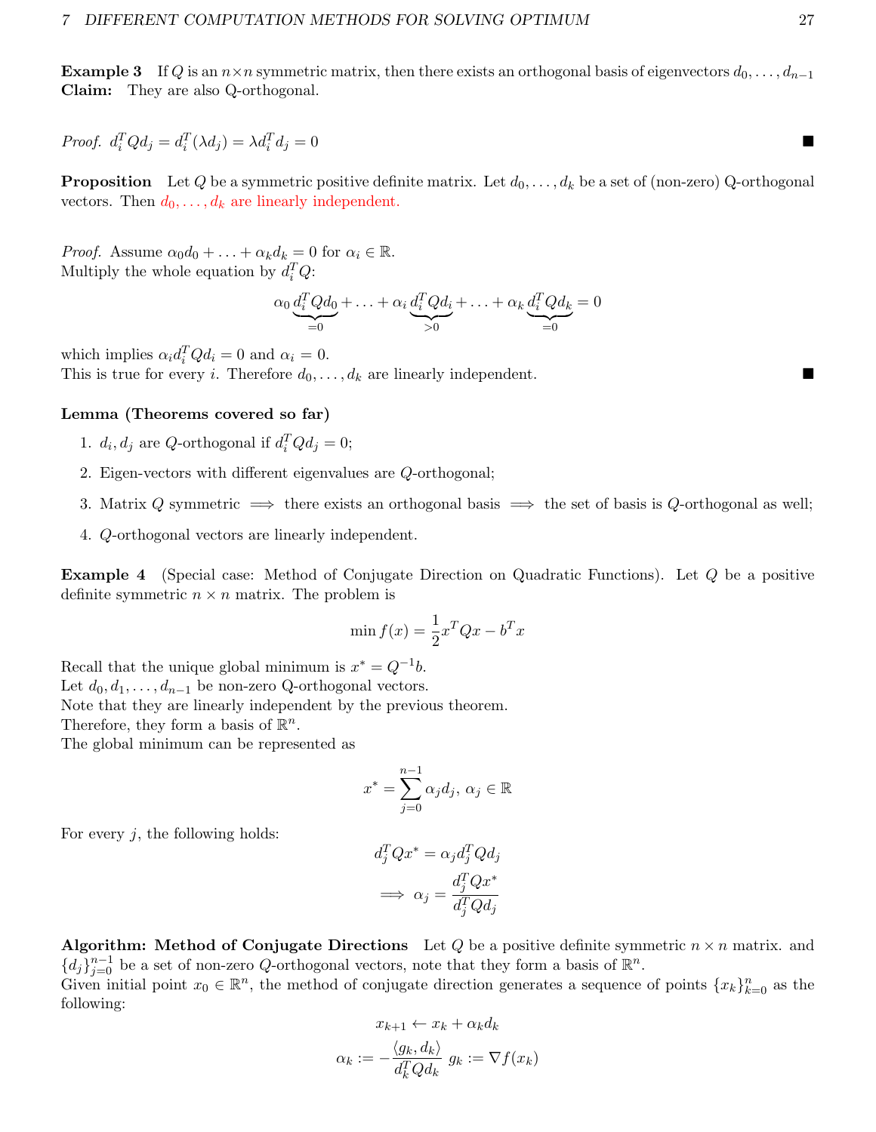**Example 3** If Q is an  $n \times n$  symmetric matrix, then there exists an orthogonal basis of eigenvectors  $d_0, \ldots, d_{n-1}$ Claim: They are also Q-orthogonal.

Proof.  $d_i^T Q d_j = d_i^T (\lambda d_j) = \lambda d_i^T$  $d_j = 0$ 

**Proposition** Let Q be a symmetric positive definite matrix. Let  $d_0, \ldots, d_k$  be a set of (non-zero) Q-orthogonal vectors. Then  $d_0, \ldots, d_k$  are linearly independent.

*Proof.* Assume  $\alpha_0 d_0 + \ldots + \alpha_k d_k = 0$  for  $\alpha_i \in \mathbb{R}$ . Multiply the whole equation by  $d_i^T Q$ :

$$
\alpha_0 \underbrace{d_i^T Q d_0}_{=0} + \ldots + \alpha_i \underbrace{d_i^T Q d_i}_{>0} + \ldots + \alpha_k \underbrace{d_i^T Q d_k}_{=0} = 0
$$

which implies  $\alpha_i d_i^T Q d_i = 0$  and  $\alpha_i = 0$ . This is true for every *i*. Therefore  $d_0, \ldots, d_k$  are linearly independent.

#### Lemma (Theorems covered so far)

- 1.  $d_i, d_j$  are Q-orthogonal if  $d_i^T Q d_j = 0$ ;
- 2. Eigen-vectors with different eigenvalues are Q-orthogonal;
- 3. Matrix Q symmetric  $\implies$  there exists an orthogonal basis  $\implies$  the set of basis is Q-orthogonal as well;
- 4. Q-orthogonal vectors are linearly independent.

Example 4 (Special case: Method of Conjugate Direction on Quadratic Functions). Let Q be a positive definite symmetric  $n \times n$  matrix. The problem is

$$
\min f(x) = \frac{1}{2}x^T Q x - b^T x
$$

Recall that the unique global minimum is  $x^* = Q^{-1}b$ . Let  $d_0, d_1, \ldots, d_{n-1}$  be non-zero Q-orthogonal vectors. Note that they are linearly independent by the previous theorem.

Therefore, they form a basis of  $\mathbb{R}^n$ .

The global minimum can be represented as

$$
x^* = \sum_{j=0}^{n-1} \alpha_j d_j, \ \alpha_j \in \mathbb{R}
$$

For every  $j$ , the following holds:

$$
d_j^T Q x^* = \alpha_j d_j^T Q d_j
$$

$$
\implies \alpha_j = \frac{d_j^T Q x^*}{d_j^T Q d_j}
$$

**Algorithm:** Method of Conjugate Directions Let Q be a positive definite symmetric  $n \times n$  matrix. and  ${d_j}_{j=0}^{n-1}$  be a set of non-zero Q-orthogonal vectors, note that they form a basis of  $\mathbb{R}^n$ .

Given initial point  $x_0 \in \mathbb{R}^n$ , the method of conjugate direction generates a sequence of points  $\{x_k\}_{k=0}^n$  as the following:

$$
x_{k+1} \leftarrow x_k + \alpha_k d_k
$$

$$
\alpha_k := -\frac{\langle g_k, d_k \rangle}{d_k^T Q d_k} g_k := \nabla f(x_k)
$$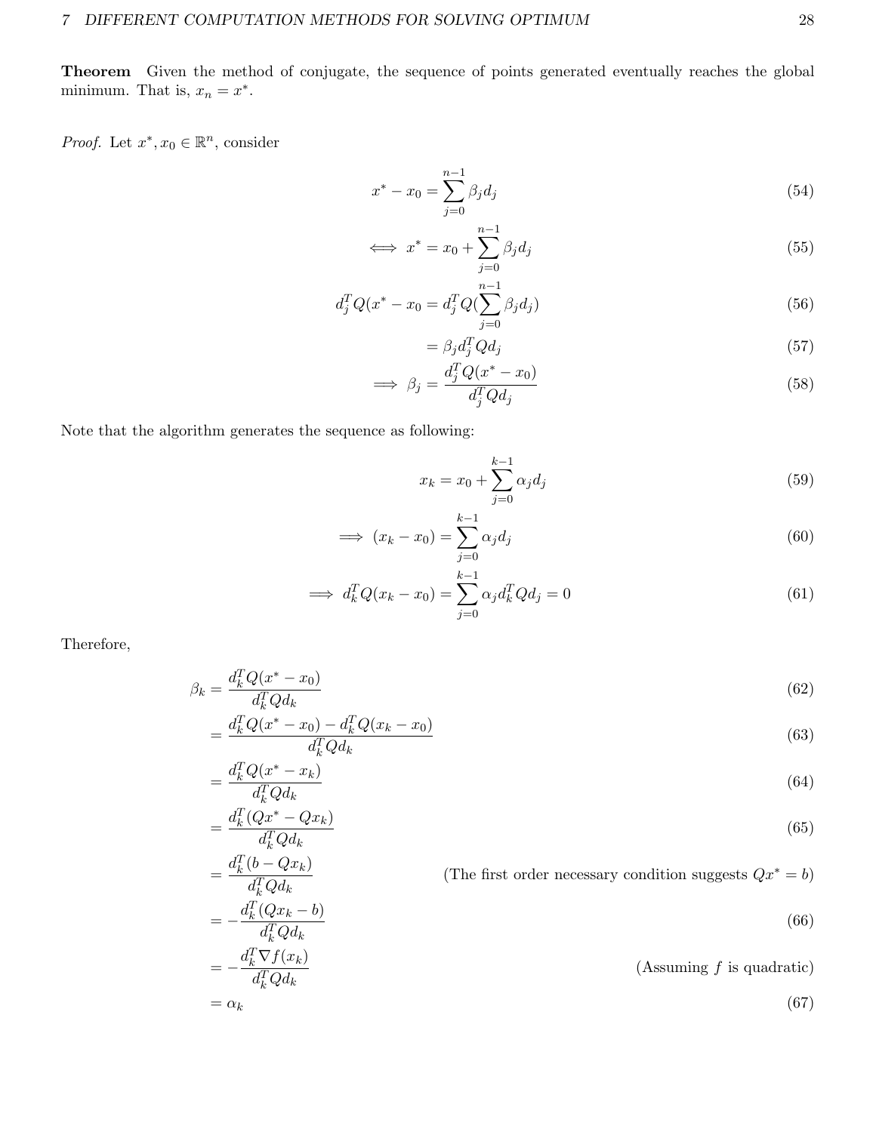Theorem Given the method of conjugate, the sequence of points generated eventually reaches the global minimum. That is,  $x_n = x^*$ .

*Proof.* Let  $x^*, x_0 \in \mathbb{R}^n$ , consider

$$
x^* - x_0 = \sum_{j=0}^{n-1} \beta_j d_j \tag{54}
$$

$$
\iff x^* = x_0 + \sum_{j=0}^{n-1} \beta_j d_j \tag{55}
$$

$$
d_j^T Q(x^* - x_0 = d_j^T Q(\sum_{j=0}^{n-1} \beta_j d_j)
$$
\n(56)

$$
=\beta_j d_j^T Q d_j\tag{57}
$$

$$
\implies \beta_j = \frac{d_j^T Q(x^* - x_0)}{d_j^T Q d_j} \tag{58}
$$

Note that the algorithm generates the sequence as following:

 $= \frac{d_k^T (b - Qx_k)}{d_k^T (c)}$ 

$$
x_k = x_0 + \sum_{j=0}^{k-1} \alpha_j d_j \tag{59}
$$

$$
\implies (x_k - x_0) = \sum_{j=0}^{k-1} \alpha_j d_j \tag{60}
$$

$$
\implies d_k^T Q(x_k - x_0) = \sum_{j=0}^{k-1} \alpha_j d_k^T Q d_j = 0 \tag{61}
$$

Therefore,

$$
\beta_k = \frac{d_k^T Q(x^* - x_0)}{d_k^T Q d_k} \tag{62}
$$

$$
=\frac{d_k^T Q(x^* - x_0) - d_k^T Q(x_k - x_0)}{d_k^T Q d_k}
$$
\n(63)

$$
=\frac{d_k^T Q(x^* - x_k)}{d_k^T Q d_k} \tag{64}
$$

$$
=\frac{d_k^T(Qx^* - Qx_k)}{d_k^T Q d_k} \tag{65}
$$

(The first order necessary condition suggests  $Qx^* = b$ )

$$
= -\frac{d_k^T Q d_k}{d_k^T Q d_k} = -\frac{d_k^T (Q x_k - b)}{d_k^T Q d_k}
$$
\n(66)

$$
= -\frac{d_k^T \nabla f(x_k)}{d_k^T Q d_k}
$$
 (Assuming f is quadratic)  
=  $\alpha_k$  (67)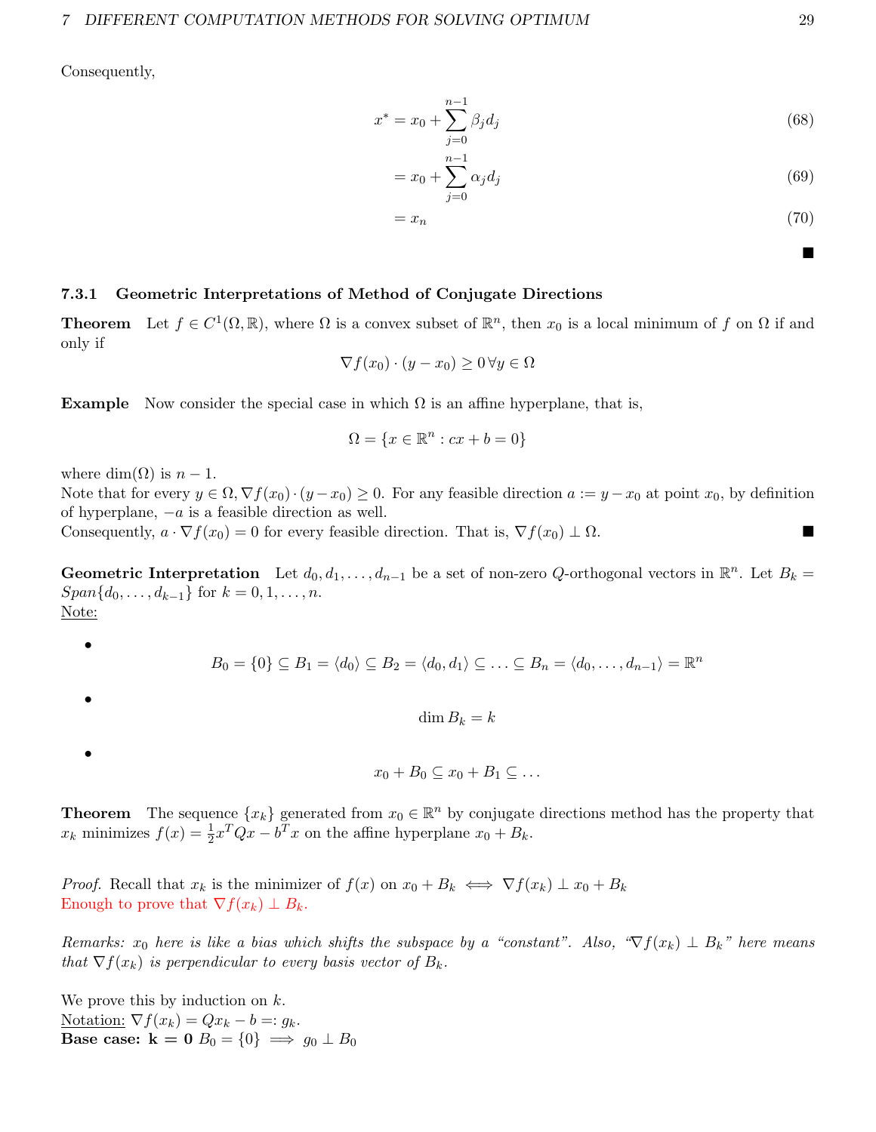Consequently,

$$
x^* = x_0 + \sum_{j=0}^{n-1} \beta_j d_j \tag{68}
$$

$$
= x_0 + \sum_{j=0}^{n-1} \alpha_j d_j \tag{69}
$$

$$
=x_n \tag{70}
$$

#### <span id="page-28-0"></span>7.3.1 Geometric Interpretations of Method of Conjugate Directions

**Theorem** Let  $f \in C^1(\Omega, \mathbb{R})$ , where  $\Omega$  is a convex subset of  $\mathbb{R}^n$ , then  $x_0$  is a local minimum of f on  $\Omega$  if and only if

$$
\nabla f(x_0) \cdot (y - x_0) \ge 0 \,\forall y \in \Omega
$$

**Example** Now consider the special case in which  $\Omega$  is an affine hyperplane, that is,

$$
\Omega = \{x \in \mathbb{R}^n : cx + b = 0\}
$$

where dim( $\Omega$ ) is  $n-1$ .

Note that for every  $y \in \Omega$ ,  $\nabla f(x_0) \cdot (y - x_0) \ge 0$ . For any feasible direction  $a := y - x_0$  at point  $x_0$ , by definition of hyperplane,  $-a$  is a feasible direction as well.

Consequently,  $a \cdot \nabla f(x_0) = 0$  for every feasible direction. That is,  $\nabla f(x_0) \perp \Omega$ .

Geometric Interpretation Let  $d_0, d_1, \ldots, d_{n-1}$  be a set of non-zero Q-orthogonal vectors in  $\mathbb{R}^n$ . Let  $B_k =$  $Span\{d_0, \ldots, d_{k-1}\}\$  for  $k = 0, 1, \ldots, n$ . Note:

 $B_0 = \{0\} \subseteq B_1 = \langle d_0 \rangle \subseteq B_2 = \langle d_0, d_1 \rangle \subseteq \ldots \subseteq B_n = \langle d_0, \ldots, d_{n-1} \rangle = \mathbb{R}^n$  $\dim B_k = k$ 

•

•

•

 $x_0 + B_0 \subseteq x_0 + B_1 \subseteq \ldots$ 

**Theorem** The sequence  $\{x_k\}$  generated from  $x_0 \in \mathbb{R}^n$  by conjugate directions method has the property that  $x_k$  minimizes  $f(x) = \frac{1}{2}x^TQx - b^Tx$  on the affine hyperplane  $x_0 + B_k$ .

*Proof.* Recall that  $x_k$  is the minimizer of  $f(x)$  on  $x_0 + B_k \iff \nabla f(x_k) \perp x_0 + B_k$ Enough to prove that  $\nabla f(x_k) \perp B_k$ .

Remarks:  $x_0$  here is like a bias which shifts the subspace by a "constant". Also, " $\nabla f(x_k) \perp B_k$ " here means that  $\nabla f(x_k)$  is perpendicular to every basis vector of  $B_k$ .

We prove this by induction on  $k$ . Notation:  $\nabla f(x_k) = Qx_k - b =: g_k$ . Base case:  $k = 0$   $B_0 = \{0\} \implies g_0 \perp B_0$  П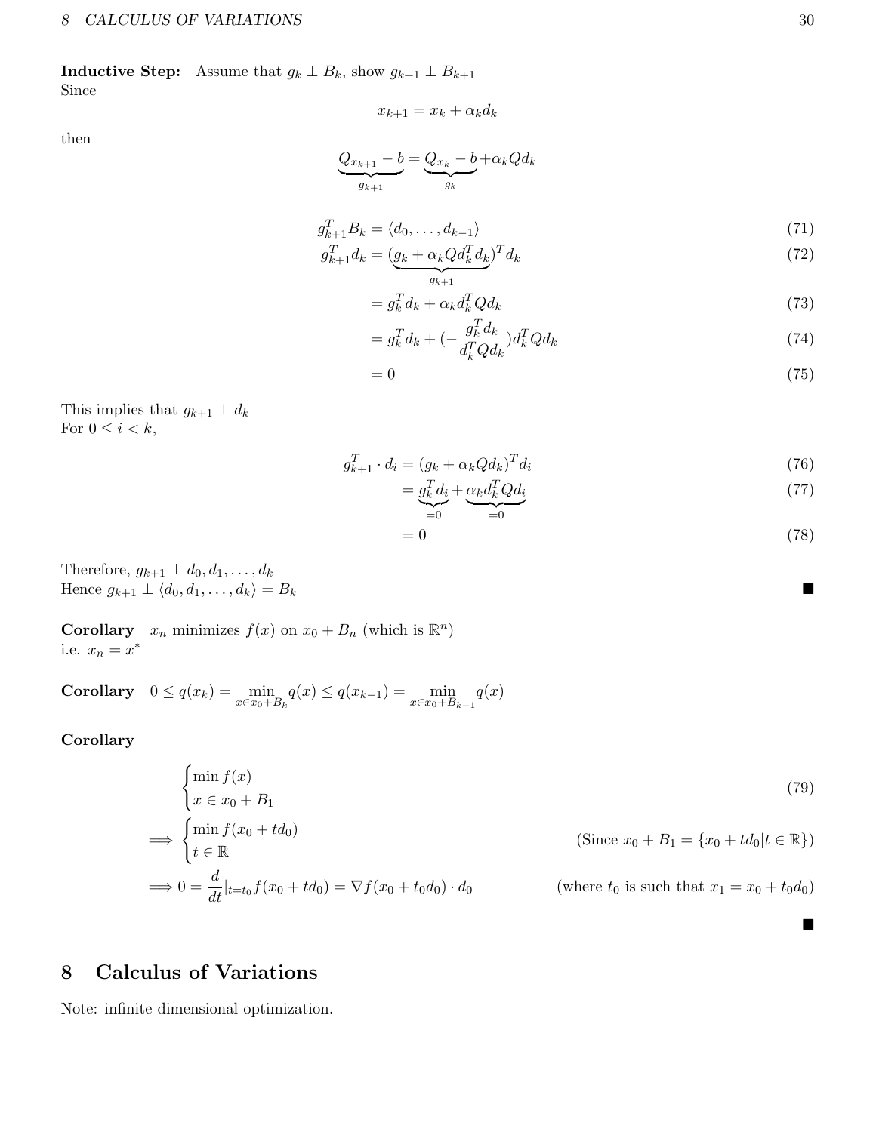**Inductive Step:** Assume that  $g_k \perp B_k$ , show  $g_{k+1} \perp B_{k+1}$ Since

then

$$
Q_{x_{k+1}}-b=Q_{x_k}-b\!+\!\alpha_k Qd_k
$$

$$
\underbrace{\qquad \qquad \cdots}_{g_{k+1}} \qquad \qquad \underbrace{\qquad \qquad}_{g_k}
$$

 $x_{k+1} = x_k + \alpha_k d_k$ 

$$
g_{k+1}^T B_k = \langle d_0, \dots, d_{k-1} \rangle \tag{71}
$$

$$
g_{k+1}^T d_k = \underbrace{(g_k + \alpha_k Q d_k^T d_k)}_{g_{k+1}}^T d_k \tag{72}
$$

$$
= g_k^T d_k + \alpha_k d_k^T Q d_k \tag{73}
$$

$$
= g_k^T d_k + \left(-\frac{g_k^T d_k}{d_k^T Q d_k}\right) d_k^T Q d_k \tag{74}
$$

$$
=0 \tag{75}
$$

This implies that  $g_{k+1} \perp d_k$ For  $0\leq i < k,$ 

$$
g_{k+1}^T \cdot d_i = (g_k + \alpha_k Q d_k)^T d_i \tag{76}
$$

$$
=\underbrace{g_k^T d_i}_{=0} + \underbrace{\alpha_k d_k^T Q d_i}_{=0} \tag{77}
$$

$$
=0\tag{78}
$$

Therefore,  $g_{k+1} \perp d_0, d_1, \ldots, d_k$ Hence  $g_{k+1} \perp \langle d_0, d_1, \ldots, d_k \rangle = B_k$ 

**Corollary**  $x_n$  minimizes  $f(x)$  on  $x_0 + B_n$  (which is  $\mathbb{R}^n$ ) i.e.  $x_n = x^*$ 

Corollary  $0 \le q(x_k) = \min_{x \in x_0 + B_k} q(x) \le q(x_{k-1}) = \min_{x \in x_0 + B_{k-1}} q(x)$ 

Corollary

$$
\begin{cases}\n\min f(x) & (79) \\
x \in x_0 + B_1 & \text{(Since } x_0 + B_1 = \{x_0 + td_0 | t \in \mathbb{R}\} \text{)} \\
\implies \begin{cases}\n\min f(x_0 + td_0) & \text{(Since } x_0 + B_1 = \{x_0 + td_0 | t \in \mathbb{R}\} \text{)} \\
\implies 0 = \frac{d}{dt}|_{t=t_0} f(x_0 + td_0) = \nabla f(x_0 + t_0 d_0) \cdot d_0 & \text{(where } t_0 \text{ is such that } x_1 = x_0 + t_0 d_0\n\end{cases}
$$
\n
$$
(79)
$$

# <span id="page-29-0"></span>8 Calculus of Variations

Note: infinite dimensional optimization.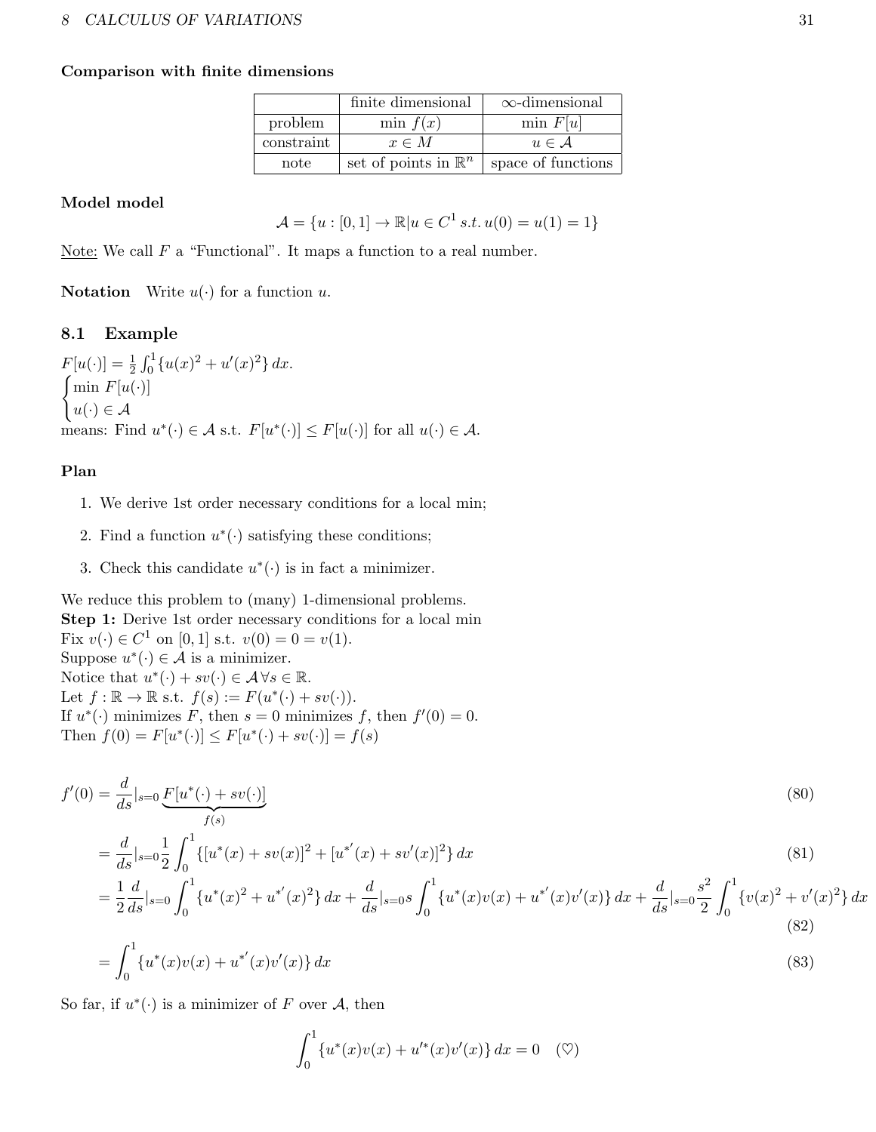#### Comparison with finite dimensions

|            | finite dimensional              | $\infty$ -dimensional |
|------------|---------------------------------|-----------------------|
| problem    | min $f(x)$                      | $\min F[u]$           |
| constraint | $x \in M$                       | $u \in A$             |
| note       | set of points in $\mathbb{R}^n$ | space of functions    |

#### Model model

$$
\mathcal{A} = \{u : [0, 1] \to \mathbb{R} | u \in C^1 \, s.t. \, u(0) = u(1) = 1\}
$$

Note: We call  $F$  a "Functional". It maps a function to a real number.

**Notation** Write  $u(\cdot)$  for a function  $u$ .

### <span id="page-30-0"></span>8.1 Example

 $F[u(\cdot)] = \frac{1}{2} \int_0^1 \{u(x)^2 + u'(x)^2\} dx.$  $\int$ min  $F[u(\cdot)]$  $u(\cdot) \in \mathcal{A}$ means: Find  $u^*(\cdot) \in \mathcal{A}$  s.t.  $F[u^*(\cdot)] \leq F[u(\cdot)]$  for all  $u(\cdot) \in \mathcal{A}$ .

### Plan

- 1. We derive 1st order necessary conditions for a local min;
- 2. Find a function  $u^*(\cdot)$  satisfying these conditions;
- 3. Check this candidate  $u^*(\cdot)$  is in fact a minimizer.

We reduce this problem to (many) 1-dimensional problems. Step 1: Derive 1st order necessary conditions for a local min Fix  $v(\cdot) \in C^1$  on [0, 1] s.t.  $v(0) = 0 = v(1)$ . Suppose  $u^*(\cdot) \in \mathcal{A}$  is a minimizer. Notice that  $u^*(\cdot) + sv(\cdot) \in \mathcal{A} \forall s \in \mathbb{R}$ . Let  $f : \mathbb{R} \to \mathbb{R}$  s.t.  $f(s) := F(u^*(\cdot) + sv(\cdot)).$ If  $u^*(\cdot)$  minimizes F, then  $s = 0$  minimizes f, then  $f'(0) = 0$ . Then  $f(0) = F[u^*(\cdot)] \leq F[u^*(\cdot) + sv(\cdot)] = f(s)$ 

$$
f'(0) = \frac{d}{ds}|_{s=0} \underbrace{F[u^*(\cdot) + sv(\cdot)]}_{f(s)}
$$
\n
$$
= \frac{d}{ds}|_{s=0} \frac{1}{2} \int_0^1 \{ [u^*(x) + sv(x)]^2 + [u^{*'}(x) + sv'(x)]^2 \} dx
$$
\n(80)\n(81)

$$
= \frac{1}{2}\frac{d}{ds}|_{s=0} \int_0^1 \{u^*(x)^2 + u^{*'}(x)^2\} dx + \frac{d}{ds}|_{s=0} s \int_0^1 \{u^*(x)v(x) + u^{*'}(x)v'(x)\} dx + \frac{d}{ds}|_{s=0} \frac{s^2}{2} \int_0^1 \{v(x)^2 + v'(x)^2\} dx
$$
\n(82)

$$
= \int_0^1 \{u^*(x)v(x) + u^{*'}(x)v'(x)\} dx
$$
\n(83)

So far, if  $u^*(\cdot)$  is a minimizer of F over A, then

$$
\int_0^1 \{u^*(x)v(x) + u'^*(x)v'(x)\} dx = 0 \quad (\heartsuit)
$$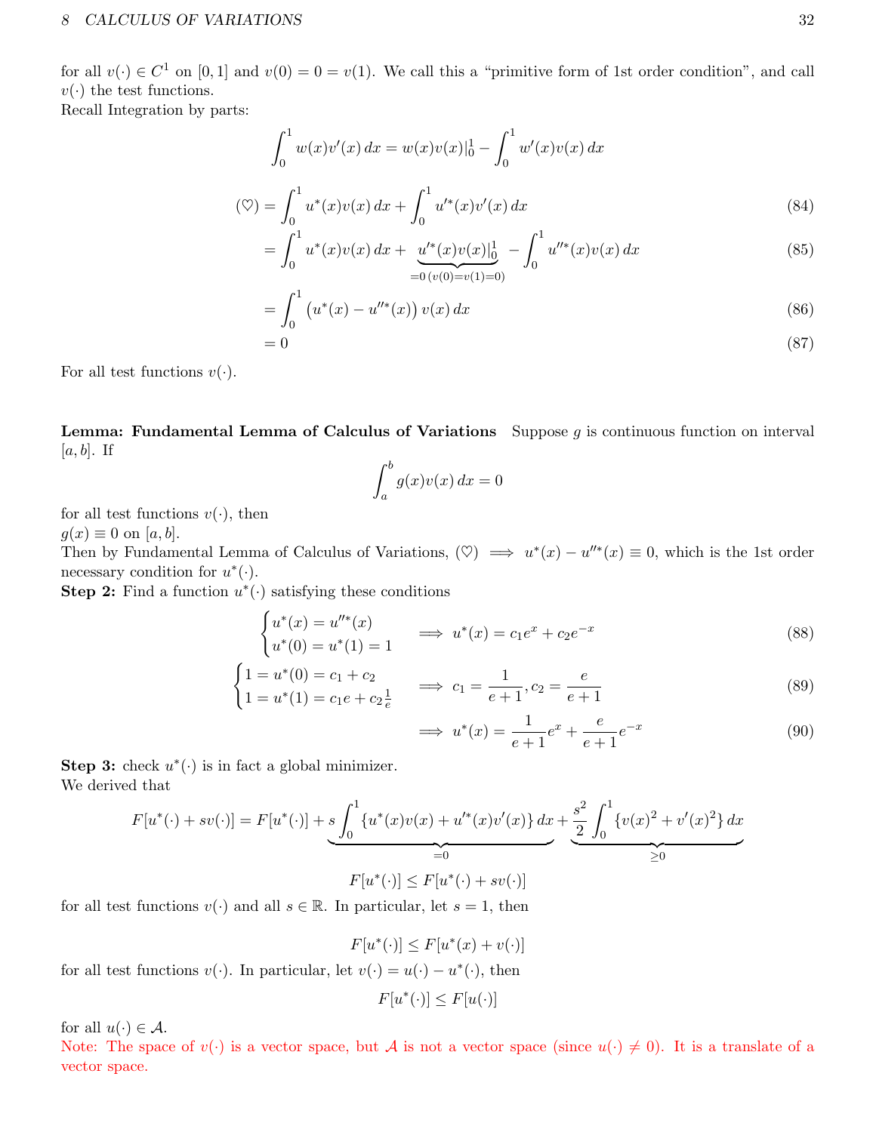for all  $v(\cdot) \in C^1$  on  $[0, 1]$  and  $v(0) = 0 = v(1)$ . We call this a "primitive form of 1st order condition", and call  $v(\cdot)$  the test functions.

Recall Integration by parts:

$$
\int_0^1 w(x)v'(x) dx = w(x)v(x)|_0^1 - \int_0^1 w'(x)v(x) dx
$$
\n
$$
\int_{-a}^1 v^*(x)v(x) dx + \int_{-a}^1 v^*(x)v'(x) dx
$$
\n(24)

$$
(\heartsuit) = \int_0^1 u^*(x)v(x) \, dx + \int_0^1 u'^*(x)v'(x) \, dx
$$
\n<sup>(84)</sup>

$$
= \int_0^1 u^*(x)v(x) dx + \underbrace{u'^*(x)v(x)|_0^1}_{=0 \, (v(0)=v(1)=0)} - \int_0^1 u''^*(x)v(x) dx \tag{85}
$$

$$
= \int_0^1 \left( u^*(x) - u''^*(x) \right) v(x) \, dx \tag{86}
$$

$$
=0 \tag{87}
$$

For all test functions  $v(\cdot)$ .

**Lemma: Fundamental Lemma of Calculus of Variations** Suppose  $g$  is continuous function on interval  $[a, b]$ . If

$$
\int_{a}^{b} g(x)v(x) dx = 0
$$

for all test functions  $v(\cdot)$ , then

 $g(x) \equiv 0$  on [a, b].

Then by Fundamental Lemma of Calculus of Variations,  $(\heartsuit) \implies u^*(x) - u''^*(x) \equiv 0$ , which is the 1st order necessary condition for  $u^*(\cdot)$ .

**Step 2:** Find a function  $u^*(\cdot)$  satisfying these conditions

$$
\begin{cases}\nu^*(x) = u''^*(x) \\
u^*(0) = u^*(1) = 1\n\end{cases} \implies u^*(x) = c_1 e^x + c_2 e^{-x}
$$
\n(88)

$$
\begin{cases} 1 = u^*(0) = c_1 + c_2 \\ 1 = u^*(1) = c_1 e + c_2 \frac{1}{e} \end{cases} \implies c_1 = \frac{1}{e+1}, c_2 = \frac{e}{e+1}
$$
(89)

$$
\implies u^*(x) = \frac{1}{e+1}e^x + \frac{e}{e+1}e^{-x} \tag{90}
$$

Step 3: check  $u^*(\cdot)$  is in fact a global minimizer. We derived that

$$
F[u^*(\cdot) + sv(\cdot)] = F[u^*(\cdot)] + s \underbrace{\int_0^1 \{u^*(x)v(x) + u'^*(x)v'(x)\} dx}_{=0} + \underbrace{\frac{s^2}{2} \int_0^1 \{v(x)^2 + v'(x)^2\} dx}_{\geq 0}
$$

for all test functions  $v(\cdot)$  and all  $s \in \mathbb{R}$ . In particular, let  $s = 1$ , then

 $F[u^*(\cdot)] \leq F[u^*(x) + v(\cdot)]$ 

for all test functions  $v(\cdot)$ . In particular, let  $v(\cdot) = u(\cdot) - u^*(\cdot)$ , then

$$
F[u^*(\cdot)] \le F[u(\cdot)]
$$

for all  $u(\cdot) \in \mathcal{A}$ .

Note: The space of  $v(\cdot)$  is a vector space, but A is not a vector space (since  $u(\cdot) \neq 0$ ). It is a translate of a vector space.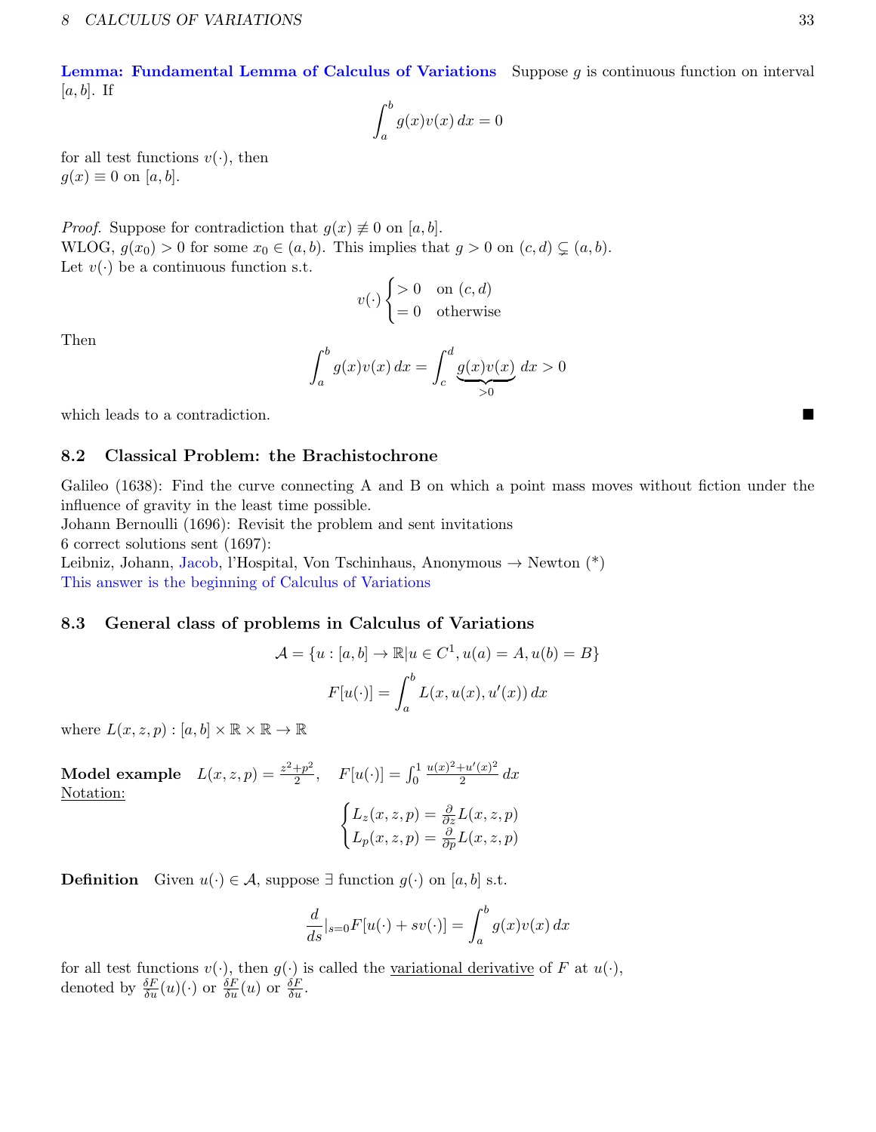#### 8 CALCULUS OF VARIATIONS 33

**Lemma: Fundamental Lemma of Calculus of Variations** Suppose  $q$  is continuous function on interval  $[a, b]$ . If

$$
\int_{a}^{b} g(x)v(x) dx = 0
$$

for all test functions  $v(\cdot)$ , then  $g(x) \equiv 0$  on [a, b].

*Proof.* Suppose for contradiction that  $g(x) \neq 0$  on [a, b]. WLOG,  $g(x_0) > 0$  for some  $x_0 \in (a, b)$ . This implies that  $g > 0$  on  $(c, d) \subsetneq (a, b)$ . Let  $v(\cdot)$  be a continuous function s.t.

$$
v(\cdot) \begin{cases} > 0 & \text{on } (c, d) \\ = 0 & \text{otherwise} \end{cases}
$$

Then

$$
\int_a^b g(x)v(x) dx = \int_c^d \underbrace{g(x)v(x)}_{>0} dx > 0
$$

which leads to a contradiction.

#### <span id="page-32-0"></span>8.2 Classical Problem: the Brachistochrone

Galileo (1638): Find the curve connecting A and B on which a point mass moves without fiction under the influence of gravity in the least time possible.

Johann Bernoulli (1696): Revisit the problem and sent invitations

6 correct solutions sent (1697):

Leibniz, Johann, Jacob, l'Hospital, Von Tschinhaus, Anonymous  $\rightarrow$  Newton (\*) This answer is the beginning of Calculus of Variations

### <span id="page-32-1"></span>8.3 General class of problems in Calculus of Variations

$$
\mathcal{A} = \{u : [a, b] \to \mathbb{R} | u \in C^1, u(a) = A, u(b) = B \}
$$

$$
F[u(\cdot)] = \int_a^b L(x, u(x), u'(x)) dx
$$

where  $L(x, z, p) : [a, b] \times \mathbb{R} \times \mathbb{R} \to \mathbb{R}$ 

Model example  $L(x, z, p) = \frac{z^2 + p^2}{2}$  $\frac{+p^2}{2}, \quad F[u(\cdot)] = \int_0^1$  $u(x)^2+u'(x)^2$  $rac{u(x)}{2}$  dx Notation:  $\int L_z(x, z, p) = \frac{\partial}{\partial z} L(x, z, p)$  $L_p(x, z, p) = \frac{\partial}{\partial p} L(x, z, p)$ 

**Definition** Given  $u(·) ∈ A$ , suppose ∃ function  $g(·)$  on [a, b] s.t.

$$
\frac{d}{ds}|_{s=0}F[u(\cdot)+sv(\cdot)] = \int_a^b g(x)v(x) dx
$$

for all test functions  $v(\cdot)$ , then  $g(\cdot)$  is called the <u>variational derivative</u> of F at  $u(\cdot)$ , denoted by  $\frac{\delta F}{\delta u}(u)(\cdot)$  or  $\frac{\delta F}{\delta u}(u)$  or  $\frac{\delta F}{\delta u}$ .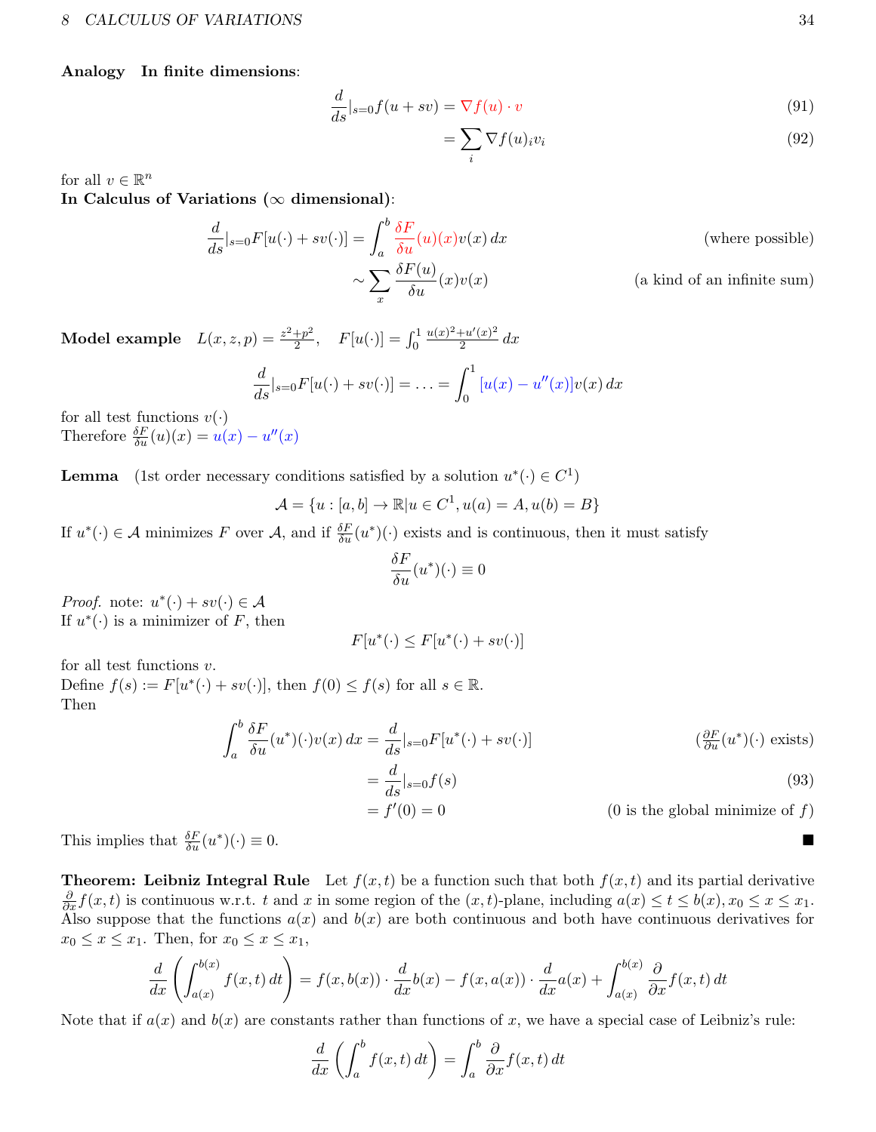Analogy In finite dimensions:

$$
\frac{d}{ds}|_{s=0}f(u+sv) = \nabla f(u) \cdot v \tag{91}
$$

$$
=\sum_{i}\nabla f(u)_{i}v_{i}\tag{92}
$$

for all  $v \in \mathbb{R}^n$ 

In Calculus of Variations ( $\infty$  dimensional):

$$
\frac{d}{ds}|_{s=0}F[u(\cdot)+sv(\cdot)] = \int_a^b \frac{\delta F}{\delta u}(u)(x)v(x) dx
$$
 (where possible)  

$$
\sim \sum_x \frac{\delta F(u)}{\delta u}(x)v(x)
$$
 (a kind of an infinite sum)

Model example  $L(x, z, p) = \frac{z^2 + p^2}{2}$  $\frac{+p^2}{2}, \quad F[u(\cdot)] = \int_0^1$  $u(x)^2+u'(x)^2$  $rac{u(x)}{2}$  dx  $\frac{d}{ds}|_{s=0}F[u(\cdot)+sv(\cdot)]=\ldots=$  $\int_0^1$ 0  $[u(x) - u''(x)]v(x) dx$ 

for all test functions  $v(\cdot)$ Therefore  $\frac{\delta F}{\delta u}(u)(x) = u(x) - u''(x)$ 

**Lemma** (1st order necessary conditions satisfied by a solution  $u^*(\cdot) \in C^1$ )

$$
\mathcal{A} = \{u : [a, b] \to \mathbb{R} | u \in C^1, u(a) = A, u(b) = B\}
$$

If  $u^*(\cdot) \in \mathcal{A}$  minimizes F over  $\mathcal{A}$ , and if  $\frac{\delta F}{\delta u}(u^*)(\cdot)$  exists and is continuous, then it must satisfy

$$
\frac{\delta F}{\delta u}(u^*)(\cdot) \equiv 0
$$

*Proof.* note:  $u^*(\cdot) + sv(\cdot) \in \mathcal{A}$ If  $u^*(\cdot)$  is a minimizer of F, then

$$
F[u^*(\cdot) \le F[u^*(\cdot) + sv(\cdot)]
$$

for all test functions  $v$ .

Define  $f(s) := F[u^*(\cdot) + sv(\cdot)],$  then  $f(0) \le f(s)$  for all  $s \in \mathbb{R}$ . Then

$$
\int_{a}^{b} \frac{\delta F}{\delta u}(u^{*})(\cdot)v(x) dx = \frac{d}{ds}|_{s=0} F[u^{*}(\cdot) + sv(\cdot)]
$$
\n
$$
= \frac{d}{ds}|_{s=0} f(s)
$$
\n(93)\n
$$
= f'(0) = 0
$$
\n(0 is the global minimize of  $f$ )

This implies that  $\frac{\delta F}{\delta u}(u^*)$  $)(\cdot) \equiv 0.$ 

**Theorem:** Leibniz Integral Rule Let  $f(x,t)$  be a function such that both  $f(x,t)$  and its partial derivative  $\frac{\partial}{\partial x} f(x, t)$  is continuous w.r.t. t and x in some region of the  $(x, t)$ -plane, including  $a(x) \le t \le b(x)$ ,  $x_0 \le x \le x_1$ . Also suppose that the functions  $a(x)$  and  $b(x)$  are both continuous and both have continuous derivatives for  $x_0 \leq x \leq x_1$ . Then, for  $x_0 \leq x \leq x_1$ ,

$$
\frac{d}{dx}\left(\int_{a(x)}^{b(x)}f(x,t)\,dt\right) = f(x,b(x))\cdot\frac{d}{dx}b(x) - f(x,a(x))\cdot\frac{d}{dx}a(x) + \int_{a(x)}^{b(x)}\frac{\partial}{\partial x}f(x,t)\,dt
$$

Note that if  $a(x)$  and  $b(x)$  are constants rather than functions of x, we have a special case of Leibniz's rule:

$$
\frac{d}{dx}\left(\int_a^b f(x,t) dt\right) = \int_a^b \frac{\partial}{\partial x} f(x,t) dt
$$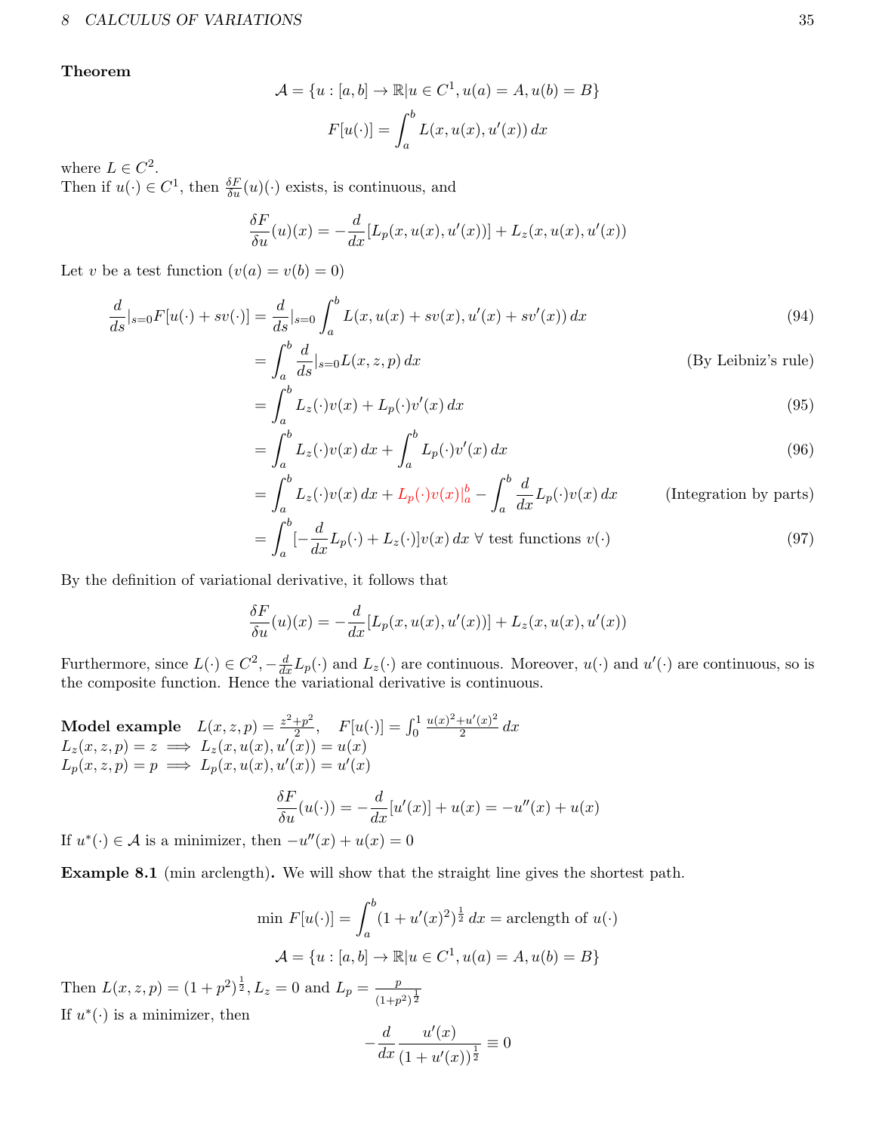Theorem

$$
\mathcal{A} = \{u : [a, b] \to \mathbb{R} | u \in C^1, u(a) = A, u(b) = B \}
$$

$$
F[u(\cdot)] = \int_a^b L(x, u(x), u'(x)) dx
$$

where  $L \in C^2$ .

Then if  $u(\cdot) \in C^1$ , then  $\frac{\delta F}{\delta u}(u)(\cdot)$  exists, is continuous, and

$$
\frac{\delta F}{\delta u}(u)(x) = -\frac{d}{dx}[L_p(x, u(x), u'(x))] + L_z(x, u(x), u'(x))
$$

Let v be a test function  $(v(a) = v(b) = 0)$ 

$$
\frac{d}{ds}|_{s=0}F[u(\cdot)+sv(\cdot)] = \frac{d}{ds}|_{s=0} \int_a^b L(x, u(x) + sv(x), u'(x) + sv'(x)) dx
$$
\n(94)

$$
= \int_{a}^{b} \frac{d}{ds} \vert_{s=0} L(x, z, p) dx
$$
 (By Leibniz's rule)

$$
= \int_{a}^{b} L_z(\cdot)v(x) + L_p(\cdot)v'(x) dx \tag{95}
$$

$$
=\int_{a}^{b}L_{z}(\cdot)v(x)\,dx+\int_{a}^{b}L_{p}(\cdot)v'(x)\,dx\tag{96}
$$

$$
= \int_{a}^{b} L_z(\cdot)v(x) dx + L_p(\cdot)v(x)|_a^b - \int_{a}^{b} \frac{d}{dx} L_p(\cdot)v(x) dx \qquad \text{(Integration by parts)}
$$

$$
= \int_{a}^{b} \left[-\frac{d}{dx}L_{p}(\cdot) + L_{z}(\cdot)\right]v(x) dx \,\forall \text{ test functions } v(\cdot)
$$
\n(97)

By the definition of variational derivative, it follows that

$$
\frac{\delta F}{\delta u}(u)(x) = -\frac{d}{dx}[L_p(x, u(x), u'(x))] + L_z(x, u(x), u'(x))
$$

Furthermore, since  $L(\cdot) \in C^2$ ,  $-\frac{d}{dx}L_p(\cdot)$  and  $L_z(\cdot)$  are continuous. Moreover,  $u(\cdot)$  and  $u'(\cdot)$  are continuous, so is the composite function. Hence the variational derivative is continuous.

Model example  $L(x, z, p) = \frac{z^2 + p^2}{2}$  $\frac{+p^2}{2}, \quad F[u(\cdot)] = \int_0^1$  $u(x)^2+u'(x)^2$  $rac{u(x)}{2}$  dx  $L_z(x, z, p) = z \implies L_z(x, u(x), u'(\overline{x})) = u(x)$  $L_p(x, z, p) = p \implies L_p(x, u(x), u'(x)) = u'(x)$ 

$$
\frac{\delta F}{\delta u}(u(\cdot)) = -\frac{d}{dx}[u'(x)] + u(x) = -u''(x) + u(x)
$$

If  $u^*(\cdot) \in \mathcal{A}$  is a minimizer, then  $-u''(x) + u(x) = 0$ 

Example 8.1 (min arclength). We will show that the straight line gives the shortest path.

min 
$$
F[u(\cdot)] = \int_a^b (1 + u'(x)^2)^{\frac{1}{2}} dx = \text{arclength of } u(\cdot)
$$
  
\n
$$
\mathcal{A} = \{u : [a, b] \to \mathbb{R} | u \in C^1, u(a) = A, u(b) = B \}
$$

Then  $L(x, z, p) = (1 + p^2)^{\frac{1}{2}}$ ,  $L_z = 0$  and  $L_p = \frac{p}{\sqrt{1-p^2}}$  $\frac{1}{(1+p^2)^{\frac{1}{2}}}$ If  $u^*(\cdot)$  is a minimizer, then

$$
-\frac{d}{dx}\frac{u'(x)}{(1+u'(x))^\frac{1}{2}}\equiv 0
$$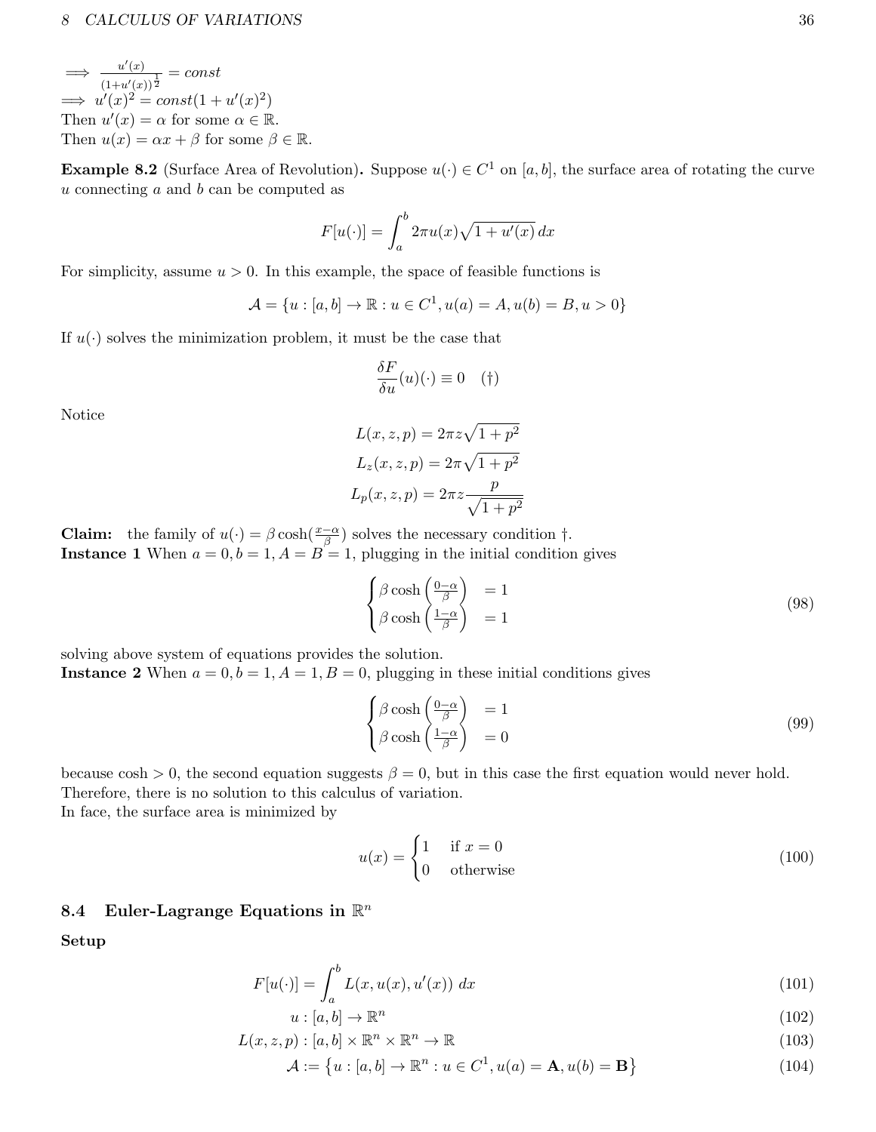#### 8 CALCULUS OF VARIATIONS 36

 $\implies$   $\frac{u'(x)}{1-x^2}$  $\frac{u(x)}{(1+u'(x))^{\frac{1}{2}}} = const$  $\implies u'(x)^2 = const(1+u'(x)^2)$ Then  $u'(x) = \alpha$  for some  $\alpha \in \mathbb{R}$ . Then  $u(x) = \alpha x + \beta$  for some  $\beta \in \mathbb{R}$ .

**Example 8.2** (Surface Area of Revolution). Suppose  $u(\cdot) \in C^1$  on [a, b], the surface area of rotating the curve u connecting a and b can be computed as

$$
F[u(\cdot)] = \int_{a}^{b} 2\pi u(x)\sqrt{1+u'(x)} dx
$$

For simplicity, assume  $u > 0$ . In this example, the space of feasible functions is

$$
\mathcal{A} = \{u : [a, b] \to \mathbb{R} : u \in C^1, u(a) = A, u(b) = B, u > 0\}
$$

If  $u(\cdot)$  solves the minimization problem, it must be the case that

$$
\frac{\delta F}{\delta u}(u)(\cdot) \equiv 0 \quad (\dagger)
$$

Notice

$$
L(x, z, p) = 2\pi z \sqrt{1 + p^2}
$$

$$
L_z(x, z, p) = 2\pi \sqrt{1 + p^2}
$$

$$
L_p(x, z, p) = 2\pi z \frac{p}{\sqrt{1 + p^2}}
$$

**Claim:** the family of  $u(\cdot) = \beta \cosh(\frac{x-\alpha}{\beta})$  solves the necessary condition  $\dagger$ . **Instance 1** When  $a = 0, b = 1, A = B = 1$ , plugging in the initial condition gives

$$
\begin{cases}\n\beta \cosh\left(\frac{0-\alpha}{\beta}\right) &= 1\\ \n\beta \cosh\left(\frac{1-\alpha}{\beta}\right) &= 1\n\end{cases}
$$
\n(98)

solving above system of equations provides the solution.

**Instance 2** When  $a = 0, b = 1, A = 1, B = 0$ , plugging in these initial conditions gives

$$
\begin{cases}\n\beta \cosh\left(\frac{0-\alpha}{\beta}\right) &= 1\\ \n\beta \cosh\left(\frac{1-\alpha}{\beta}\right) &= 0\n\end{cases}
$$
\n(99)

because cosh  $> 0$ , the second equation suggests  $\beta = 0$ , but in this case the first equation would never hold. Therefore, there is no solution to this calculus of variation.

In face, the surface area is minimized by

$$
u(x) = \begin{cases} 1 & \text{if } x = 0\\ 0 & \text{otherwise} \end{cases}
$$
 (100)

# <span id="page-35-0"></span>8.4 Euler-Lagrange Equations in  $\mathbb{R}^n$

Setup

$$
F[u(\cdot)] = \int_{a}^{b} L(x, u(x), u'(x)) dx
$$
\n(101)

$$
u: [a, b] \to \mathbb{R}^n \tag{102}
$$

$$
L(x, z, p) : [a, b] \times \mathbb{R}^n \times \mathbb{R}^n \to \mathbb{R}
$$
\n
$$
(103)
$$

$$
\mathcal{A} := \left\{ u : [a, b] \to \mathbb{R}^n : u \in C^1, u(a) = \mathbf{A}, u(b) = \mathbf{B} \right\}
$$
(104)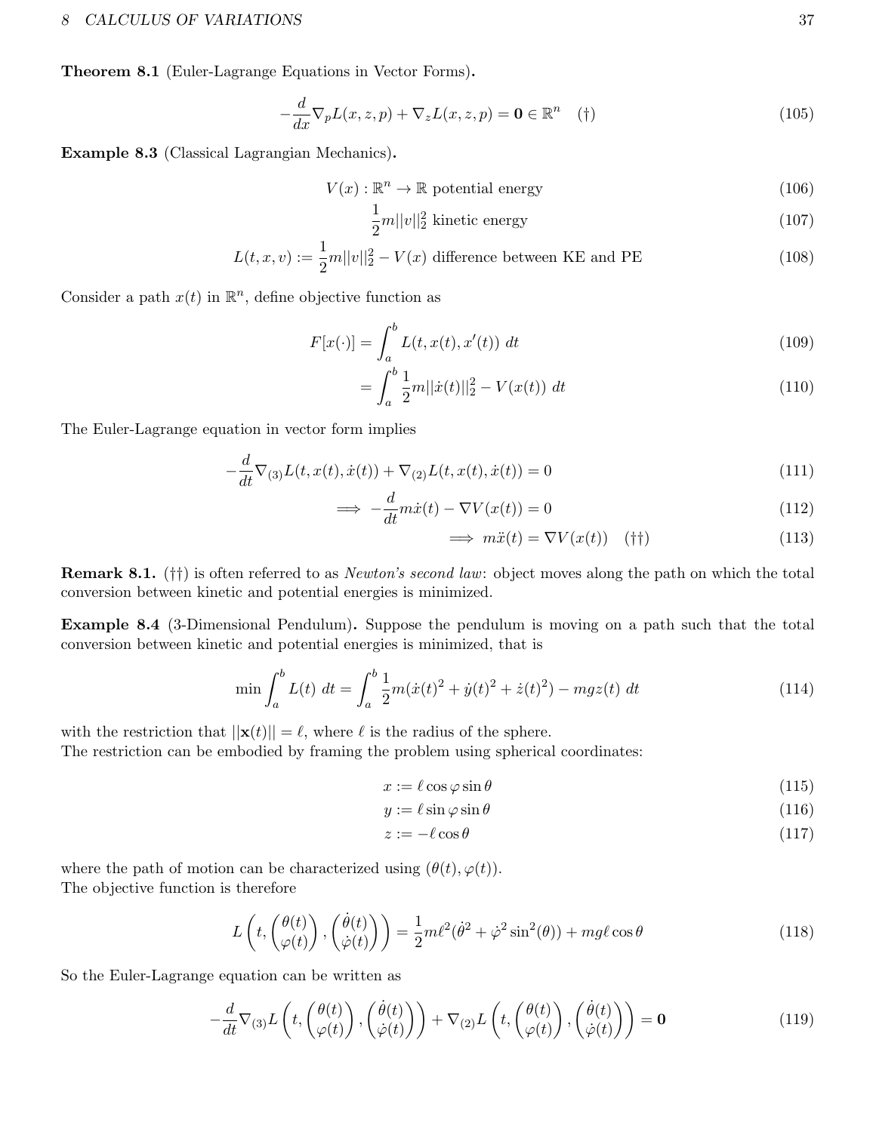#### 8 CALCULUS OF VARIATIONS 37

Theorem 8.1 (Euler-Lagrange Equations in Vector Forms).

$$
-\frac{d}{dx}\nabla_p L(x,z,p) + \nabla_z L(x,z,p) = \mathbf{0} \in \mathbb{R}^n \quad (\dagger)
$$
\n(105)

Example 8.3 (Classical Lagrangian Mechanics).

$$
V(x): \mathbb{R}^n \to \mathbb{R} \text{ potential energy}
$$
\n
$$
(106)
$$

$$
\frac{1}{2}m||v||_2^2 \text{ kinetic energy} \tag{107}
$$

$$
L(t, x, v) := \frac{1}{2}m||v||_2^2 - V(x)
$$
 difference between KE and PE\n
$$
(108)
$$

Consider a path  $x(t)$  in  $\mathbb{R}^n$ , define objective function as

$$
F[x(\cdot)] = \int_{a}^{b} L(t, x(t), x'(t)) dt
$$
 (109)

$$
= \int_{a}^{b} \frac{1}{2}m||\dot{x}(t)||_{2}^{2} - V(x(t)) dt
$$
\n(110)

The Euler-Lagrange equation in vector form implies

$$
-\frac{d}{dt}\nabla_{(3)}L(t, x(t), \dot{x}(t)) + \nabla_{(2)}L(t, x(t), \dot{x}(t)) = 0
$$
\n(111)

$$
\implies -\frac{d}{dt}m\dot{x}(t) - \nabla V(x(t)) = 0 \tag{112}
$$

$$
\implies m\ddot{x}(t) = \nabla V(x(t)) \quad (\dagger \dagger) \tag{113}
$$

Remark 8.1. (††) is often referred to as Newton's second law: object moves along the path on which the total conversion between kinetic and potential energies is minimized.

Example 8.4 (3-Dimensional Pendulum). Suppose the pendulum is moving on a path such that the total conversion between kinetic and potential energies is minimized, that is

$$
\min \int_{a}^{b} L(t) dt = \int_{a}^{b} \frac{1}{2} m(\dot{x}(t)^{2} + \dot{y}(t)^{2} + \dot{z}(t)^{2}) - mgz(t) dt
$$
\n(114)

with the restriction that  $||\mathbf{x}(t)|| = \ell$ , where  $\ell$  is the radius of the sphere.

The restriction can be embodied by framing the problem using spherical coordinates:

$$
x := \ell \cos \varphi \sin \theta \tag{115}
$$

$$
y := \ell \sin \varphi \sin \theta \tag{116}
$$

$$
z := -\ell \cos \theta \tag{117}
$$

where the path of motion can be characterized using  $(\theta(t), \varphi(t))$ . The objective function is therefore

$$
L\left(t, \begin{pmatrix} \theta(t) \\ \varphi(t) \end{pmatrix}, \begin{pmatrix} \dot{\theta}(t) \\ \dot{\varphi}(t) \end{pmatrix} \right) = \frac{1}{2}m\ell^2(\dot{\theta}^2 + \dot{\varphi}^2\sin^2(\theta)) + mg\ell\cos\theta
$$
\n(118)

So the Euler-Lagrange equation can be written as

$$
-\frac{d}{dt}\nabla_{(3)}L\left(t,\begin{pmatrix}\theta(t)\\ \varphi(t)\end{pmatrix},\begin{pmatrix}\dot{\theta}(t)\\ \dot{\varphi}(t)\end{pmatrix}\right)+\nabla_{(2)}L\left(t,\begin{pmatrix}\theta(t)\\ \varphi(t)\end{pmatrix},\begin{pmatrix}\dot{\theta}(t)\\ \dot{\varphi}(t)\end{pmatrix}\right)=\mathbf{0}
$$
\n(119)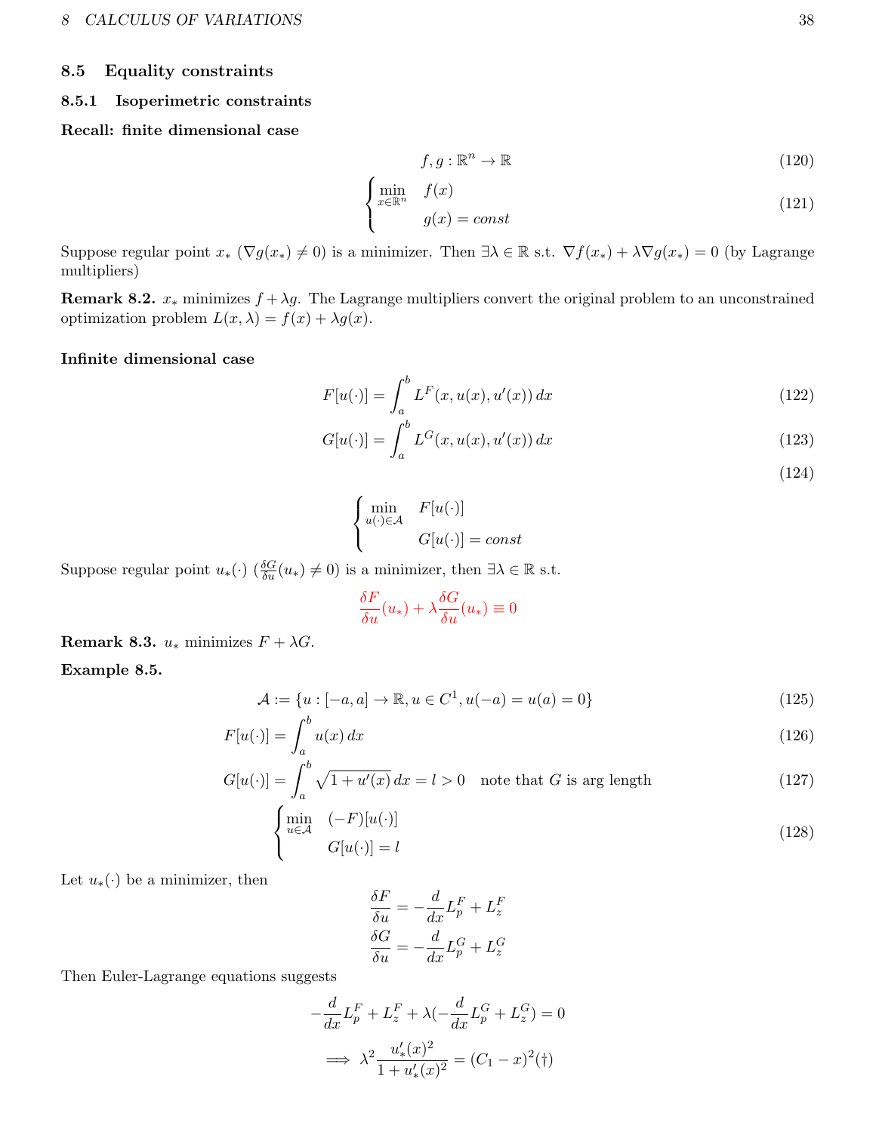#### <span id="page-37-0"></span>8.5 Equality constraints

#### <span id="page-37-1"></span>8.5.1 Isoperimetric constraints

#### Recall: finite dimensional case

$$
f, g: \mathbb{R}^n \to \mathbb{R} \tag{120}
$$

$$
\begin{cases}\n\min_{x \in \mathbb{R}^n} & f(x) \\
g(x) = const\n\end{cases}
$$
\n(121)

Suppose regular point  $x_* (\nabla g(x_*) \neq 0)$  is a minimizer. Then  $\exists \lambda \in \mathbb{R}$  s.t.  $\nabla f(x_*) + \lambda \nabla g(x_*) = 0$  (by Lagrange multipliers)

**Remark 8.2.**  $x_*$  minimizes  $f + \lambda g$ . The Lagrange multipliers convert the original problem to an unconstrained optimization problem  $L(x, \lambda) = f(x) + \lambda g(x)$ .

#### Infinite dimensional case

$$
F[u(\cdot)] = \int_{a}^{b} L^{F}(x, u(x), u'(x)) dx
$$
\n(122)

$$
G[u(\cdot)] = \int_{a}^{b} L^{G}(x, u(x), u'(x)) dx
$$
\n(123)

(124)

$$
\begin{cases}\n\min_{u(\cdot)\in\mathcal{A}} & F[u(\cdot)] \\
G[u(\cdot)] = const\n\end{cases}
$$

Suppose regular point  $u_*(\cdot)$   $(\frac{\delta G}{\delta u}(u_*) \neq 0)$  is a minimizer, then  $\exists \lambda \in \mathbb{R}$  s.t.

$$
\frac{\delta F}{\delta u}(u_*) + \lambda \frac{\delta G}{\delta u}(u_*) \equiv 0
$$

Remark 8.3.  $u_*$  minimizes  $F + \lambda G$ .

Example 8.5.

$$
\mathcal{A} := \{ u : [-a, a] \to \mathbb{R}, u \in C^1, u(-a) = u(a) = 0 \}
$$
\n(125)

$$
F[u(\cdot)] = \int_{a}^{b} u(x) dx \tag{126}
$$

$$
G[u(\cdot)] = \int_{a}^{b} \sqrt{1 + u'(x)} dx = l > 0 \quad \text{note that } G \text{ is arg length}
$$
 (127)

$$
\begin{cases}\n\min_{u \in \mathcal{A}} & (-F)[u(\cdot)] \\
G[u(\cdot)] = l\n\end{cases} (128)
$$

Let  $u_*(\cdot)$  be a minimizer, then

$$
\frac{\delta F}{\delta u} = -\frac{d}{dx} L_p^F + L_z^F
$$

$$
\frac{\delta G}{\delta u} = -\frac{d}{dx} L_p^G + L_z^G
$$

Then Euler-Lagrange equations suggests

$$
-\frac{d}{dx}L_p^F + L_z^F + \lambda(-\frac{d}{dx}L_p^G + L_z^G) = 0
$$

$$
\implies \lambda^2 \frac{u'_*(x)^2}{1 + u'_*(x)^2} = (C_1 - x)^2(\dagger)
$$